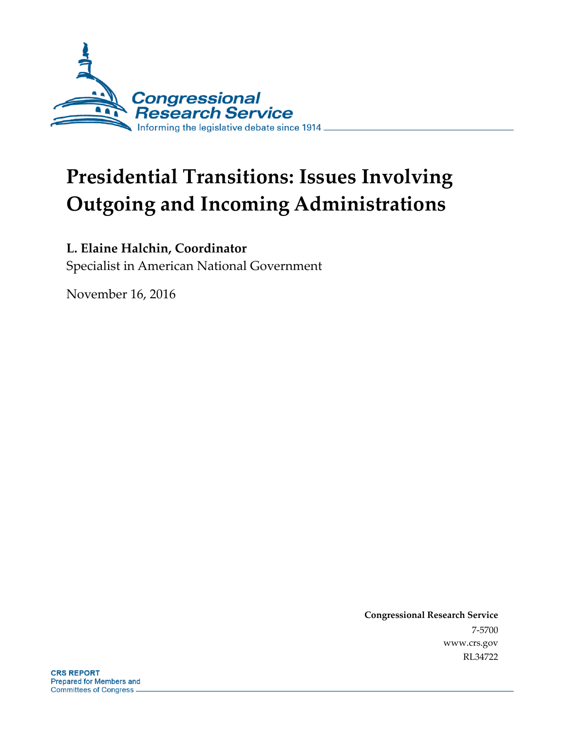

# **Presidential Transitions: Issues Involving Outgoing and Incoming Administrations**

### **L. Elaine Halchin, Coordinator**

Specialist in American National Government

November 16, 2016

**Congressional Research Service** 7-5700 www.crs.gov RL34722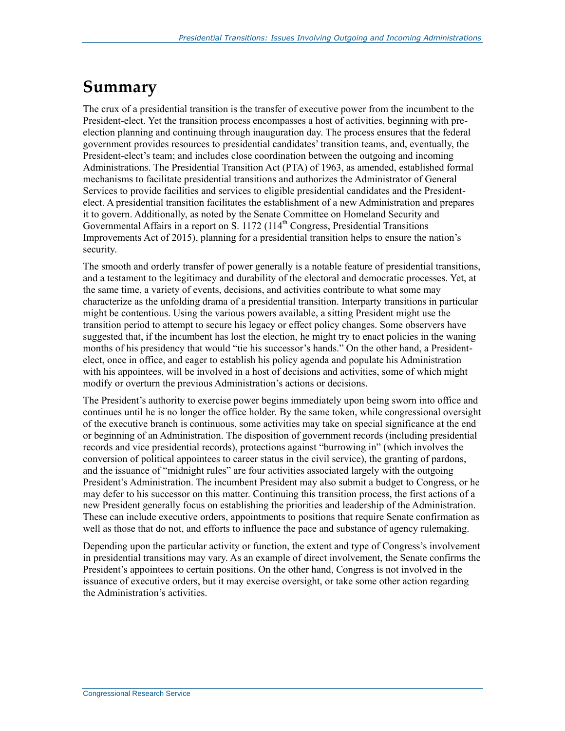### **Summary**

The crux of a presidential transition is the transfer of executive power from the incumbent to the President-elect. Yet the transition process encompasses a host of activities, beginning with preelection planning and continuing through inauguration day. The process ensures that the federal government provides resources to presidential candidates' transition teams, and, eventually, the President-elect's team; and includes close coordination between the outgoing and incoming Administrations. The Presidential Transition Act (PTA) of 1963, as amended, established formal mechanisms to facilitate presidential transitions and authorizes the Administrator of General Services to provide facilities and services to eligible presidential candidates and the Presidentelect. A presidential transition facilitates the establishment of a new Administration and prepares it to govern. Additionally, as noted by the Senate Committee on Homeland Security and Governmental Affairs in a report on S. 1172 (114<sup>th</sup> Congress, Presidential Transitions Improvements Act of 2015), planning for a presidential transition helps to ensure the nation's security.

The smooth and orderly transfer of power generally is a notable feature of presidential transitions, and a testament to the legitimacy and durability of the electoral and democratic processes. Yet, at the same time, a variety of events, decisions, and activities contribute to what some may characterize as the unfolding drama of a presidential transition. Interparty transitions in particular might be contentious. Using the various powers available, a sitting President might use the transition period to attempt to secure his legacy or effect policy changes. Some observers have suggested that, if the incumbent has lost the election, he might try to enact policies in the waning months of his presidency that would "tie his successor's hands." On the other hand, a Presidentelect, once in office, and eager to establish his policy agenda and populate his Administration with his appointees, will be involved in a host of decisions and activities, some of which might modify or overturn the previous Administration's actions or decisions.

The President's authority to exercise power begins immediately upon being sworn into office and continues until he is no longer the office holder. By the same token, while congressional oversight of the executive branch is continuous, some activities may take on special significance at the end or beginning of an Administration. The disposition of government records (including presidential records and vice presidential records), protections against "burrowing in" (which involves the conversion of political appointees to career status in the civil service), the granting of pardons, and the issuance of "midnight rules" are four activities associated largely with the outgoing President's Administration. The incumbent President may also submit a budget to Congress, or he may defer to his successor on this matter. Continuing this transition process, the first actions of a new President generally focus on establishing the priorities and leadership of the Administration. These can include executive orders, appointments to positions that require Senate confirmation as well as those that do not, and efforts to influence the pace and substance of agency rulemaking.

Depending upon the particular activity or function, the extent and type of Congress's involvement in presidential transitions may vary. As an example of direct involvement, the Senate confirms the President's appointees to certain positions. On the other hand, Congress is not involved in the issuance of executive orders, but it may exercise oversight, or take some other action regarding the Administration's activities.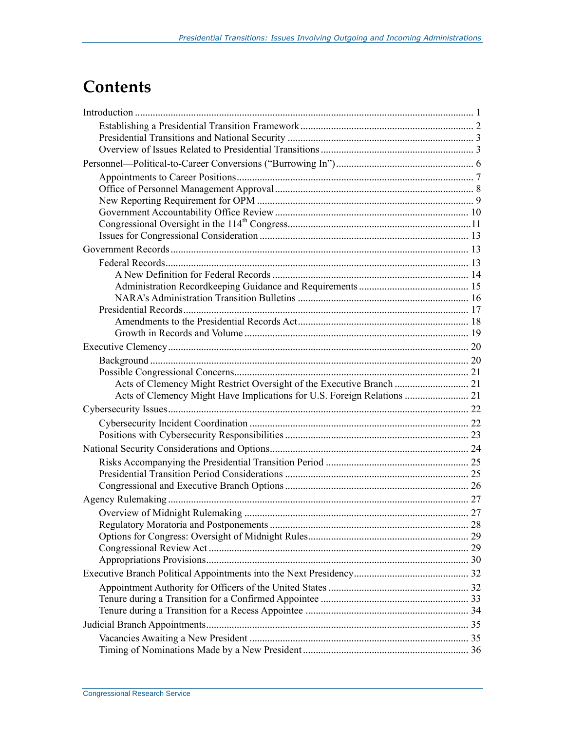## **Contents**

| Acts of Clemency Might Restrict Oversight of the Executive Branch  21   |  |
|-------------------------------------------------------------------------|--|
| Acts of Clemency Might Have Implications for U.S. Foreign Relations  21 |  |
|                                                                         |  |
|                                                                         |  |
|                                                                         |  |
|                                                                         |  |
|                                                                         |  |
|                                                                         |  |
|                                                                         |  |
|                                                                         |  |
|                                                                         |  |
|                                                                         |  |
|                                                                         |  |
|                                                                         |  |
|                                                                         |  |
|                                                                         |  |
|                                                                         |  |
|                                                                         |  |
|                                                                         |  |
|                                                                         |  |
|                                                                         |  |
|                                                                         |  |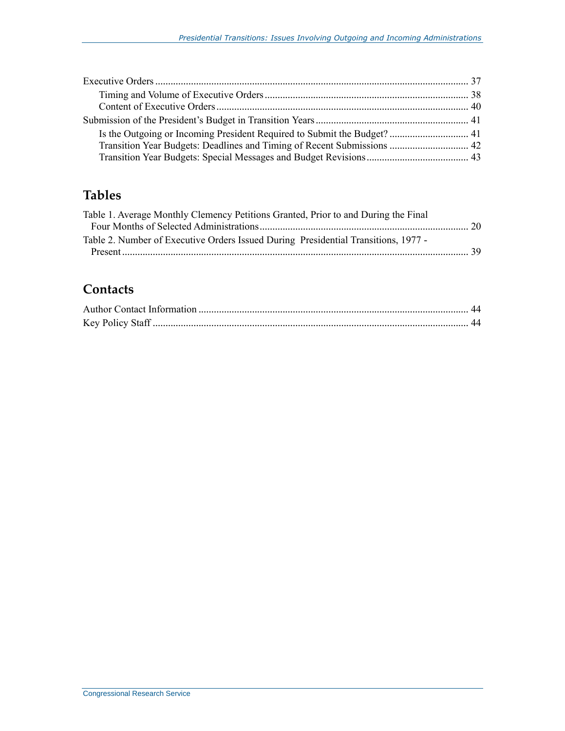| Transition Year Budgets: Deadlines and Timing of Recent Submissions  42 |  |
|-------------------------------------------------------------------------|--|
|                                                                         |  |

### **Tables**

| Table 1. Average Monthly Clemency Petitions Granted, Prior to and During the Final |  |
|------------------------------------------------------------------------------------|--|
|                                                                                    |  |
| Table 2. Number of Executive Orders Issued During Presidential Transitions, 1977 - |  |
|                                                                                    |  |
|                                                                                    |  |

### **Contacts**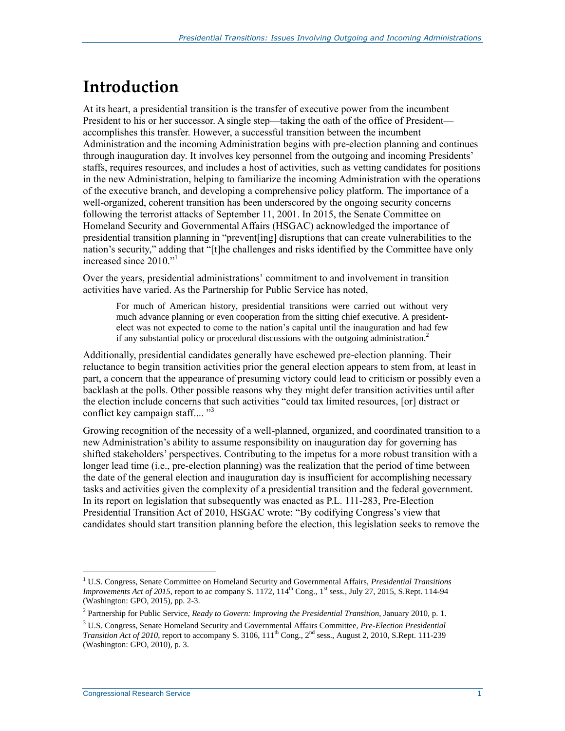## **Introduction**

At its heart, a presidential transition is the transfer of executive power from the incumbent President to his or her successor. A single step—taking the oath of the office of President accomplishes this transfer. However, a successful transition between the incumbent Administration and the incoming Administration begins with pre-election planning and continues through inauguration day. It involves key personnel from the outgoing and incoming Presidents' staffs, requires resources, and includes a host of activities, such as vetting candidates for positions in the new Administration, helping to familiarize the incoming Administration with the operations of the executive branch, and developing a comprehensive policy platform. The importance of a well-organized, coherent transition has been underscored by the ongoing security concerns following the terrorist attacks of September 11, 2001. In 2015, the Senate Committee on Homeland Security and Governmental Affairs (HSGAC) acknowledged the importance of presidential transition planning in "prevent[ing] disruptions that can create vulnerabilities to the nation's security," adding that "[t]he challenges and risks identified by the Committee have only increased since 2010."<sup>1</sup>

Over the years, presidential administrations' commitment to and involvement in transition activities have varied. As the Partnership for Public Service has noted,

For much of American history, presidential transitions were carried out without very much advance planning or even cooperation from the sitting chief executive. A presidentelect was not expected to come to the nation's capital until the inauguration and had few if any substantial policy or procedural discussions with the outgoing administration.<sup>2</sup>

Additionally, presidential candidates generally have eschewed pre-election planning. Their reluctance to begin transition activities prior the general election appears to stem from, at least in part, a concern that the appearance of presuming victory could lead to criticism or possibly even a backlash at the polls. Other possible reasons why they might defer transition activities until after the election include concerns that such activities "could tax limited resources, [or] distract or conflict key campaign staff.... "<sup>3</sup>

Growing recognition of the necessity of a well-planned, organized, and coordinated transition to a new Administration's ability to assume responsibility on inauguration day for governing has shifted stakeholders' perspectives. Contributing to the impetus for a more robust transition with a longer lead time (i.e., pre-election planning) was the realization that the period of time between the date of the general election and inauguration day is insufficient for accomplishing necessary tasks and activities given the complexity of a presidential transition and the federal government. In its report on legislation that subsequently was enacted as P.L. 111-283, Pre-Election Presidential Transition Act of 2010, HSGAC wrote: "By codifying Congress's view that candidates should start transition planning before the election, this legislation seeks to remove the

<sup>1</sup> U.S. Congress, Senate Committee on Homeland Security and Governmental Affairs, *Presidential Transitions Improvements Act of 2015*, report to ac company S. 1172,  $114<sup>th</sup>$  Cong., 1<sup>st</sup> sess., July 27, 2015, S.Rept. 114-94 (Washington: GPO, 2015), pp. 2-3.

<sup>2</sup> Partnership for Public Service, *Ready to Govern: Improving the Presidential Transition*, January 2010, p. 1.

<sup>3</sup> U.S. Congress, Senate Homeland Security and Governmental Affairs Committee, *Pre-Election Presidential Transition Act of 2010*, report to accompany S. 3106, 111<sup>th</sup> Cong., 2<sup>nd</sup> sess., August 2, 2010, S.Rept. 111-239 (Washington: GPO, 2010), p. 3.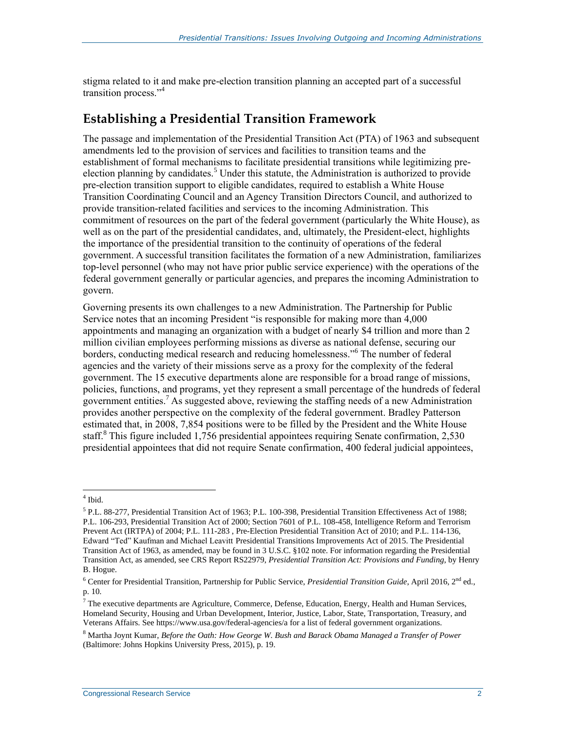stigma related to it and make pre-election transition planning an accepted part of a successful transition process."<sup>4</sup>

#### **Establishing a Presidential Transition Framework**

The passage and implementation of the Presidential Transition Act (PTA) of 1963 and subsequent amendments led to the provision of services and facilities to transition teams and the establishment of formal mechanisms to facilitate presidential transitions while legitimizing preelection planning by candidates.<sup>5</sup> Under this statute, the Administration is authorized to provide pre-election transition support to eligible candidates, required to establish a White House Transition Coordinating Council and an Agency Transition Directors Council, and authorized to provide transition-related facilities and services to the incoming Administration. This commitment of resources on the part of the federal government (particularly the White House), as well as on the part of the presidential candidates, and, ultimately, the President-elect, highlights the importance of the presidential transition to the continuity of operations of the federal government. A successful transition facilitates the formation of a new Administration, familiarizes top-level personnel (who may not have prior public service experience) with the operations of the federal government generally or particular agencies, and prepares the incoming Administration to govern.

Governing presents its own challenges to a new Administration. The Partnership for Public Service notes that an incoming President "is responsible for making more than 4,000 appointments and managing an organization with a budget of nearly \$4 trillion and more than 2 million civilian employees performing missions as diverse as national defense, securing our borders, conducting medical research and reducing homelessness." <sup>6</sup> The number of federal agencies and the variety of their missions serve as a proxy for the complexity of the federal government. The 15 executive departments alone are responsible for a broad range of missions, policies, functions, and programs, yet they represent a small percentage of the hundreds of federal government entities. <sup>7</sup> As suggested above, reviewing the staffing needs of a new Administration provides another perspective on the complexity of the federal government. Bradley Patterson estimated that, in 2008, 7,854 positions were to be filled by the President and the White House staff.<sup>8</sup> This figure included 1,756 presidential appointees requiring Senate confirmation, 2,530 presidential appointees that did not require Senate confirmation, 400 federal judicial appointees,

 4 Ibid.

<sup>5</sup> P.L. 88-277, Presidential Transition Act of 1963; P.L. 100-398, Presidential Transition Effectiveness Act of 1988; P.L. 106-293, Presidential Transition Act of 2000; Section 7601 of P.L. 108-458, Intelligence Reform and Terrorism Prevent Act (IRTPA) of 2004; P.L. 111-283 , Pre-Election Presidential Transition Act of 2010; and P.L. 114-136, Edward "Ted" Kaufman and Michael Leavitt Presidential Transitions Improvements Act of 2015. The Presidential Transition Act of 1963, as amended, may be found in 3 U.S.C. §102 note. For information regarding the Presidential Transition Act, as amended, see CRS Report RS22979, *Presidential Transition Act: Provisions and Funding*, by Henry B. Hogue.

<sup>&</sup>lt;sup>6</sup> Center for Presidential Transition, Partnership for Public Service, *Presidential Transition Guide*, April 2016, 2<sup>nd</sup> ed., p. 10.

<sup>7</sup> The executive departments are Agriculture, Commerce, Defense, Education, Energy, Health and Human Services, Homeland Security, Housing and Urban Development, Interior, Justice, Labor, State, Transportation, Treasury, and Veterans Affairs. See https://www.usa.gov/federal-agencies/a for a list of federal government organizations.

<sup>8</sup> Martha Joynt Kumar, *Before the Oath: How George W. Bush and Barack Obama Managed a Transfer of Power* (Baltimore: Johns Hopkins University Press, 2015), p. 19.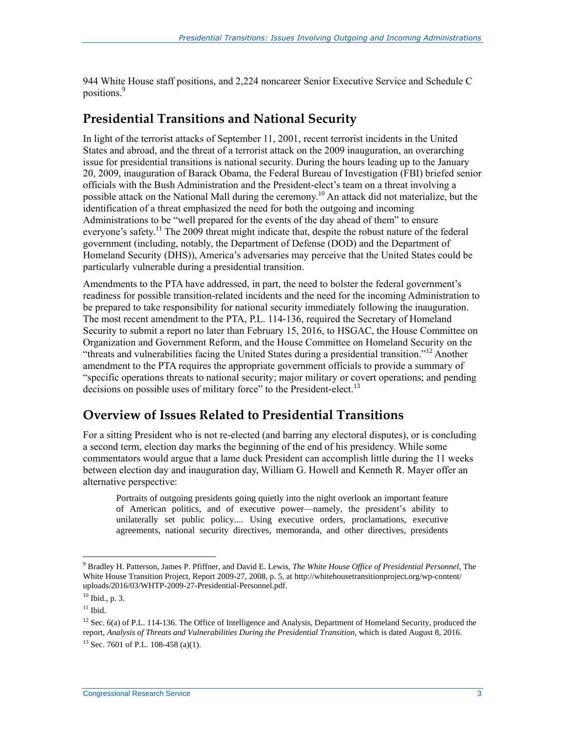944 White House staff positions, and 2,224 noncareer Senior Executive Service and Schedule C positions.<sup>9</sup>

#### **Presidential Transitions and National Security**

In light of the terrorist attacks of September 11, 2001, recent terrorist incidents in the United States and abroad, and the threat of a terrorist attack on the 2009 inauguration, an overarching issue for presidential transitions is national security. During the hours leading up to the January 20, 2009, inauguration of Barack Obama, the Federal Bureau of Investigation (FBI) briefed senior officials with the Bush Administration and the President-elect's team on a threat involving a possible attack on the National Mall during the ceremony.<sup>10</sup> An attack did not materialize, but the identification of a threat emphasized the need for both the outgoing and incoming Administrations to be "well prepared for the events of the day ahead of them" to ensure everyone's safety.<sup>11</sup> The 2009 threat might indicate that, despite the robust nature of the federal government (including, notably, the Department of Defense (DOD) and the Department of Homeland Security (DHS)), America's adversaries may perceive that the United States could be particularly vulnerable during a presidential transition.

Amendments to the PTA have addressed, in part, the need to bolster the federal government's readiness for possible transition-related incidents and the need for the incoming Administration to be prepared to take responsibility for national security immediately following the inauguration. The most recent amendment to the PTA, P.L. 114-136, required the Secretary of Homeland Security to submit a report no later than February 15, 2016, to HSGAC, the House Committee on Organization and Government Reform, and the House Committee on Homeland Security on the "threats and vulnerabilities facing the United States during a presidential transition."<sup>12</sup> Another amendment to the PTA requires the appropriate government officials to provide a summary of "specific operations threats to national security; major military or covert operations; and pending decisions on possible uses of military force" to the President-elect.<sup>13</sup>

#### **Overview of Issues Related to Presidential Transitions**

For a sitting President who is not re-elected (and barring any electoral disputes), or is concluding a second term, election day marks the beginning of the end of his presidency. While some commentators would argue that a lame duck President can accomplish little during the 11 weeks between election day and inauguration day, William G. Howell and Kenneth R. Mayer offer an alternative perspective:

Portraits of outgoing presidents going quietly into the night overlook an important feature of American politics, and of executive power—namely, the president's ability to unilaterally set public policy.... Using executive orders, proclamations, executive agreements, national security directives, memoranda, and other directives, presidents

<sup>9</sup> Bradley H. Patterson, James P. Pfiffner, and David E. Lewis, *The White House Office of Presidential Personnel*, The White House Transition Project, Report 2009-27, 2008, p. 5, at http://whitehousetransitionproject.org/wp-content/ uploads/2016/03/WHTP-2009-27-Presidential-Personnel.pdf.

<sup>10</sup> Ibid., p. 3.

 $11$  Ibid.

<sup>&</sup>lt;sup>12</sup> Sec. 6(a) of P.L. 114-136. The Office of Intelligence and Analysis, Department of Homeland Security, produced the report, *Analysis of Threats and Vulnerabilities During the Presidential Transition*, which is dated August 8, 2016.  $^{13}$  Sec. 7601 of P.L. 108-458 (a)(1).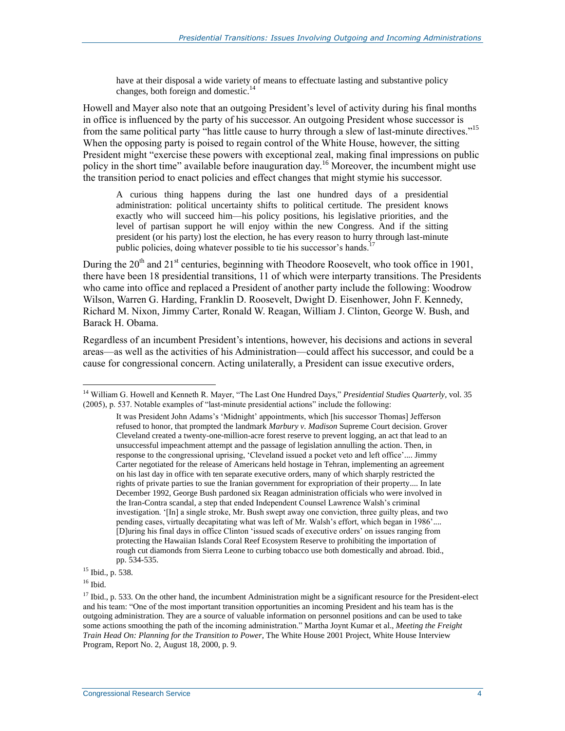have at their disposal a wide variety of means to effectuate lasting and substantive policy changes, both foreign and domestic.<sup>14</sup>

Howell and Mayer also note that an outgoing President's level of activity during his final months in office is influenced by the party of his successor. An outgoing President whose successor is from the same political party "has little cause to hurry through a slew of last-minute directives."<sup>15</sup> When the opposing party is poised to regain control of the White House, however, the sitting President might "exercise these powers with exceptional zeal, making final impressions on public policy in the short time" available before inauguration day.<sup>16</sup> Moreover, the incumbent might use the transition period to enact policies and effect changes that might stymie his successor.

A curious thing happens during the last one hundred days of a presidential administration: political uncertainty shifts to political certitude. The president knows exactly who will succeed him—his policy positions, his legislative priorities, and the level of partisan support he will enjoy within the new Congress. And if the sitting president (or his party) lost the election, he has every reason to hurry through last-minute public policies, doing whatever possible to tie his successor's hands.<sup>1</sup>

During the  $20<sup>th</sup>$  and  $21<sup>st</sup>$  centuries, beginning with Theodore Roosevelt, who took office in 1901, there have been 18 presidential transitions, 11 of which were interparty transitions. The Presidents who came into office and replaced a President of another party include the following: Woodrow Wilson, Warren G. Harding, Franklin D. Roosevelt, Dwight D. Eisenhower, John F. Kennedy, Richard M. Nixon, Jimmy Carter, Ronald W. Reagan, William J. Clinton, George W. Bush, and Barack H. Obama.

Regardless of an incumbent President's intentions, however, his decisions and actions in several areas—as well as the activities of his Administration—could affect his successor, and could be a cause for congressional concern. Acting unilaterally, a President can issue executive orders,

 $16$  Ibid.

<sup>14</sup> William G. Howell and Kenneth R. Mayer, "The Last One Hundred Days," *Presidential Studies Quarterly*, vol. 35 (2005), p. 537. Notable examples of "last-minute presidential actions" include the following:

It was President John Adams's 'Midnight' appointments, which [his successor Thomas] Jefferson refused to honor, that prompted the landmark *Marbury v. Madison* Supreme Court decision. Grover Cleveland created a twenty-one-million-acre forest reserve to prevent logging, an act that lead to an unsuccessful impeachment attempt and the passage of legislation annulling the action. Then, in response to the congressional uprising, 'Cleveland issued a pocket veto and left office'.... Jimmy Carter negotiated for the release of Americans held hostage in Tehran, implementing an agreement on his last day in office with ten separate executive orders, many of which sharply restricted the rights of private parties to sue the Iranian government for expropriation of their property.... In late December 1992, George Bush pardoned six Reagan administration officials who were involved in the Iran-Contra scandal, a step that ended Independent Counsel Lawrence Walsh's criminal investigation. '[In] a single stroke, Mr. Bush swept away one conviction, three guilty pleas, and two pending cases, virtually decapitating what was left of Mr. Walsh's effort, which began in 1986'.... [D]uring his final days in office Clinton 'issued scads of executive orders' on issues ranging from protecting the Hawaiian Islands Coral Reef Ecosystem Reserve to prohibiting the importation of rough cut diamonds from Sierra Leone to curbing tobacco use both domestically and abroad. Ibid., pp. 534-535.

<sup>15</sup> Ibid., p. 538.

 $17$  Ibid., p. 533. On the other hand, the incumbent Administration might be a significant resource for the President-elect and his team: "One of the most important transition opportunities an incoming President and his team has is the outgoing administration. They are a source of valuable information on personnel positions and can be used to take some actions smoothing the path of the incoming administration." Martha Joynt Kumar et al., *Meeting the Freight Train Head On: Planning for the Transition to Power*, The White House 2001 Project, White House Interview Program, Report No. 2, August 18, 2000, p. 9.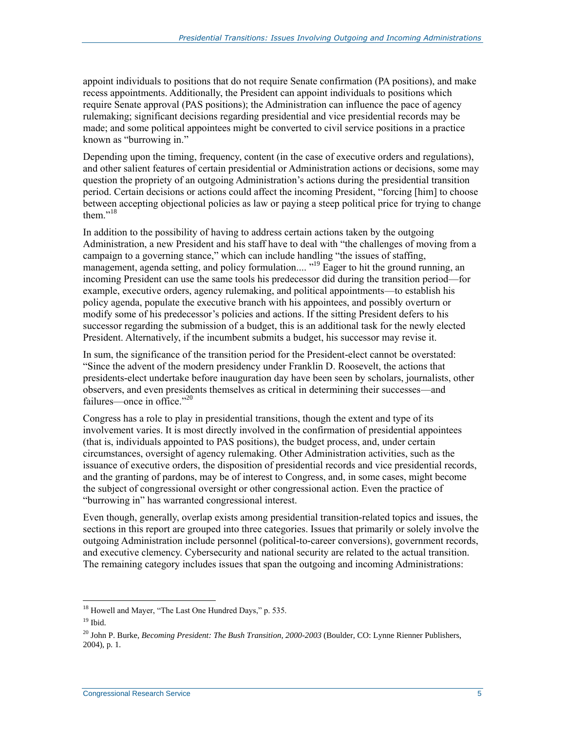appoint individuals to positions that do not require Senate confirmation (PA positions), and make recess appointments. Additionally, the President can appoint individuals to positions which require Senate approval (PAS positions); the Administration can influence the pace of agency rulemaking; significant decisions regarding presidential and vice presidential records may be made; and some political appointees might be converted to civil service positions in a practice known as "burrowing in."

Depending upon the timing, frequency, content (in the case of executive orders and regulations), and other salient features of certain presidential or Administration actions or decisions, some may question the propriety of an outgoing Administration's actions during the presidential transition period. Certain decisions or actions could affect the incoming President, "forcing [him] to choose between accepting objectional policies as law or paying a steep political price for trying to change them. $v^{18}$ 

In addition to the possibility of having to address certain actions taken by the outgoing Administration, a new President and his staff have to deal with "the challenges of moving from a campaign to a governing stance," which can include handling "the issues of staffing, management, agenda setting, and policy formulation.... "<sup>19</sup> Eager to hit the ground running, an incoming President can use the same tools his predecessor did during the transition period—for example, executive orders, agency rulemaking, and political appointments—to establish his policy agenda, populate the executive branch with his appointees, and possibly overturn or modify some of his predecessor's policies and actions. If the sitting President defers to his successor regarding the submission of a budget, this is an additional task for the newly elected President. Alternatively, if the incumbent submits a budget, his successor may revise it.

In sum, the significance of the transition period for the President-elect cannot be overstated: "Since the advent of the modern presidency under Franklin D. Roosevelt, the actions that presidents-elect undertake before inauguration day have been seen by scholars, journalists, other observers, and even presidents themselves as critical in determining their successes—and failures—once in office."<sup>20</sup>

Congress has a role to play in presidential transitions, though the extent and type of its involvement varies. It is most directly involved in the confirmation of presidential appointees (that is, individuals appointed to PAS positions), the budget process, and, under certain circumstances, oversight of agency rulemaking. Other Administration activities, such as the issuance of executive orders, the disposition of presidential records and vice presidential records, and the granting of pardons, may be of interest to Congress, and, in some cases, might become the subject of congressional oversight or other congressional action. Even the practice of "burrowing in" has warranted congressional interest.

Even though, generally, overlap exists among presidential transition-related topics and issues, the sections in this report are grouped into three categories. Issues that primarily or solely involve the outgoing Administration include personnel (political-to-career conversions), government records, and executive clemency. Cybersecurity and national security are related to the actual transition. The remaining category includes issues that span the outgoing and incoming Administrations:

 $\overline{a}$  $18$  Howell and Mayer, "The Last One Hundred Days," p. 535.

 $19$  Ibid.

<sup>20</sup> John P. Burke, *Becoming President: The Bush Transition, 2000-2003* (Boulder, CO: Lynne Rienner Publishers, 2004), p. 1.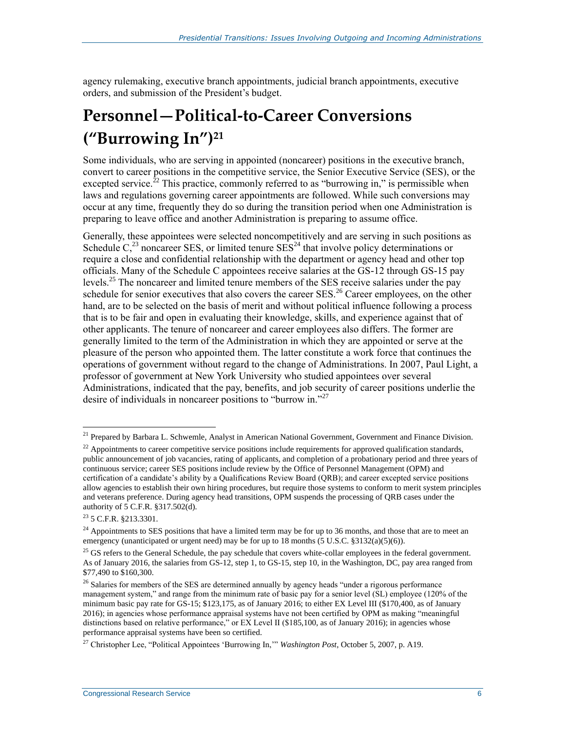agency rulemaking, executive branch appointments, judicial branch appointments, executive orders, and submission of the President's budget.

## **Personnel—Political-to-Career Conversions ("Burrowing In") 21**

Some individuals, who are serving in appointed (noncareer) positions in the executive branch, convert to career positions in the competitive service, the Senior Executive Service (SES), or the excepted service.<sup>22</sup> This practice, commonly referred to as "burrowing in," is permissible when laws and regulations governing career appointments are followed. While such conversions may occur at any time, frequently they do so during the transition period when one Administration is preparing to leave office and another Administration is preparing to assume office.

Generally, these appointees were selected noncompetitively and are serving in such positions as Schedule  $C<sub>2</sub><sup>23</sup>$  noncareer SES, or limited tenure SES<sup>24</sup> that involve policy determinations or require a close and confidential relationship with the department or agency head and other top officials. Many of the Schedule C appointees receive salaries at the GS-12 through GS-15 pay levels.<sup>25</sup> The noncareer and limited tenure members of the SES receive salaries under the pay schedule for senior executives that also covers the career SES.<sup>26</sup> Career employees, on the other hand, are to be selected on the basis of merit and without political influence following a process that is to be fair and open in evaluating their knowledge, skills, and experience against that of other applicants. The tenure of noncareer and career employees also differs. The former are generally limited to the term of the Administration in which they are appointed or serve at the pleasure of the person who appointed them. The latter constitute a work force that continues the operations of government without regard to the change of Administrations. In 2007, Paul Light, a professor of government at New York University who studied appointees over several Administrations, indicated that the pay, benefits, and job security of career positions underlie the desire of individuals in noncareer positions to "burrow in."<sup>27</sup>

<sup>&</sup>lt;sup>21</sup> Prepared by Barbara L. Schwemle, Analyst in American National Government, Government and Finance Division.

 $^{22}$  Appointments to career competitive service positions include requirements for approved qualification standards, public announcement of job vacancies, rating of applicants, and completion of a probationary period and three years of continuous service; career SES positions include review by the Office of Personnel Management (OPM) and certification of a candidate's ability by a Qualifications Review Board (QRB); and career excepted service positions allow agencies to establish their own hiring procedures, but require those systems to conform to merit system principles and veterans preference. During agency head transitions, OPM suspends the processing of QRB cases under the authority of 5 C.F.R. §317.502(d).

<sup>23</sup> 5 C.F.R. §213.3301.

 $24$  Appointments to SES positions that have a limited term may be for up to 36 months, and those that are to meet an emergency (unanticipated or urgent need) may be for up to 18 months  $(5 \text{ U.S.C. } §3132(a)(5)(6))$ .

 $^{25}$  GS refers to the General Schedule, the pay schedule that covers white-collar employees in the federal government. As of January 2016, the salaries from GS-12, step 1, to GS-15, step 10, in the Washington, DC, pay area ranged from \$77,490 to \$160,300.

<sup>&</sup>lt;sup>26</sup> Salaries for members of the SES are determined annually by agency heads "under a rigorous performance management system," and range from the minimum rate of basic pay for a senior level (SL) employee (120% of the minimum basic pay rate for GS-15; \$123,175, as of January 2016; to either EX Level III (\$170,400, as of January 2016); in agencies whose performance appraisal systems have not been certified by OPM as making "meaningful distinctions based on relative performance," or EX Level II (\$185,100, as of January 2016); in agencies whose performance appraisal systems have been so certified.

<sup>27</sup> Christopher Lee, "Political Appointees 'Burrowing In,'" *Washington Post*, October 5, 2007, p. A19.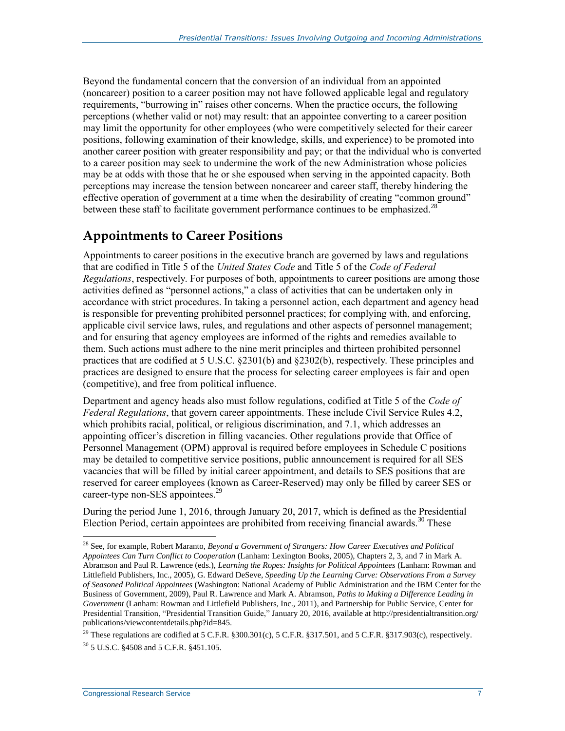Beyond the fundamental concern that the conversion of an individual from an appointed (noncareer) position to a career position may not have followed applicable legal and regulatory requirements, "burrowing in" raises other concerns. When the practice occurs, the following perceptions (whether valid or not) may result: that an appointee converting to a career position may limit the opportunity for other employees (who were competitively selected for their career positions, following examination of their knowledge, skills, and experience) to be promoted into another career position with greater responsibility and pay; or that the individual who is converted to a career position may seek to undermine the work of the new Administration whose policies may be at odds with those that he or she espoused when serving in the appointed capacity. Both perceptions may increase the tension between noncareer and career staff, thereby hindering the effective operation of government at a time when the desirability of creating "common ground" between these staff to facilitate government performance continues to be emphasized.<sup>28</sup>

#### **Appointments to Career Positions**

Appointments to career positions in the executive branch are governed by laws and regulations that are codified in Title 5 of the *United States Code* and Title 5 of the *Code of Federal Regulations*, respectively. For purposes of both, appointments to career positions are among those activities defined as "personnel actions," a class of activities that can be undertaken only in accordance with strict procedures. In taking a personnel action, each department and agency head is responsible for preventing prohibited personnel practices; for complying with, and enforcing, applicable civil service laws, rules, and regulations and other aspects of personnel management; and for ensuring that agency employees are informed of the rights and remedies available to them. Such actions must adhere to the nine merit principles and thirteen prohibited personnel practices that are codified at 5 U.S.C. §2301(b) and §2302(b), respectively. These principles and practices are designed to ensure that the process for selecting career employees is fair and open (competitive), and free from political influence.

Department and agency heads also must follow regulations, codified at Title 5 of the *Code of Federal Regulations*, that govern career appointments. These include Civil Service Rules 4.2, which prohibits racial, political, or religious discrimination, and 7.1, which addresses an appointing officer's discretion in filling vacancies. Other regulations provide that Office of Personnel Management (OPM) approval is required before employees in Schedule C positions may be detailed to competitive service positions, public announcement is required for all SES vacancies that will be filled by initial career appointment, and details to SES positions that are reserved for career employees (known as Career-Reserved) may only be filled by career SES or career-type non-SES appointees.<sup>29</sup>

During the period June 1, 2016, through January 20, 2017, which is defined as the Presidential Election Period, certain appointees are prohibited from receiving financial awards.<sup>30</sup> These

<sup>28</sup> See, for example, Robert Maranto, *Beyond a Government of Strangers: How Career Executives and Political Appointees Can Turn Conflict to Cooperation* (Lanham: Lexington Books, 2005), Chapters 2, 3, and 7 in Mark A. Abramson and Paul R. Lawrence (eds.), *Learning the Ropes: Insights for Political Appointees* (Lanham: Rowman and Littlefield Publishers, Inc., 2005), G. Edward DeSeve, *Speeding Up the Learning Curve: Observations From a Survey of Seasoned Political Appointees* (Washington: National Academy of Public Administration and the IBM Center for the Business of Government, 2009), Paul R. Lawrence and Mark A. Abramson, *Paths to Making a Difference Leading in Government* (Lanham: Rowman and Littlefield Publishers, Inc., 2011), and Partnership for Public Service, Center for Presidential Transition, "Presidential Transition Guide," January 20, 2016, available at http://presidentialtransition.org/ publications/viewcontentdetails.php?id=845.

<sup>&</sup>lt;sup>29</sup> These regulations are codified at 5 C.F.R.  $$300.301(c)$ , 5 C.F.R.  $$317.501$ , and 5 C.F.R.  $$317.903(c)$ , respectively. <sup>30</sup> 5 U.S.C. §4508 and 5 C.F.R. §451.105.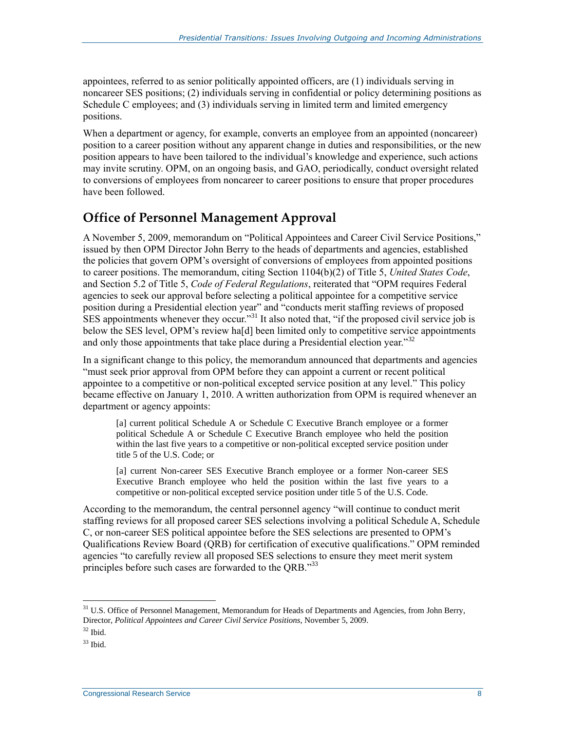appointees, referred to as senior politically appointed officers, are (1) individuals serving in noncareer SES positions; (2) individuals serving in confidential or policy determining positions as Schedule C employees; and (3) individuals serving in limited term and limited emergency positions.

When a department or agency, for example, converts an employee from an appointed (noncareer) position to a career position without any apparent change in duties and responsibilities, or the new position appears to have been tailored to the individual's knowledge and experience, such actions may invite scrutiny. OPM, on an ongoing basis, and GAO, periodically, conduct oversight related to conversions of employees from noncareer to career positions to ensure that proper procedures have been followed.

#### **Office of Personnel Management Approval**

A November 5, 2009, memorandum on "Political Appointees and Career Civil Service Positions," issued by then OPM Director John Berry to the heads of departments and agencies, established the policies that govern OPM's oversight of conversions of employees from appointed positions to career positions. The memorandum, citing Section 1104(b)(2) of Title 5, *United States Code*, and Section 5.2 of Title 5, *Code of Federal Regulations*, reiterated that "OPM requires Federal agencies to seek our approval before selecting a political appointee for a competitive service position during a Presidential election year" and "conducts merit staffing reviews of proposed  $\overline{\text{SES}}$  appointments whenever they occur."<sup>31</sup> It also noted that, "if the proposed civil service job is below the SES level, OPM's review ha<sup>[d]</sup> been limited only to competitive service appointments and only those appointments that take place during a Presidential election year."<sup>32</sup>

In a significant change to this policy, the memorandum announced that departments and agencies "must seek prior approval from OPM before they can appoint a current or recent political appointee to a competitive or non-political excepted service position at any level." This policy became effective on January 1, 2010. A written authorization from OPM is required whenever an department or agency appoints:

[a] current political Schedule A or Schedule C Executive Branch employee or a former political Schedule A or Schedule C Executive Branch employee who held the position within the last five years to a competitive or non-political excepted service position under title 5 of the U.S. Code; or

[a] current Non-career SES Executive Branch employee or a former Non-career SES Executive Branch employee who held the position within the last five years to a competitive or non-political excepted service position under title 5 of the U.S. Code.

According to the memorandum, the central personnel agency "will continue to conduct merit staffing reviews for all proposed career SES selections involving a political Schedule A, Schedule C, or non-career SES political appointee before the SES selections are presented to OPM's Qualifications Review Board (QRB) for certification of executive qualifications." OPM reminded agencies "to carefully review all proposed SES selections to ensure they meet merit system principles before such cases are forwarded to the QRB."33

<sup>&</sup>lt;sup>31</sup> U.S. Office of Personnel Management, Memorandum for Heads of Departments and Agencies, from John Berry, Director, *Political Appointees and Career Civil Service Positions*, November 5, 2009.

 $^{32}$  Ibid.

 $33$  Ibid.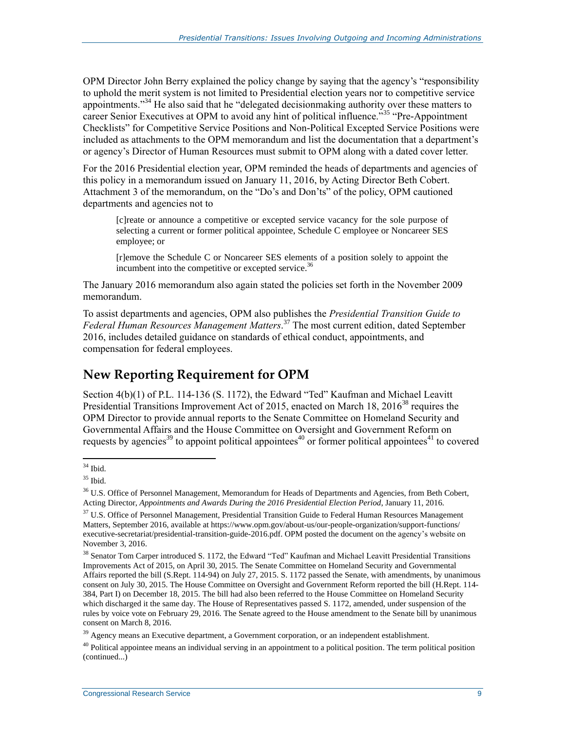OPM Director John Berry explained the policy change by saying that the agency's "responsibility to uphold the merit system is not limited to Presidential election years nor to competitive service appointments."<sup>34</sup> He also said that he "delegated decisionmaking authority over these matters to career Senior Executives at OPM to avoid any hint of political influence.<sup>35</sup> "Pre-Appointment" Checklists" for Competitive Service Positions and Non-Political Excepted Service Positions were included as attachments to the OPM memorandum and list the documentation that a department's or agency's Director of Human Resources must submit to OPM along with a dated cover letter.

For the 2016 Presidential election year, OPM reminded the heads of departments and agencies of this policy in a memorandum issued on January 11, 2016, by Acting Director Beth Cobert. Attachment 3 of the memorandum, on the "Do's and Don'ts" of the policy, OPM cautioned departments and agencies not to

[c]reate or announce a competitive or excepted service vacancy for the sole purpose of selecting a current or former political appointee, Schedule C employee or Noncareer SES employee; or

[r]emove the Schedule C or Noncareer SES elements of a position solely to appoint the incumbent into the competitive or excepted service.<sup>36</sup>

The January 2016 memorandum also again stated the policies set forth in the November 2009 memorandum.

To assist departments and agencies, OPM also publishes the *Presidential Transition Guide to Federal Human Resources Management Matters*. <sup>37</sup> The most current edition, dated September 2016, includes detailed guidance on standards of ethical conduct, appointments, and compensation for federal employees.

#### **New Reporting Requirement for OPM**

Section 4(b)(1) of P.L. 114-136 (S. 1172), the Edward "Ted" Kaufman and Michael Leavitt Presidential Transitions Improvement Act of 2015, enacted on March 18,  $2016^{38}$  requires the OPM Director to provide annual reports to the Senate Committee on Homeland Security and Governmental Affairs and the House Committee on Oversight and Government Reform on requests by agencies<sup>39</sup> to appoint political appointees<sup>40</sup> or former political appointees<sup>41</sup> to covered

 $\overline{a}$  $34$  Ibid.

 $^{35}$  Ibid.

<sup>&</sup>lt;sup>36</sup> U.S. Office of Personnel Management, Memorandum for Heads of Departments and Agencies, from Beth Cobert, Acting Director, *Appointments and Awards During the 2016 Presidential Election Period*, January 11, 2016.

<sup>&</sup>lt;sup>37</sup> U.S. Office of Personnel Management, Presidential Transition Guide to Federal Human Resources Management Matters, September 2016, available at https://www.opm.gov/about-us/our-people-organization/support-functions/ executive-secretariat/presidential-transition-guide-2016.pdf. OPM posted the document on the agency's website on November 3, 2016.

<sup>&</sup>lt;sup>38</sup> Senator Tom Carper introduced S. 1172, the Edward "Ted" Kaufman and Michael Leavitt Presidential Transitions Improvements Act of 2015, on April 30, 2015. The Senate Committee on Homeland Security and Governmental Affairs reported the bill (S.Rept. 114-94) on July 27, 2015. S. 1172 passed the Senate, with amendments, by unanimous consent on July 30, 2015. The House Committee on Oversight and Government Reform reported the bill (H.Rept. 114- 384, Part I) on December 18, 2015. The bill had also been referred to the House Committee on Homeland Security which discharged it the same day. The House of Representatives passed S. 1172, amended, under suspension of the rules by voice vote on February 29, 2016. The Senate agreed to the House amendment to the Senate bill by unanimous consent on March 8, 2016.

<sup>&</sup>lt;sup>39</sup> Agency means an Executive department, a Government corporation, or an independent establishment.

 $40$  Political appointee means an individual serving in an appointment to a political position. The term political position (continued...)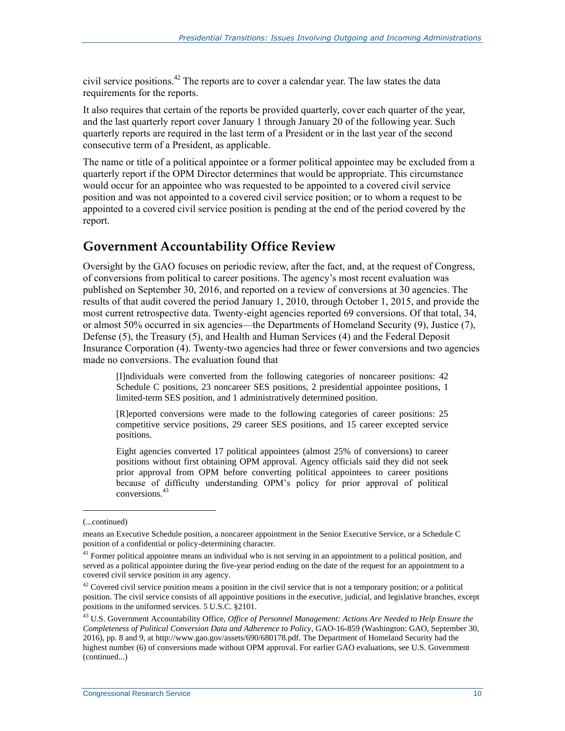civil service positions.<sup>42</sup> The reports are to cover a calendar year. The law states the data requirements for the reports.

It also requires that certain of the reports be provided quarterly, cover each quarter of the year, and the last quarterly report cover January 1 through January 20 of the following year. Such quarterly reports are required in the last term of a President or in the last year of the second consecutive term of a President, as applicable.

The name or title of a political appointee or a former political appointee may be excluded from a quarterly report if the OPM Director determines that would be appropriate. This circumstance would occur for an appointee who was requested to be appointed to a covered civil service position and was not appointed to a covered civil service position; or to whom a request to be appointed to a covered civil service position is pending at the end of the period covered by the report.

#### **Government Accountability Office Review**

Oversight by the GAO focuses on periodic review, after the fact, and, at the request of Congress, of conversions from political to career positions. The agency's most recent evaluation was published on September 30, 2016, and reported on a review of conversions at 30 agencies. The results of that audit covered the period January 1, 2010, through October 1, 2015, and provide the most current retrospective data. Twenty-eight agencies reported 69 conversions. Of that total, 34, or almost 50% occurred in six agencies—the Departments of Homeland Security (9), Justice (7), Defense (5), the Treasury (5), and Health and Human Services (4) and the Federal Deposit Insurance Corporation (4). Twenty-two agencies had three or fewer conversions and two agencies made no conversions. The evaluation found that

[I]ndividuals were converted from the following categories of noncareer positions: 42 Schedule C positions, 23 noncareer SES positions, 2 presidential appointee positions, 1 limited-term SES position, and 1 administratively determined position.

[R]eported conversions were made to the following categories of career positions: 25 competitive service positions, 29 career SES positions, and 15 career excepted service positions.

Eight agencies converted 17 political appointees (almost 25% of conversions) to career positions without first obtaining OPM approval. Agency officials said they did not seek prior approval from OPM before converting political appointees to career positions because of difficulty understanding OPM's policy for prior approval of political conversions.<sup>43</sup>

<sup>(...</sup>continued)

means an Executive Schedule position, a noncareer appointment in the Senior Executive Service, or a Schedule C position of a confidential or policy-determining character.

<sup>&</sup>lt;sup>41</sup> Former political appointee means an individual who is not serving in an appointment to a political position, and served as a political appointee during the five-year period ending on the date of the request for an appointment to a covered civil service position in any agency.

 $42$  Covered civil service position means a position in the civil service that is not a temporary position; or a political position. The civil service consists of all appointive positions in the executive, judicial, and legislative branches, except positions in the uniformed services. 5 U.S.C. §2101.

<sup>43</sup> U.S. Government Accountability Office, *Office of Personnel Management: Actions Are Needed to Help Ensure the Completeness of Political Conversion Data and Adherence to Policy*, GAO-16-859 (Washington: GAO, September 30, 2016), pp. 8 and 9, at http://www.gao.gov/assets/690/680178.pdf. The Department of Homeland Security had the highest number (6) of conversions made without OPM approval. For earlier GAO evaluations, see U.S. Government (continued...)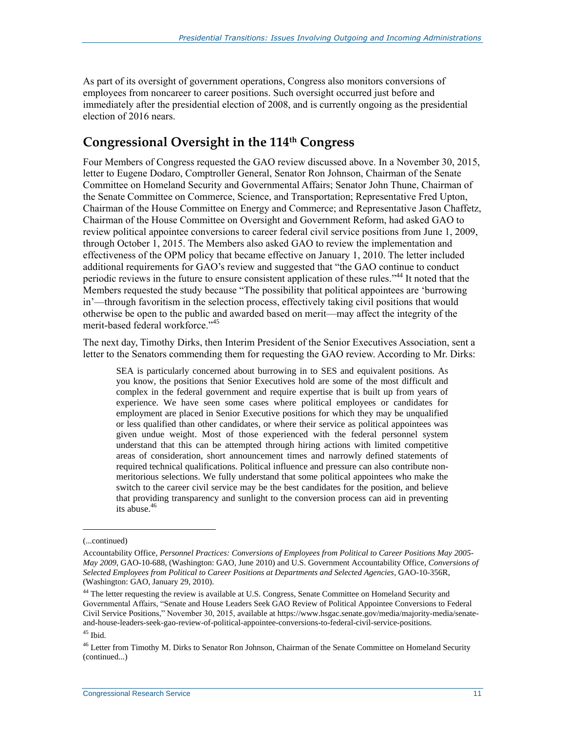As part of its oversight of government operations, Congress also monitors conversions of employees from noncareer to career positions. Such oversight occurred just before and immediately after the presidential election of 2008, and is currently ongoing as the presidential election of 2016 nears.

#### **Congressional Oversight in the 114th Congress**

Four Members of Congress requested the GAO review discussed above. In a November 30, 2015, letter to Eugene Dodaro, Comptroller General, Senator Ron Johnson, Chairman of the Senate Committee on Homeland Security and Governmental Affairs; Senator John Thune, Chairman of the Senate Committee on Commerce, Science, and Transportation; Representative Fred Upton, Chairman of the House Committee on Energy and Commerce; and Representative Jason Chaffetz, Chairman of the House Committee on Oversight and Government Reform, had asked GAO to review political appointee conversions to career federal civil service positions from June 1, 2009, through October 1, 2015. The Members also asked GAO to review the implementation and effectiveness of the OPM policy that became effective on January 1, 2010. The letter included additional requirements for GAO's review and suggested that "the GAO continue to conduct periodic reviews in the future to ensure consistent application of these rules."<sup>44</sup> It noted that the Members requested the study because "The possibility that political appointees are 'burrowing in'—through favoritism in the selection process, effectively taking civil positions that would otherwise be open to the public and awarded based on merit—may affect the integrity of the merit-based federal workforce." 45

The next day, Timothy Dirks, then Interim President of the Senior Executives Association, sent a letter to the Senators commending them for requesting the GAO review. According to Mr. Dirks:

SEA is particularly concerned about burrowing in to SES and equivalent positions. As you know, the positions that Senior Executives hold are some of the most difficult and complex in the federal government and require expertise that is built up from years of experience. We have seen some cases where political employees or candidates for employment are placed in Senior Executive positions for which they may be unqualified or less qualified than other candidates, or where their service as political appointees was given undue weight. Most of those experienced with the federal personnel system understand that this can be attempted through hiring actions with limited competitive areas of consideration, short announcement times and narrowly defined statements of required technical qualifications. Political influence and pressure can also contribute nonmeritorious selections. We fully understand that some political appointees who make the switch to the career civil service may be the best candidates for the position, and believe that providing transparency and sunlight to the conversion process can aid in preventing its abuse.<sup>46</sup>

<sup>(...</sup>continued)

Accountability Office, *Personnel Practices: Conversions of Employees from Political to Career Positions May 2005- May 2009*, GAO-10-688, (Washington: GAO, June 2010) and U.S. Government Accountability Office, *Conversions of Selected Employees from Political to Career Positions at Departments and Selected Agencies*, GAO-10-356R, (Washington: GAO, January 29, 2010).

<sup>&</sup>lt;sup>44</sup> The letter requesting the review is available at U.S. Congress, Senate Committee on Homeland Security and Governmental Affairs, "Senate and House Leaders Seek GAO Review of Political Appointee Conversions to Federal Civil Service Positions," November 30, 2015, available at https://www.hsgac.senate.gov/media/majority-media/senateand-house-leaders-seek-gao-review-of-political-appointee-conversions-to-federal-civil-service-positions.

 $^{45}$  Ibid.

<sup>&</sup>lt;sup>46</sup> Letter from Timothy M. Dirks to Senator Ron Johnson, Chairman of the Senate Committee on Homeland Security (continued...)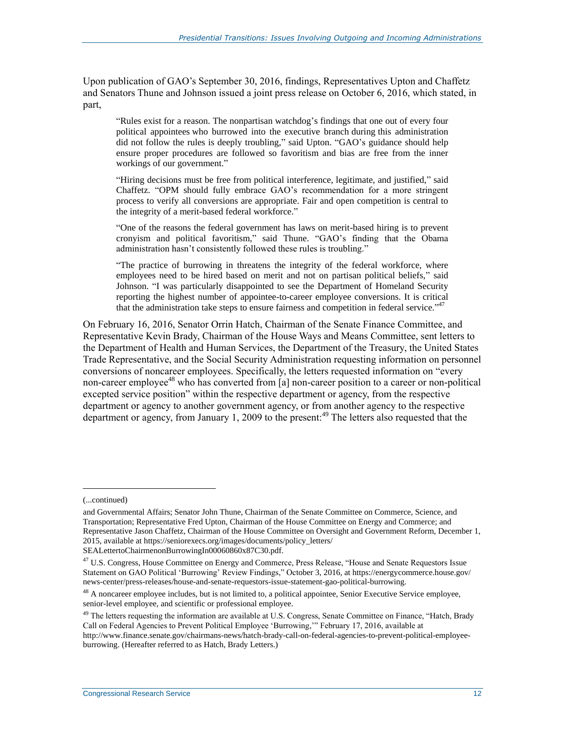Upon publication of GAO's September 30, 2016, findings, Representatives Upton and Chaffetz and Senators Thune and Johnson issued a joint press release on October 6, 2016, which stated, in part,

"Rules exist for a reason. The nonpartisan watchdog's findings that one out of every four political appointees who burrowed into the executive branch during this administration did not follow the rules is deeply troubling," said Upton. "GAO's guidance should help ensure proper procedures are followed so favoritism and bias are free from the inner workings of our government."

"Hiring decisions must be free from political interference, legitimate, and justified," said Chaffetz. "OPM should fully embrace GAO's recommendation for a more stringent process to verify all conversions are appropriate. Fair and open competition is central to the integrity of a merit-based federal workforce."

"One of the reasons the federal government has laws on merit-based hiring is to prevent cronyism and political favoritism," said Thune. "GAO's finding that the Obama administration hasn't consistently followed these rules is troubling."

"The practice of burrowing in threatens the integrity of the federal workforce, where employees need to be hired based on merit and not on partisan political beliefs," said Johnson. "I was particularly disappointed to see the Department of Homeland Security reporting the highest number of appointee-to-career employee conversions. It is critical that the administration take steps to ensure fairness and competition in federal service." 47

On February 16, 2016, Senator Orrin Hatch, Chairman of the Senate Finance Committee, and Representative Kevin Brady, Chairman of the House Ways and Means Committee, sent letters to the Department of Health and Human Services, the Department of the Treasury, the United States Trade Representative, and the Social Security Administration requesting information on personnel conversions of noncareer employees. Specifically, the letters requested information on "every non-career employee<sup>48</sup> who has converted from [a] non-career position to a career or non-political excepted service position" within the respective department or agency, from the respective department or agency to another government agency, or from another agency to the respective department or agency, from January 1, 2009 to the present:<sup>49</sup> The letters also requested that the

<sup>(...</sup>continued)

and Governmental Affairs; Senator John Thune, Chairman of the Senate Committee on Commerce, Science, and Transportation; Representative Fred Upton, Chairman of the House Committee on Energy and Commerce; and Representative Jason Chaffetz, Chairman of the House Committee on Oversight and Government Reform, December 1, 2015, available at https://seniorexecs.org/images/documents/policy\_letters/

SEALettertoChairmenonBurrowingIn00060860x87C30.pdf.

<sup>&</sup>lt;sup>47</sup> U.S. Congress, House Committee on Energy and Commerce, Press Release, "House and Senate Requestors Issue Statement on GAO Political 'Burrowing' Review Findings," October 3, 2016, at https://energycommerce.house.gov/ news-center/press-releases/house-and-senate-requestors-issue-statement-gao-political-burrowing.

<sup>&</sup>lt;sup>48</sup> A noncareer employee includes, but is not limited to, a political appointee, Senior Executive Service employee, senior-level employee, and scientific or professional employee.

<sup>&</sup>lt;sup>49</sup> The letters requesting the information are available at U.S. Congress, Senate Committee on Finance, "Hatch, Brady Call on Federal Agencies to Prevent Political Employee 'Burrowing,'" February 17, 2016, available at

http://www.finance.senate.gov/chairmans-news/hatch-brady-call-on-federal-agencies-to-prevent-political-employeeburrowing. (Hereafter referred to as Hatch, Brady Letters.)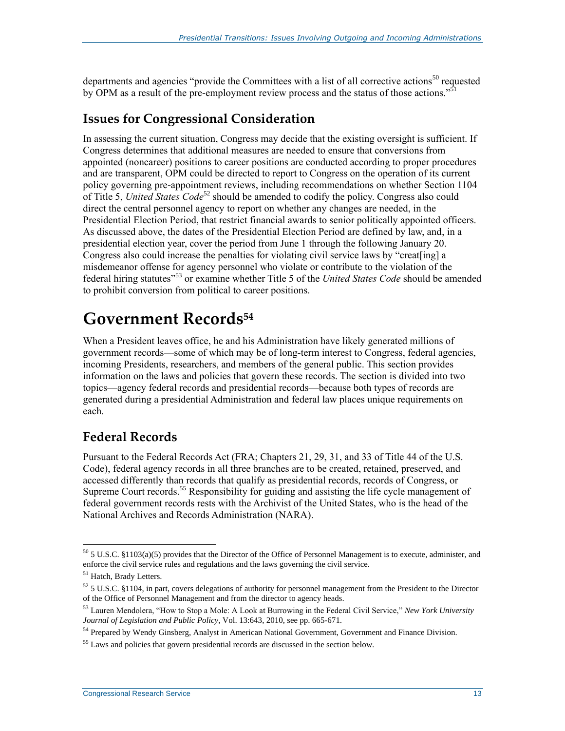departments and agencies "provide the Committees with a list of all corrective actions<sup>50</sup> requested by OPM as a result of the pre-employment review process and the status of those actions."<sup>51</sup>

#### **Issues for Congressional Consideration**

In assessing the current situation, Congress may decide that the existing oversight is sufficient. If Congress determines that additional measures are needed to ensure that conversions from appointed (noncareer) positions to career positions are conducted according to proper procedures and are transparent, OPM could be directed to report to Congress on the operation of its current policy governing pre-appointment reviews, including recommendations on whether Section 1104 of Title 5, *United States Code*<sup>52</sup> should be amended to codify the policy. Congress also could direct the central personnel agency to report on whether any changes are needed, in the Presidential Election Period, that restrict financial awards to senior politically appointed officers. As discussed above, the dates of the Presidential Election Period are defined by law, and, in a presidential election year, cover the period from June 1 through the following January 20. Congress also could increase the penalties for violating civil service laws by "creat[ing] a misdemeanor offense for agency personnel who violate or contribute to the violation of the federal hiring statutes"<sup>53</sup> or examine whether Title 5 of the *United States Code* should be amended to prohibit conversion from political to career positions.

### **Government Records<sup>54</sup>**

When a President leaves office, he and his Administration have likely generated millions of government records—some of which may be of long-term interest to Congress, federal agencies, incoming Presidents, researchers, and members of the general public. This section provides information on the laws and policies that govern these records. The section is divided into two topics—agency federal records and presidential records—because both types of records are generated during a presidential Administration and federal law places unique requirements on each.

#### **Federal Records**

Pursuant to the Federal Records Act (FRA; Chapters 21, 29, 31, and 33 of Title 44 of the U.S. Code), federal agency records in all three branches are to be created, retained, preserved, and accessed differently than records that qualify as presidential records, records of Congress, or Supreme Court records.<sup>55</sup> Responsibility for guiding and assisting the life cycle management of federal government records rests with the Archivist of the United States, who is the head of the National Archives and Records Administration (NARA).

 $50$  5 U.S.C. §1103(a)(5) provides that the Director of the Office of Personnel Management is to execute, administer, and enforce the civil service rules and regulations and the laws governing the civil service.

<sup>&</sup>lt;sup>51</sup> Hatch, Brady Letters.

 $52$  5 U.S.C. §1104, in part, covers delegations of authority for personnel management from the President to the Director of the Office of Personnel Management and from the director to agency heads.

<sup>53</sup> Lauren Mendolera, "How to Stop a Mole: A Look at Burrowing in the Federal Civil Service," *New York University Journal of Legislation and Public Policy*, Vol. 13:643, 2010, see pp. 665-671.

<sup>&</sup>lt;sup>54</sup> Prepared by Wendy Ginsberg, Analyst in American National Government, Government and Finance Division.

<sup>&</sup>lt;sup>55</sup> Laws and policies that govern presidential records are discussed in the section below.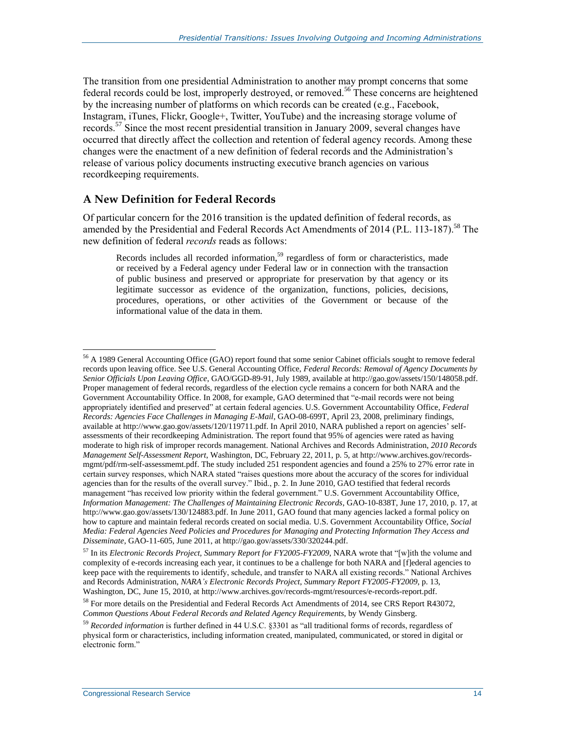The transition from one presidential Administration to another may prompt concerns that some federal records could be lost, improperly destroyed, or removed.<sup>56</sup> These concerns are heightened by the increasing number of platforms on which records can be created (e.g., Facebook, Instagram, iTunes, Flickr, Google+, Twitter, YouTube) and the increasing storage volume of records.<sup>57</sup> Since the most recent presidential transition in January 2009, several changes have occurred that directly affect the collection and retention of federal agency records. Among these changes were the enactment of a new definition of federal records and the Administration's release of various policy documents instructing executive branch agencies on various recordkeeping requirements.

#### **A New Definition for Federal Records**

Of particular concern for the 2016 transition is the updated definition of federal records, as amended by the Presidential and Federal Records Act Amendments of 2014 (P.L. 113-187).<sup>58</sup> The new definition of federal *records* reads as follows:

Records includes all recorded information,<sup>59</sup> regardless of form or characteristics, made or received by a Federal agency under Federal law or in connection with the transaction of public business and preserved or appropriate for preservation by that agency or its legitimate successor as evidence of the organization, functions, policies, decisions, procedures, operations, or other activities of the Government or because of the informational value of the data in them.

<sup>&</sup>lt;sup>56</sup> A 1989 General Accounting Office (GAO) report found that some senior Cabinet officials sought to remove federal records upon leaving office. See U.S. General Accounting Office, *Federal Records: Removal of Agency Documents by Senior Officials Upon Leaving Office*, GAO/GGD-89-91, July 1989, available at http://gao.gov/assets/150/148058.pdf. Proper management of federal records, regardless of the election cycle remains a concern for both NARA and the Government Accountability Office. In 2008, for example, GAO determined that "e-mail records were not being appropriately identified and preserved" at certain federal agencies. U.S. Government Accountability Office, *Federal Records: Agencies Face Challenges in Managing E-Mail*, GAO-08-699T, April 23, 2008, preliminary findings, available at http://www.gao.gov/assets/120/119711.pdf. In April 2010, NARA published a report on agencies' selfassessments of their recordkeeping Administration. The report found that 95% of agencies were rated as having moderate to high risk of improper records management. National Archives and Records Administration, *2010 Records Management Self-Assessment Report*, Washington, DC, February 22, 2011, p. 5, at http://www.archives.gov/recordsmgmt/pdf/rm-self-assessmemt.pdf. The study included 251 respondent agencies and found a 25% to 27% error rate in certain survey responses, which NARA stated "raises questions more about the accuracy of the scores for individual agencies than for the results of the overall survey." Ibid., p. 2. In June 2010, GAO testified that federal records management "has received low priority within the federal government." U.S. Government Accountability Office, *Information Management: The Challenges of Maintaining Electronic Records*, GAO-10-838T, June 17, 2010, p. 17, at http://www.gao.gov/assets/130/124883.pdf. In June 2011, GAO found that many agencies lacked a formal policy on how to capture and maintain federal records created on social media. U.S. Government Accountability Office, *Social Media: Federal Agencies Need Policies and Procedures for Managing and Protecting Information They Access and Disseminate*, GAO-11-605, June 2011, at http://gao.gov/assets/330/320244.pdf.

<sup>57</sup> In its *Electronic Records Project, Summary Report for FY2005-FY2009*, NARA wrote that "[w]ith the volume and complexity of e-records increasing each year, it continues to be a challenge for both NARA and [f]ederal agencies to keep pace with the requirements to identify, schedule, and transfer to NARA all existing records." National Archives and Records Administration, *NARA's Electronic Records Project*, *Summary Report FY2005-FY2009*, p. 13, Washington, DC, June 15, 2010, at http://www.archives.gov/records-mgmt/resources/e-records-report.pdf.

<sup>&</sup>lt;sup>58</sup> For more details on the Presidential and Federal Records Act Amendments of 2014, see CRS Report R43072, *Common Questions About Federal Records and Related Agency Requirements*, by Wendy Ginsberg.

<sup>59</sup> *Recorded information* is further defined in 44 U.S.C. §3301 as "all traditional forms of records, regardless of physical form or characteristics, including information created, manipulated, communicated, or stored in digital or electronic form."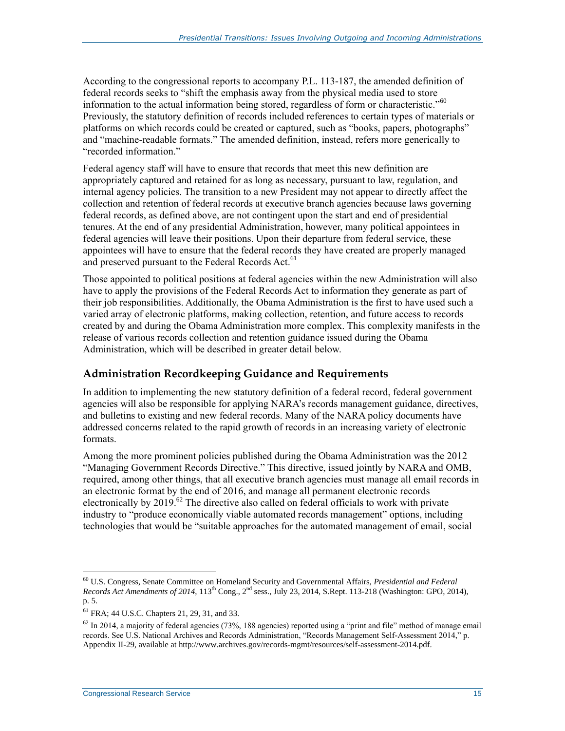According to the congressional reports to accompany P.L. 113-187, the amended definition of federal records seeks to "shift the emphasis away from the physical media used to store information to the actual information being stored, regardless of form or characteristic."<sup>60</sup> Previously, the statutory definition of records included references to certain types of materials or platforms on which records could be created or captured, such as "books, papers, photographs" and "machine-readable formats." The amended definition, instead, refers more generically to "recorded information."

Federal agency staff will have to ensure that records that meet this new definition are appropriately captured and retained for as long as necessary, pursuant to law, regulation, and internal agency policies. The transition to a new President may not appear to directly affect the collection and retention of federal records at executive branch agencies because laws governing federal records, as defined above, are not contingent upon the start and end of presidential tenures. At the end of any presidential Administration, however, many political appointees in federal agencies will leave their positions. Upon their departure from federal service, these appointees will have to ensure that the federal records they have created are properly managed and preserved pursuant to the Federal Records Act.<sup>61</sup>

Those appointed to political positions at federal agencies within the new Administration will also have to apply the provisions of the Federal Records Act to information they generate as part of their job responsibilities. Additionally, the Obama Administration is the first to have used such a varied array of electronic platforms, making collection, retention, and future access to records created by and during the Obama Administration more complex. This complexity manifests in the release of various records collection and retention guidance issued during the Obama Administration, which will be described in greater detail below.

#### **Administration Recordkeeping Guidance and Requirements**

In addition to implementing the new statutory definition of a federal record, federal government agencies will also be responsible for applying NARA's records management guidance, directives, and bulletins to existing and new federal records. Many of the NARA policy documents have addressed concerns related to the rapid growth of records in an increasing variety of electronic formats.

Among the more prominent policies published during the Obama Administration was the 2012 "Managing Government Records Directive." This directive, issued jointly by NARA and OMB, required, among other things, that all executive branch agencies must manage all email records in an electronic format by the end of 2016, and manage all permanent electronic records electronically by 2019.<sup>62</sup> The directive also called on federal officials to work with private industry to "produce economically viable automated records management" options, including technologies that would be "suitable approaches for the automated management of email, social

<sup>60</sup> U.S. Congress, Senate Committee on Homeland Security and Governmental Affairs, *Presidential and Federal Records Act Amendments of 2014*, 113th Cong., 2nd sess., July 23, 2014, S.Rept. 113-218 (Washington: GPO, 2014), p. 5.

<sup>61</sup> FRA; 44 U.S.C. Chapters 21, 29, 31, and 33.

 $62$  In 2014, a majority of federal agencies (73%, 188 agencies) reported using a "print and file" method of manage email records. See U.S. National Archives and Records Administration, "Records Management Self-Assessment 2014," p. Appendix II-29, available at http://www.archives.gov/records-mgmt/resources/self-assessment-2014.pdf.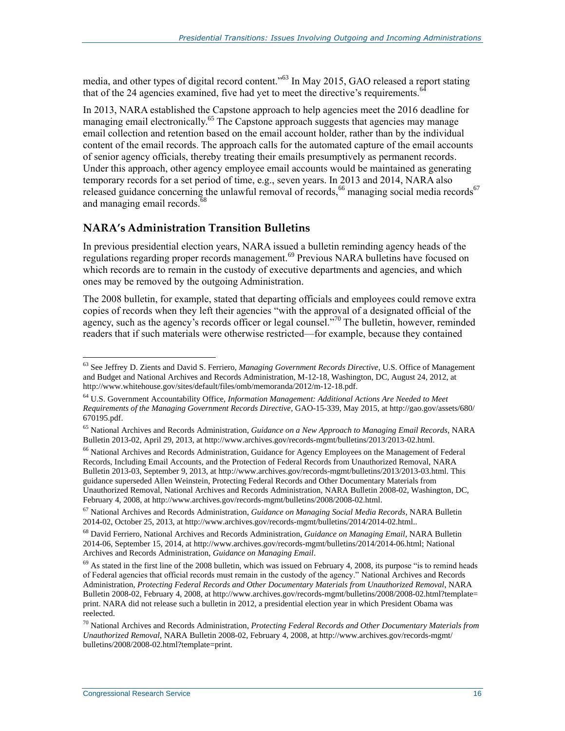media, and other types of digital record content."<sup>63</sup> In May 2015, GAO released a report stating that of the 24 agencies examined, five had yet to meet the directive's requirements.<sup>6</sup>

In 2013, NARA established the Capstone approach to help agencies meet the 2016 deadline for managing email electronically.<sup>65</sup> The Capstone approach suggests that agencies may manage email collection and retention based on the email account holder, rather than by the individual content of the email records. The approach calls for the automated capture of the email accounts of senior agency officials, thereby treating their emails presumptively as permanent records. Under this approach, other agency employee email accounts would be maintained as generating temporary records for a set period of time, e.g., seven years. In 2013 and 2014, NARA also released guidance concerning the unlawful removal of records,<sup>66</sup> managing social media records<sup>67</sup> and managing email records.<sup>68</sup>

#### **NARA's Administration Transition Bulletins**

In previous presidential election years, NARA issued a bulletin reminding agency heads of the regulations regarding proper records management.<sup>69</sup> Previous NARA bulletins have focused on which records are to remain in the custody of executive departments and agencies, and which ones may be removed by the outgoing Administration.

The 2008 bulletin, for example, stated that departing officials and employees could remove extra copies of records when they left their agencies "with the approval of a designated official of the agency, such as the agency's records officer or legal counsel."<sup>70</sup> The bulletin, however, reminded readers that if such materials were otherwise restricted—for example, because they contained

<sup>66</sup> National Archives and Records Administration, Guidance for Agency Employees on the Management of Federal Records, Including Email Accounts, and the Protection of Federal Records from Unauthorized Removal, NARA Bulletin 2013-03, September 9, 2013, at http://www.archives.gov/records-mgmt/bulletins/2013/2013-03.html. This guidance superseded Allen Weinstein, Protecting Federal Records and Other Documentary Materials from Unauthorized Removal, National Archives and Records Administration, NARA Bulletin 2008-02, Washington, DC, February 4, 2008, at http://www.archives.gov/records-mgmt/bulletins/2008/2008-02.html.

<sup>63</sup> See Jeffrey D. Zients and David S. Ferriero, *Managing Government Records Directive*, U.S. Office of Management and Budget and National Archives and Records Administration, M-12-18, Washington, DC, August 24, 2012, at http://www.whitehouse.gov/sites/default/files/omb/memoranda/2012/m-12-18.pdf.

<sup>64</sup> U.S. Government Accountability Office, *Information Management: Additional Actions Are Needed to Meet Requirements of the Managing Government Records Directive*, GAO-15-339, May 2015, at http://gao.gov/assets/680/ 670195.pdf.

<sup>65</sup> National Archives and Records Administration, *Guidance on a New Approach to Managing Email Records*, NARA Bulletin 2013-02, April 29, 2013, at http://www.archives.gov/records-mgmt/bulletins/2013/2013-02.html.

<sup>67</sup> National Archives and Records Administration, *Guidance on Managing Social Media Records*, NARA Bulletin 2014-02, October 25, 2013, at http://www.archives.gov/records-mgmt/bulletins/2014/2014-02.html..

<sup>68</sup> David Ferriero, National Archives and Records Administration, *Guidance on Managing Email*, NARA Bulletin 2014-06, September 15, 2014, at http://www.archives.gov/records-mgmt/bulletins/2014/2014-06.html; National Archives and Records Administration, *Guidance on Managing Email*.

 $69$  As stated in the first line of the 2008 bulletin, which was issued on February 4, 2008, its purpose "is to remind heads of Federal agencies that official records must remain in the custody of the agency." National Archives and Records Administration, *Protecting Federal Records and Other Documentary Materials from Unauthorized Removal*, NARA Bulletin 2008-02, February 4, 2008, at http://www.archives.gov/records-mgmt/bulletins/2008/2008-02.html?template= print. NARA did not release such a bulletin in 2012, a presidential election year in which President Obama was reelected.

<sup>70</sup> National Archives and Records Administration, *Protecting Federal Records and Other Documentary Materials from Unauthorized Removal*, NARA Bulletin 2008-02, February 4, 2008, at http://www.archives.gov/records-mgmt/ bulletins/2008/2008-02.html?template=print.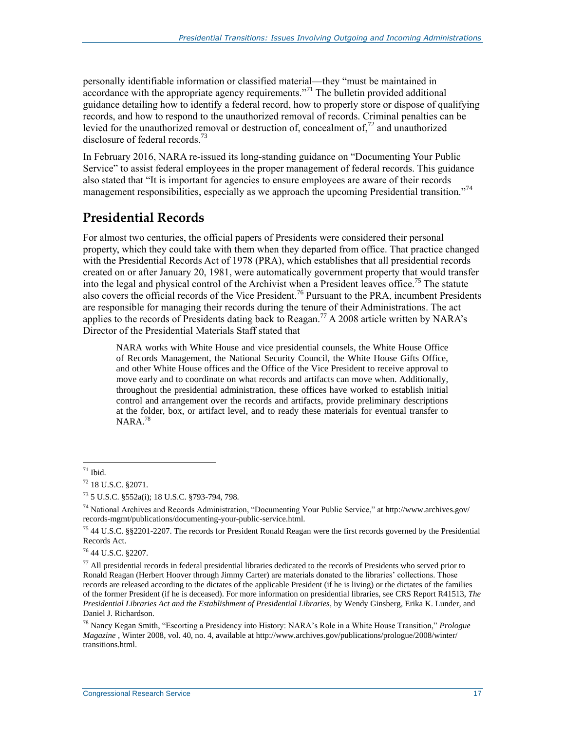personally identifiable information or classified material—they "must be maintained in accordance with the appropriate agency requirements."<sup>71</sup> The bulletin provided additional guidance detailing how to identify a federal record, how to properly store or dispose of qualifying records, and how to respond to the unauthorized removal of records. Criminal penalties can be levied for the unauthorized removal or destruction of, concealment of,<sup>72</sup> and unauthorized disclosure of federal records $^{73}$ 

In February 2016, NARA re-issued its long-standing guidance on "Documenting Your Public Service" to assist federal employees in the proper management of federal records. This guidance also stated that "It is important for agencies to ensure employees are aware of their records management responsibilities, especially as we approach the upcoming Presidential transition."<sup>74</sup>

#### **Presidential Records**

For almost two centuries, the official papers of Presidents were considered their personal property, which they could take with them when they departed from office. That practice changed with the Presidential Records Act of 1978 (PRA), which establishes that all presidential records created on or after January 20, 1981, were automatically government property that would transfer into the legal and physical control of the Archivist when a President leaves office. <sup>75</sup> The statute also covers the official records of the Vice President.<sup>76</sup> Pursuant to the PRA, incumbent Presidents are responsible for managing their records during the tenure of their Administrations. The act applies to the records of Presidents dating back to Reagan.<sup>77</sup> A 2008 article written by NARA's Director of the Presidential Materials Staff stated that

NARA works with White House and vice presidential counsels, the White House Office of Records Management, the National Security Council, the White House Gifts Office, and other White House offices and the Office of the Vice President to receive approval to move early and to coordinate on what records and artifacts can move when. Additionally, throughout the presidential administration, these offices have worked to establish initial control and arrangement over the records and artifacts, provide preliminary descriptions at the folder, box, or artifact level, and to ready these materials for eventual transfer to NARA.<sup>78</sup>

 $\overline{a}$  $71$  Ibid.

<sup>72</sup> 18 U.S.C. §2071.

<sup>73</sup> 5 U.S.C. §552a(i); 18 U.S.C. §793-794, 798.

<sup>&</sup>lt;sup>74</sup> National Archives and Records Administration, "Documenting Your Public Service," at http://www.archives.gov/ records-mgmt/publications/documenting-your-public-service.html.

<sup>75</sup> 44 U.S.C. §§2201-2207. The records for President Ronald Reagan were the first records governed by the Presidential Records Act.

<sup>76</sup> 44 U.S.C. §2207.

 $77$  All presidential records in federal presidential libraries dedicated to the records of Presidents who served prior to Ronald Reagan (Herbert Hoover through Jimmy Carter) are materials donated to the libraries' collections. Those records are released according to the dictates of the applicable President (if he is living) or the dictates of the families of the former President (if he is deceased). For more information on presidential libraries, see CRS Report R41513, *The Presidential Libraries Act and the Establishment of Presidential Libraries*, by Wendy Ginsberg, Erika K. Lunder, and Daniel J. Richardson.

<sup>78</sup> Nancy Kegan Smith, "Escorting a Presidency into History: NARA's Role in a White House Transition," *Prologue Magazine* , Winter 2008, vol. 40, no. 4, available at http://www.archives.gov/publications/prologue/2008/winter/ transitions.html.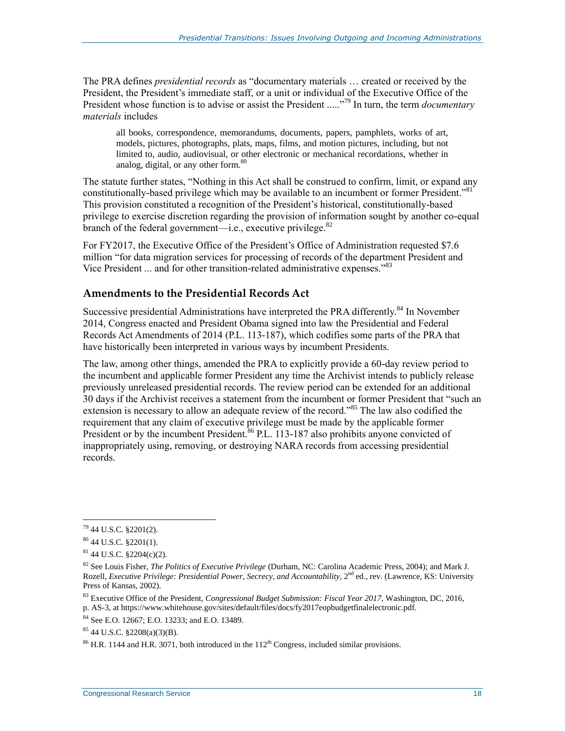The PRA defines *presidential records* as "documentary materials … created or received by the President, the President's immediate staff, or a unit or individual of the Executive Office of the President whose function is to advise or assist the President .....<sup>79</sup> In turn, the term *documentary materials* includes

all books, correspondence, memorandums, documents, papers, pamphlets, works of art, models, pictures, photographs, plats, maps, films, and motion pictures, including, but not limited to, audio, audiovisual, or other electronic or mechanical recordations, whether in analog, digital, or any other form.<sup>80</sup>

The statute further states, "Nothing in this Act shall be construed to confirm, limit, or expand any constitutionally-based privilege which may be available to an incumbent or former President."<sup>81</sup> This provision constituted a recognition of the President's historical, constitutionally-based privilege to exercise discretion regarding the provision of information sought by another co-equal branch of the federal government—i.e., executive privilege. $82$ 

For FY2017, the Executive Office of the President's Office of Administration requested \$7.6 million "for data migration services for processing of records of the department President and Vice President ... and for other transition-related administrative expenses."<sup>83</sup>

#### **Amendments to the Presidential Records Act**

Successive presidential Administrations have interpreted the PRA differently.<sup>84</sup> In November 2014, Congress enacted and President Obama signed into law the Presidential and Federal Records Act Amendments of 2014 (P.L. 113-187), which codifies some parts of the PRA that have historically been interpreted in various ways by incumbent Presidents.

The law, among other things, amended the PRA to explicitly provide a 60-day review period to the incumbent and applicable former President any time the Archivist intends to publicly release previously unreleased presidential records. The review period can be extended for an additional 30 days if the Archivist receives a statement from the incumbent or former President that "such an extension is necessary to allow an adequate review of the record."<sup>85</sup> The law also codified the requirement that any claim of executive privilege must be made by the applicable former President or by the incumbent President.<sup>86</sup> P.L. 113-187 also prohibits anyone convicted of inappropriately using, removing, or destroying NARA records from accessing presidential records.

 $\overline{a}$  $79$  44 U.S.C. §2201(2).

<sup>80</sup> 44 U.S.C. §2201(1).

 $81$  44 U.S.C.  $$2204(c)(2)$ .

<sup>82</sup> See Louis Fisher, *The Politics of Executive Privilege* (Durham, NC: Carolina Academic Press, 2004); and Mark J. Rozell, *Executive Privilege: Presidential Power, Secrecy, and Accountability*, 2<sup>nd</sup> ed., rev. (Lawrence, KS: University Press of Kansas, 2002).

<sup>83</sup> Executive Office of the President, *Congressional Budget Submission: Fiscal Year 2017*, Washington, DC, 2016, p. AS-3, at https://www.whitehouse.gov/sites/default/files/docs/fy2017eopbudgetfinalelectronic.pdf.

<sup>84</sup> See E.O. 12667; E.O. 13233; and E.O. 13489.

 $85$  44 U.S.C.  $\S$ 2208(a)(3)(B).

 $86$  H.R. 1144 and H.R. 3071, both introduced in the  $112<sup>th</sup>$  Congress, included similar provisions.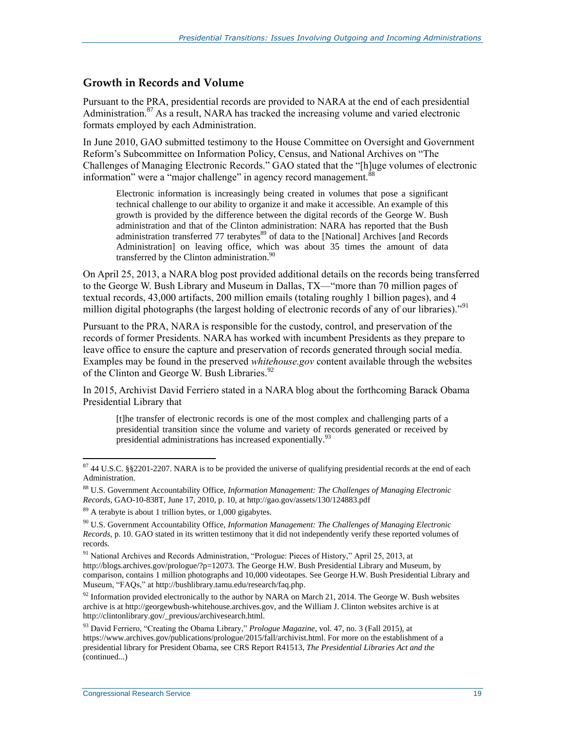#### **Growth in Records and Volume**

Pursuant to the PRA, presidential records are provided to NARA at the end of each presidential Administration.<sup>87</sup> As a result, NARA has tracked the increasing volume and varied electronic formats employed by each Administration.

In June 2010, GAO submitted testimony to the House Committee on Oversight and Government Reform's Subcommittee on Information Policy, Census, and National Archives on "The Challenges of Managing Electronic Records." GAO stated that the "[h]uge volumes of electronic information" were a "major challenge" in agency record management.<sup>8</sup>

Electronic information is increasingly being created in volumes that pose a significant technical challenge to our ability to organize it and make it accessible. An example of this growth is provided by the difference between the digital records of the George W. Bush administration and that of the Clinton administration: NARA has reported that the Bush administration transferred 77 terabytes<sup>89</sup> of data to the [National] Archives [and Records Administration] on leaving office, which was about 35 times the amount of data transferred by the Clinton administration. $90$ 

On April 25, 2013, a NARA blog post provided additional details on the records being transferred to the George W. Bush Library and Museum in Dallas, TX—"more than 70 million pages of textual records, 43,000 artifacts, 200 million emails (totaling roughly 1 billion pages), and 4 million digital photographs (the largest holding of electronic records of any of our libraries)."<sup>91</sup>

Pursuant to the PRA, NARA is responsible for the custody, control, and preservation of the records of former Presidents. NARA has worked with incumbent Presidents as they prepare to leave office to ensure the capture and preservation of records generated through social media. Examples may be found in the preserved *whitehouse.gov* content available through the websites of the Clinton and George W. Bush Libraries.<sup>92</sup>

In 2015, Archivist David Ferriero stated in a NARA blog about the forthcoming Barack Obama Presidential Library that

[t]he transfer of electronic records is one of the most complex and challenging parts of a presidential transition since the volume and variety of records generated or received by presidential administrations has increased exponentially.<sup>93</sup>

 $87$  44 U.S.C. §§2201-2207. NARA is to be provided the universe of qualifying presidential records at the end of each Administration.

<sup>88</sup> U.S. Government Accountability Office, *Information Management: The Challenges of Managing Electronic Records*, GAO-10-838T, June 17, 2010, p. 10, at http://gao.gov/assets/130/124883.pdf

 $89$  A terabyte is about 1 trillion bytes, or 1,000 gigabytes.

<sup>90</sup> U.S. Government Accountability Office, *Information Management: The Challenges of Managing Electronic Records,* p. 10. GAO stated in its written testimony that it did not independently verify these reported volumes of records.

<sup>&</sup>lt;sup>91</sup> National Archives and Records Administration, "Prologue: Pieces of History," April 25, 2013, at http://blogs.archives.gov/prologue/?p=12073. The George H.W. Bush Presidential Library and Museum, by comparison, contains 1 million photographs and 10,000 videotapes. See George H.W. Bush Presidential Library and Museum, "FAQs," at http://bushlibrary.tamu.edu/research/faq.php.

 $92$  Information provided electronically to the author by NARA on March 21, 2014. The George W. Bush websites archive is at http://georgewbush-whitehouse.archives.gov, and the William J. Clinton websites archive is at http://clintonlibrary.gov/\_previous/archivesearch.html.

<sup>93</sup> David Ferriero, "Creating the Obama Library," *Prologue Magazine*, vol. 47, no. 3 (Fall 2015), at https://www.archives.gov/publications/prologue/2015/fall/archivist.html. For more on the establishment of a presidential library for President Obama, see CRS Report R41513, *The Presidential Libraries Act and the*  (continued...)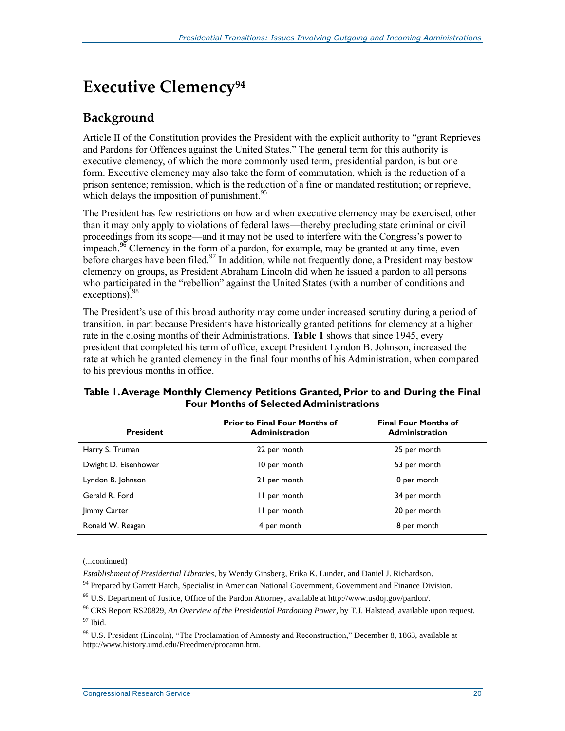## **Executive Clemency<sup>94</sup>**

### **Background**

Article II of the Constitution provides the President with the explicit authority to "grant Reprieves and Pardons for Offences against the United States." The general term for this authority is executive clemency, of which the more commonly used term, presidential pardon, is but one form. Executive clemency may also take the form of commutation, which is the reduction of a prison sentence; remission, which is the reduction of a fine or mandated restitution; or reprieve, which delays the imposition of punishment.<sup>95</sup>

The President has few restrictions on how and when executive clemency may be exercised, other than it may only apply to violations of federal laws—thereby precluding state criminal or civil proceedings from its scope—and it may not be used to interfere with the Congress's power to impeach.<sup>96</sup> Clemency in the form of a pardon, for example, may be granted at any time, even before charges have been filed.<sup>97</sup> In addition, while not frequently done, a President may bestow clemency on groups, as President Abraham Lincoln did when he issued a pardon to all persons who participated in the "rebellion" against the United States (with a number of conditions and exceptions).<sup>98</sup>

The President's use of this broad authority may come under increased scrutiny during a period of transition, in part because Presidents have historically granted petitions for clemency at a higher rate in the closing months of their Administrations. **[Table 1](#page-23-0)** shows that since 1945, every president that completed his term of office, except President Lyndon B. Johnson, increased the rate at which he granted clemency in the final four months of his Administration, when compared to his previous months in office.

| <b>President</b>     | <b>Prior to Final Four Months of</b><br><b>Administration</b> | <b>Final Four Months of</b><br><b>Administration</b> |
|----------------------|---------------------------------------------------------------|------------------------------------------------------|
| Harry S. Truman      | 22 per month                                                  | 25 per month                                         |
| Dwight D. Eisenhower | 10 per month                                                  | 53 per month                                         |
| Lyndon B. Johnson    | 21 per month                                                  | 0 per month                                          |
| Gerald R. Ford       | II per month                                                  | 34 per month                                         |
| Jimmy Carter         | II per month                                                  | 20 per month                                         |
| Ronald W. Reagan     | 4 per month                                                   | 8 per month                                          |

#### <span id="page-23-0"></span>**Table 1. Average Monthly Clemency Petitions Granted, Prior to and During the Final Four Months of Selected Administrations**

(...continued)

 $\overline{a}$ 

*Establishment of Presidential Libraries*, by Wendy Ginsberg, Erika K. Lunder, and Daniel J. Richardson.

<sup>94</sup> Prepared by Garrett Hatch, Specialist in American National Government, Government and Finance Division.

<sup>95</sup> U.S. Department of Justice, Office of the Pardon Attorney, available at http://www.usdoj.gov/pardon/.

<sup>96</sup> CRS Report RS20829, *An Overview of the Presidential Pardoning Power*, by T.J. Halstead, available upon request.

<sup>97</sup> Ibid.

<sup>&</sup>lt;sup>98</sup> U.S. President (Lincoln), "The Proclamation of Amnesty and Reconstruction," December 8, 1863, available at http://www.history.umd.edu/Freedmen/procamn.htm.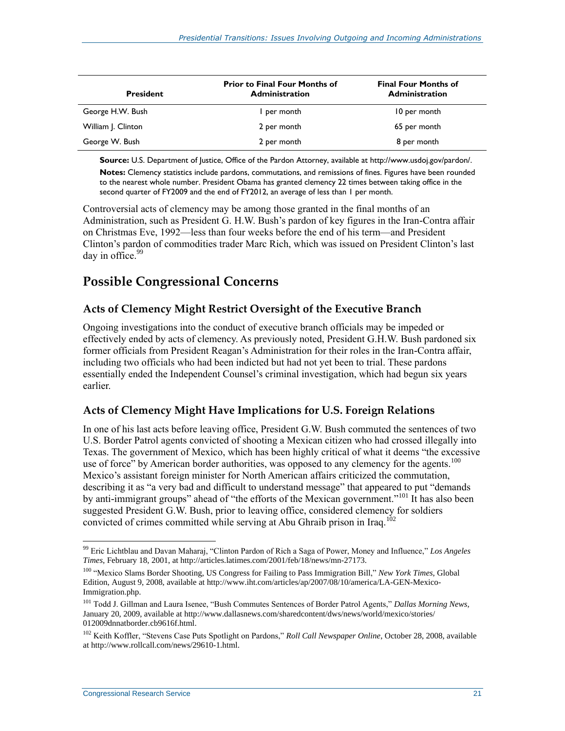| <b>President</b>   | <b>Prior to Final Four Months of</b><br><b>Administration</b> | <b>Final Four Months of</b><br><b>Administration</b> |  |
|--------------------|---------------------------------------------------------------|------------------------------------------------------|--|
| George H.W. Bush   | I per month                                                   | 10 per month                                         |  |
| William J. Clinton | 2 per month                                                   | 65 per month                                         |  |
| George W. Bush     | 2 per month                                                   | 8 per month                                          |  |

**Source:** U.S. Department of Justice, Office of the Pardon Attorney, available at http://www.usdoj.gov/pardon/.

**Notes:** Clemency statistics include pardons, commutations, and remissions of fines. Figures have been rounded to the nearest whole number. President Obama has granted clemency 22 times between taking office in the second quarter of FY2009 and the end of FY2012, an average of less than 1 per month.

Controversial acts of clemency may be among those granted in the final months of an Administration, such as President G. H.W. Bush's pardon of key figures in the Iran-Contra affair on Christmas Eve, 1992—less than four weeks before the end of his term—and President Clinton's pardon of commodities trader Marc Rich, which was issued on President Clinton's last day in office. $99$ 

#### **Possible Congressional Concerns**

#### **Acts of Clemency Might Restrict Oversight of the Executive Branch**

Ongoing investigations into the conduct of executive branch officials may be impeded or effectively ended by acts of clemency. As previously noted, President G.H.W. Bush pardoned six former officials from President Reagan's Administration for their roles in the Iran-Contra affair, including two officials who had been indicted but had not yet been to trial. These pardons essentially ended the Independent Counsel's criminal investigation, which had begun six years earlier.

#### **Acts of Clemency Might Have Implications for U.S. Foreign Relations**

In one of his last acts before leaving office, President G.W. Bush commuted the sentences of two U.S. Border Patrol agents convicted of shooting a Mexican citizen who had crossed illegally into Texas. The government of Mexico, which has been highly critical of what it deems "the excessive use of force" by American border authorities, was opposed to any clemency for the agents.<sup>100</sup> Mexico's assistant foreign minister for North American affairs criticized the commutation, describing it as "a very bad and difficult to understand message" that appeared to put "demands by anti-immigrant groups" ahead of "the efforts of the Mexican government."<sup>101</sup> It has also been suggested President G.W. Bush, prior to leaving office, considered clemency for soldiers convicted of crimes committed while serving at Abu Ghraib prison in Iraq.<sup>102</sup>

<sup>99</sup> Eric Lichtblau and Davan Maharaj, "Clinton Pardon of Rich a Saga of Power, Money and Influence," *Los Angeles Times*, February 18, 2001, at http://articles.latimes.com/2001/feb/18/news/mn-27173.

<sup>100</sup> "Mexico Slams Border Shooting, US Congress for Failing to Pass Immigration Bill," *New York Times*, Global Edition, August 9, 2008, available at http://www.iht.com/articles/ap/2007/08/10/america/LA-GEN-Mexico-Immigration.php.

<sup>101</sup> Todd J. Gillman and Laura Isenee, "Bush Commutes Sentences of Border Patrol Agents," *Dallas Morning News*, January 20, 2009, available at http://www.dallasnews.com/sharedcontent/dws/news/world/mexico/stories/ 012009dnnatborder.cb9616f.html.

<sup>&</sup>lt;sup>102</sup> Keith Koffler, "Stevens Case Puts Spotlight on Pardons," *Roll Call Newspaper Online*, October 28, 2008, available at http://www.rollcall.com/news/29610-1.html.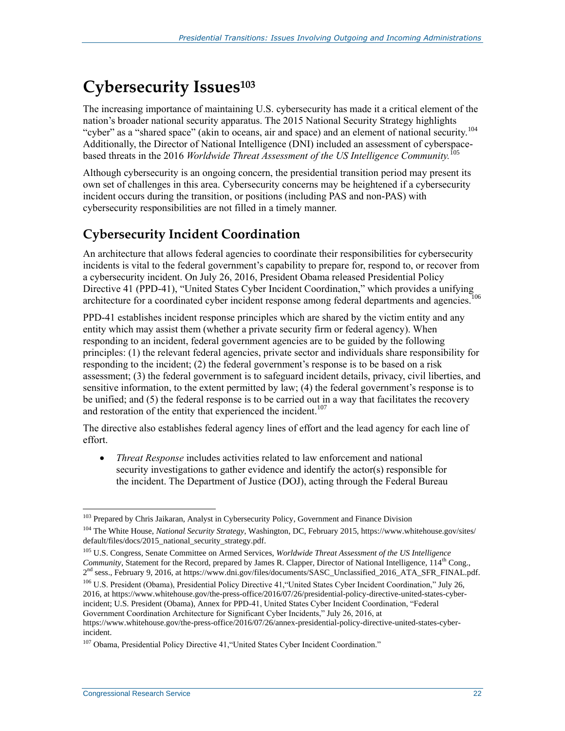## **Cybersecurity Issues<sup>103</sup>**

The increasing importance of maintaining U.S. cybersecurity has made it a critical element of the nation's broader national security apparatus. The 2015 National Security Strategy highlights "cyber" as a "shared space" (akin to oceans, air and space) and an element of national security.<sup>104</sup> Additionally, the Director of National Intelligence (DNI) included an assessment of cyberspacebased threats in the 2016 *Worldwide Threat Assessment of the US Intelligence Community.*<sup>105</sup>

Although cybersecurity is an ongoing concern, the presidential transition period may present its own set of challenges in this area. Cybersecurity concerns may be heightened if a cybersecurity incident occurs during the transition, or positions (including PAS and non-PAS) with cybersecurity responsibilities are not filled in a timely manner.

### **Cybersecurity Incident Coordination**

An architecture that allows federal agencies to coordinate their responsibilities for cybersecurity incidents is vital to the federal government's capability to prepare for, respond to, or recover from a cybersecurity incident. On July 26, 2016, President Obama released Presidential Policy Directive 41 (PPD-41), "United States Cyber Incident Coordination," which provides a unifying architecture for a coordinated cyber incident response among federal departments and agencies.<sup>106</sup>

PPD-41 establishes incident response principles which are shared by the victim entity and any entity which may assist them (whether a private security firm or federal agency). When responding to an incident, federal government agencies are to be guided by the following principles: (1) the relevant federal agencies, private sector and individuals share responsibility for responding to the incident; (2) the federal government's response is to be based on a risk assessment; (3) the federal government is to safeguard incident details, privacy, civil liberties, and sensitive information, to the extent permitted by law; (4) the federal government's response is to be unified; and (5) the federal response is to be carried out in a way that facilitates the recovery and restoration of the entity that experienced the incident.<sup>107</sup>

The directive also establishes federal agency lines of effort and the lead agency for each line of effort.

 *Threat Response* includes activities related to law enforcement and national security investigations to gather evidence and identify the actor(s) responsible for the incident. The Department of Justice (DOJ), acting through the Federal Bureau

<sup>&</sup>lt;sup>103</sup> Prepared by Chris Jaikaran, Analyst in Cybersecurity Policy, Government and Finance Division

<sup>&</sup>lt;sup>104</sup> The White House, *National Security Strategy*, Washington, DC, February 2015, https://www.whitehouse.gov/sites/ default/files/docs/2015\_national\_security\_strategy.pdf.

<sup>105</sup> U.S. Congress, Senate Committee on Armed Services, *Worldwide Threat Assessment of the US Intelligence Community*, Statement for the Record, prepared by James R. Clapper, Director of National Intelligence,  $114<sup>th</sup>$  Cong., 2<sup>nd</sup> sess., February 9, 2016, at https://www.dni.gov/files/documents/SASC\_Unclassified\_2016\_ATA\_SFR\_FINAL.pdf.

<sup>106</sup> U.S. President (Obama), Presidential Policy Directive 41,"United States Cyber Incident Coordination," July 26, 2016, at https://www.whitehouse.gov/the-press-office/2016/07/26/presidential-policy-directive-united-states-cyberincident; U.S. President (Obama), Annex for PPD-41, United States Cyber Incident Coordination, "Federal Government Coordination Architecture for Significant Cyber Incidents," July 26, 2016, at

https://www.whitehouse.gov/the-press-office/2016/07/26/annex-presidential-policy-directive-united-states-cyberincident.

<sup>107</sup> Obama, Presidential Policy Directive 41,"United States Cyber Incident Coordination."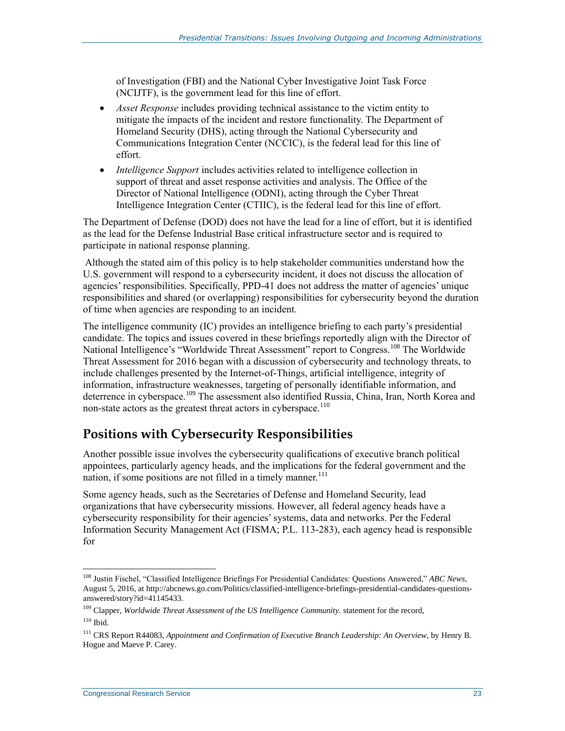of Investigation (FBI) and the National Cyber Investigative Joint Task Force (NCIJTF), is the government lead for this line of effort.

- *Asset Response* includes providing technical assistance to the victim entity to mitigate the impacts of the incident and restore functionality. The Department of Homeland Security (DHS), acting through the National Cybersecurity and Communications Integration Center (NCCIC), is the federal lead for this line of effort.
- *Intelligence Support* includes activities related to intelligence collection in support of threat and asset response activities and analysis. The Office of the Director of National Intelligence (ODNI), acting through the Cyber Threat Intelligence Integration Center (CTIIC), is the federal lead for this line of effort.

The Department of Defense (DOD) does not have the lead for a line of effort, but it is identified as the lead for the Defense Industrial Base critical infrastructure sector and is required to participate in national response planning.

Although the stated aim of this policy is to help stakeholder communities understand how the U.S. government will respond to a cybersecurity incident, it does not discuss the allocation of agencies' responsibilities. Specifically, PPD-41 does not address the matter of agencies' unique responsibilities and shared (or overlapping) responsibilities for cybersecurity beyond the duration of time when agencies are responding to an incident.

The intelligence community (IC) provides an intelligence briefing to each party's presidential candidate. The topics and issues covered in these briefings reportedly align with the Director of National Intelligence's "Worldwide Threat Assessment" report to Congress.<sup>108</sup> The Worldwide Threat Assessment for 2016 began with a discussion of cybersecurity and technology threats, to include challenges presented by the Internet-of-Things, artificial intelligence, integrity of information, infrastructure weaknesses, targeting of personally identifiable information, and deterrence in cyberspace.<sup>109</sup> The assessment also identified Russia, China, Iran, North Korea and non-state actors as the greatest threat actors in cyberspace.<sup>110</sup>

#### **Positions with Cybersecurity Responsibilities**

Another possible issue involves the cybersecurity qualifications of executive branch political appointees, particularly agency heads, and the implications for the federal government and the nation, if some positions are not filled in a timely manner.<sup>111</sup>

Some agency heads, such as the Secretaries of Defense and Homeland Security, lead organizations that have cybersecurity missions. However, all federal agency heads have a cybersecurity responsibility for their agencies' systems, data and networks. Per the Federal Information Security Management Act (FISMA; P.L. 113-283), each agency head is responsible for

<sup>108</sup> Justin Fischel, "Classified Intelligence Briefings For Presidential Candidates: Questions Answered," *ABC News*, August 5, 2016, at http://abcnews.go.com/Politics/classified-intelligence-briefings-presidential-candidates-questionsanswered/story?id=41145433.

<sup>109</sup> Clapper, *Worldwide Threat Assessment of the US Intelligence Community.* statement for the record,  $110$  Ibid.

<sup>111</sup> CRS Report R44083, *Appointment and Confirmation of Executive Branch Leadership: An Overview*, by Henry B. Hogue and Maeve P. Carey.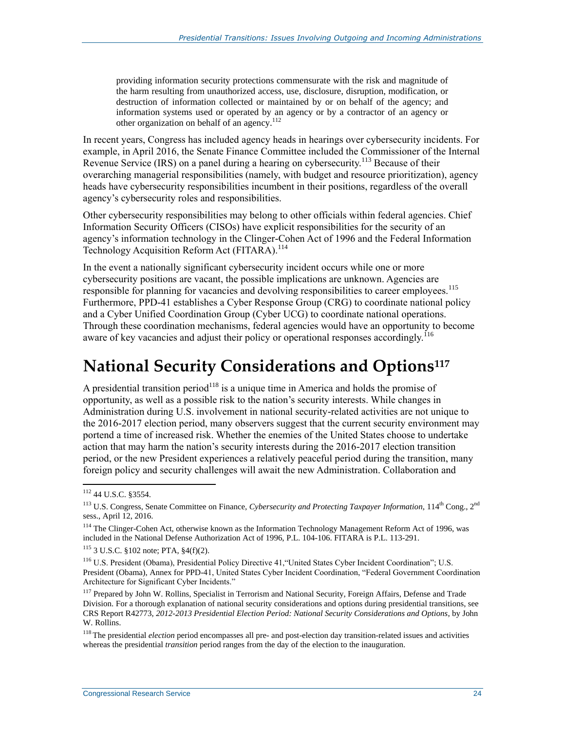providing information security protections commensurate with the risk and magnitude of the harm resulting from unauthorized access, use, disclosure, disruption, modification, or destruction of information collected or maintained by or on behalf of the agency; and information systems used or operated by an agency or by a contractor of an agency or other organization on behalf of an agency.<sup>112</sup>

In recent years, Congress has included agency heads in hearings over cybersecurity incidents. For example, in April 2016, the Senate Finance Committee included the Commissioner of the Internal Revenue Service (IRS) on a panel during a hearing on cybersecurity.<sup>113</sup> Because of their overarching managerial responsibilities (namely, with budget and resource prioritization), agency heads have cybersecurity responsibilities incumbent in their positions, regardless of the overall agency's cybersecurity roles and responsibilities.

Other cybersecurity responsibilities may belong to other officials within federal agencies. Chief Information Security Officers (CISOs) have explicit responsibilities for the security of an agency's information technology in the Clinger-Cohen Act of 1996 and the Federal Information Technology Acquisition Reform Act (FITARA).<sup>114</sup>

In the event a nationally significant cybersecurity incident occurs while one or more cybersecurity positions are vacant, the possible implications are unknown. Agencies are responsible for planning for vacancies and devolving responsibilities to career employees.<sup>115</sup> Furthermore, PPD-41 establishes a Cyber Response Group (CRG) to coordinate national policy and a Cyber Unified Coordination Group (Cyber UCG) to coordinate national operations. Through these coordination mechanisms, federal agencies would have an opportunity to become aware of key vacancies and adjust their policy or operational responses accordingly.<sup>116</sup>

## **National Security Considerations and Options<sup>117</sup>**

A presidential transition period<sup>118</sup> is a unique time in America and holds the promise of opportunity, as well as a possible risk to the nation's security interests. While changes in Administration during U.S. involvement in national security-related activities are not unique to the 2016-2017 election period, many observers suggest that the current security environment may portend a time of increased risk. Whether the enemies of the United States choose to undertake action that may harm the nation's security interests during the 2016-2017 election transition period, or the new President experiences a relatively peaceful period during the transition, many foreign policy and security challenges will await the new Administration. Collaboration and

<sup>112 44</sup> U.S.C. §3554.

<sup>&</sup>lt;sup>113</sup> U.S. Congress, Senate Committee on Finance, *Cybersecurity and Protecting Taxpayer Information*, 114<sup>th</sup> Cong., 2<sup>nd</sup> sess., April 12, 2016.

<sup>&</sup>lt;sup>114</sup> The Clinger-Cohen Act, otherwise known as the Information Technology Management Reform Act of 1996, was included in the National Defense Authorization Act of 1996, P.L. 104-106. FITARA is P.L. 113-291.

<sup>115</sup> 3 U.S.C. §102 note; PTA, §4(f)(2).

<sup>116</sup> U.S. President (Obama), Presidential Policy Directive 41,"United States Cyber Incident Coordination"; U.S. President (Obama), Annex for PPD-41, United States Cyber Incident Coordination, "Federal Government Coordination Architecture for Significant Cyber Incidents."

<sup>&</sup>lt;sup>117</sup> Prepared by John W. Rollins, Specialist in Terrorism and National Security, Foreign Affairs, Defense and Trade Division. For a thorough explanation of national security considerations and options during presidential transitions, see CRS Report R42773, *2012-2013 Presidential Election Period: National Security Considerations and Options*, by John W. Rollins.

<sup>&</sup>lt;sup>118</sup> The presidential *election* period encompasses all pre- and post-election day transition-related issues and activities whereas the presidential *transition* period ranges from the day of the election to the inauguration.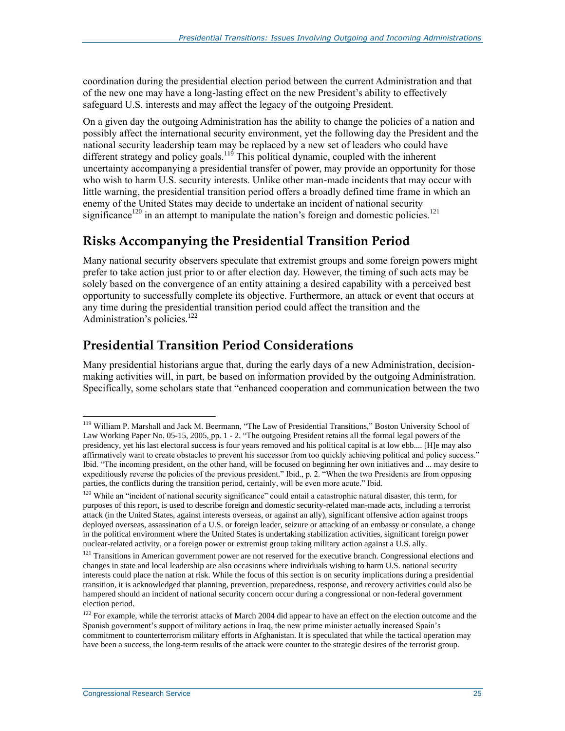coordination during the presidential election period between the current Administration and that of the new one may have a long-lasting effect on the new President's ability to effectively safeguard U.S. interests and may affect the legacy of the outgoing President.

On a given day the outgoing Administration has the ability to change the policies of a nation and possibly affect the international security environment, yet the following day the President and the national security leadership team may be replaced by a new set of leaders who could have different strategy and policy goals.<sup>119</sup> This political dynamic, coupled with the inherent uncertainty accompanying a presidential transfer of power, may provide an opportunity for those who wish to harm U.S. security interests. Unlike other man-made incidents that may occur with little warning, the presidential transition period offers a broadly defined time frame in which an enemy of the United States may decide to undertake an incident of national security significance<sup>120</sup> in an attempt to manipulate the nation's foreign and domestic policies.<sup>121</sup>

#### **Risks Accompanying the Presidential Transition Period**

Many national security observers speculate that extremist groups and some foreign powers might prefer to take action just prior to or after election day. However, the timing of such acts may be solely based on the convergence of an entity attaining a desired capability with a perceived best opportunity to successfully complete its objective. Furthermore, an attack or event that occurs at any time during the presidential transition period could affect the transition and the Administration's policies. 122

#### **Presidential Transition Period Considerations**

Many presidential historians argue that, during the early days of a new Administration, decisionmaking activities will, in part, be based on information provided by the outgoing Administration. Specifically, some scholars state that "enhanced cooperation and communication between the two

<sup>&</sup>lt;sup>119</sup> William P. Marshall and Jack M. Beermann, "The Law of Presidential Transitions," Boston University School of Law Working Paper No. 05-15, 2005, pp. 1 - 2. "The outgoing President retains all the formal legal powers of the presidency, yet his last electoral success is four years removed and his political capital is at low ebb.... [H]e may also affirmatively want to create obstacles to prevent his successor from too quickly achieving political and policy success." Ibid. "The incoming president, on the other hand, will be focused on beginning her own initiatives and ... may desire to expeditiously reverse the policies of the previous president." Ibid., p. 2. "When the two Presidents are from opposing parties, the conflicts during the transition period, certainly, will be even more acute." Ibid.

 $120$  While an "incident of national security significance" could entail a catastrophic natural disaster, this term, for purposes of this report, is used to describe foreign and domestic security-related man-made acts, including a terrorist attack (in the United States, against interests overseas, or against an ally), significant offensive action against troops deployed overseas, assassination of a U.S. or foreign leader, seizure or attacking of an embassy or consulate, a change in the political environment where the United States is undertaking stabilization activities, significant foreign power nuclear-related activity, or a foreign power or extremist group taking military action against a U.S. ally.

<sup>&</sup>lt;sup>121</sup> Transitions in American government power are not reserved for the executive branch. Congressional elections and changes in state and local leadership are also occasions where individuals wishing to harm U.S. national security interests could place the nation at risk. While the focus of this section is on security implications during a presidential transition, it is acknowledged that planning, prevention, preparedness, response, and recovery activities could also be hampered should an incident of national security concern occur during a congressional or non-federal government election period.

<sup>&</sup>lt;sup>122</sup> For example, while the terrorist attacks of March 2004 did appear to have an effect on the election outcome and the Spanish government's support of military actions in Iraq, the new prime minister actually increased Spain's commitment to counterterrorism military efforts in Afghanistan. It is speculated that while the tactical operation may have been a success, the long-term results of the attack were counter to the strategic desires of the terrorist group.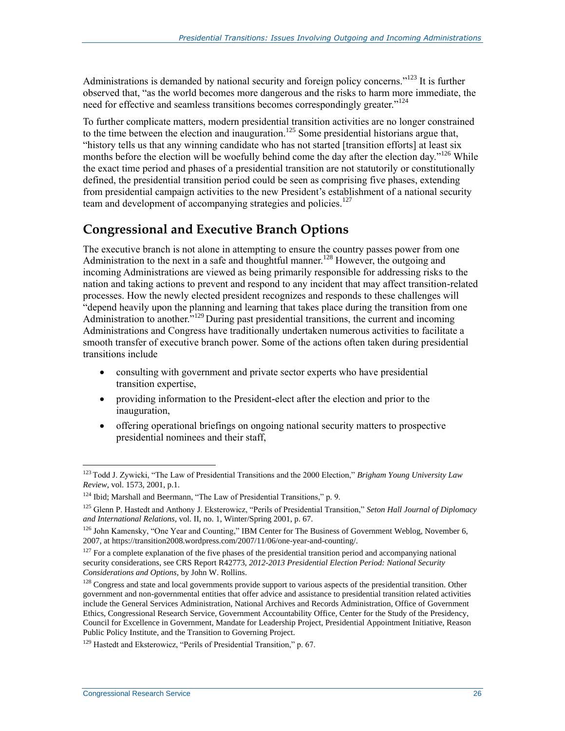Administrations is demanded by national security and foreign policy concerns."<sup>123</sup> It is further observed that, "as the world becomes more dangerous and the risks to harm more immediate, the need for effective and seamless transitions becomes correspondingly greater.<sup>"124</sup>

To further complicate matters, modern presidential transition activities are no longer constrained to the time between the election and inauguration.<sup>125</sup> Some presidential historians argue that, "history tells us that any winning candidate who has not started [transition efforts] at least six months before the election will be woefully behind come the day after the election day."<sup>126</sup> While the exact time period and phases of a presidential transition are not statutorily or constitutionally defined, the presidential transition period could be seen as comprising five phases, extending from presidential campaign activities to the new President's establishment of a national security team and development of accompanying strategies and policies.<sup>127</sup>

#### **Congressional and Executive Branch Options**

The executive branch is not alone in attempting to ensure the country passes power from one Administration to the next in a safe and thoughtful manner.<sup>128</sup> However, the outgoing and incoming Administrations are viewed as being primarily responsible for addressing risks to the nation and taking actions to prevent and respond to any incident that may affect transition-related processes. How the newly elected president recognizes and responds to these challenges will "depend heavily upon the planning and learning that takes place during the transition from one Administration to another.<sup>5,129</sup> During past presidential transitions, the current and incoming Administrations and Congress have traditionally undertaken numerous activities to facilitate a smooth transfer of executive branch power. Some of the actions often taken during presidential transitions include

- consulting with government and private sector experts who have presidential transition expertise,
- providing information to the President-elect after the election and prior to the inauguration,
- offering operational briefings on ongoing national security matters to prospective presidential nominees and their staff,

<sup>123</sup> Todd J. Zywicki, "The Law of Presidential Transitions and the 2000 Election," *Brigham Young University Law Review*, vol. 1573, 2001, p.1.

<sup>&</sup>lt;sup>124</sup> Ibid; Marshall and Beermann, "The Law of Presidential Transitions," p. 9.

<sup>125</sup> Glenn P. Hastedt and Anthony J. Eksterowicz, "Perils of Presidential Transition," *Seton Hall Journal of Diplomacy and International Relations,* vol. II, no. 1, Winter/Spring 2001, p. 67.

 $126$  John Kamensky, "One Year and Counting," IBM Center for The Business of Government Weblog, November 6, 2007, at https://transition2008.wordpress.com/2007/11/06/one-year-and-counting/.

 $127$  For a complete explanation of the five phases of the presidential transition period and accompanying national security considerations, see CRS Report R42773, *2012-2013 Presidential Election Period: National Security Considerations and Options*, by John W. Rollins.

<sup>&</sup>lt;sup>128</sup> Congress and state and local governments provide support to various aspects of the presidential transition. Other government and non-governmental entities that offer advice and assistance to presidential transition related activities include the General Services Administration, National Archives and Records Administration, Office of Government Ethics, Congressional Research Service, Government Accountability Office, Center for the Study of the Presidency, Council for Excellence in Government, Mandate for Leadership Project, Presidential Appointment Initiative, Reason Public Policy Institute, and the Transition to Governing Project.

<sup>129</sup> Hastedt and Eksterowicz, "Perils of Presidential Transition," p. 67.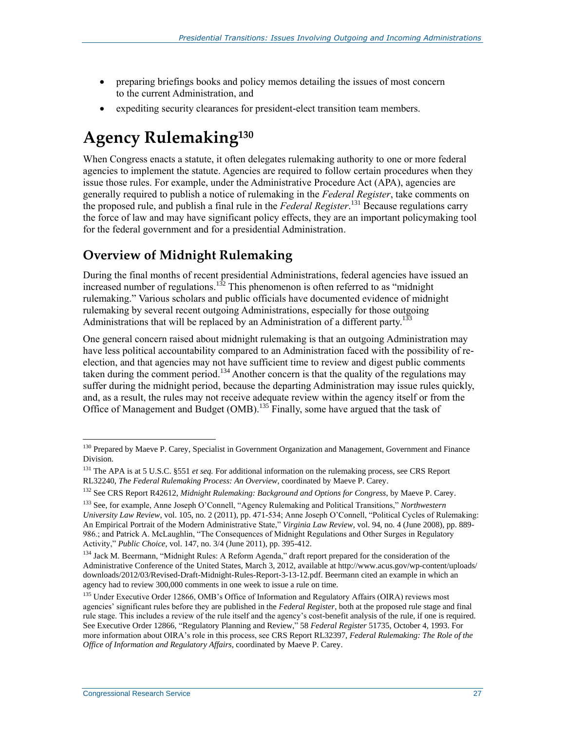- preparing briefings books and policy memos detailing the issues of most concern to the current Administration, and
- expediting security clearances for president-elect transition team members.

## **Agency Rulemaking<sup>130</sup>**

When Congress enacts a statute, it often delegates rulemaking authority to one or more federal agencies to implement the statute. Agencies are required to follow certain procedures when they issue those rules. For example, under the Administrative Procedure Act (APA), agencies are generally required to publish a notice of rulemaking in the *Federal Register*, take comments on the proposed rule, and publish a final rule in the *Federal Register*. <sup>131</sup> Because regulations carry the force of law and may have significant policy effects, they are an important policymaking tool for the federal government and for a presidential Administration.

### **Overview of Midnight Rulemaking**

During the final months of recent presidential Administrations, federal agencies have issued an increased number of regulations.<sup>132</sup> This phenomenon is often referred to as "midnight rulemaking." Various scholars and public officials have documented evidence of midnight rulemaking by several recent outgoing Administrations, especially for those outgoing Administrations that will be replaced by an Administration of a different party.<sup>133</sup>

One general concern raised about midnight rulemaking is that an outgoing Administration may have less political accountability compared to an Administration faced with the possibility of reelection, and that agencies may not have sufficient time to review and digest public comments taken during the comment period.<sup>134</sup> Another concern is that the quality of the regulations may suffer during the midnight period, because the departing Administration may issue rules quickly, and, as a result, the rules may not receive adequate review within the agency itself or from the Office of Management and Budget (OMB).<sup>135</sup> Finally, some have argued that the task of

 $\overline{a}$ <sup>130</sup> Prepared by Maeve P. Carey, Specialist in Government Organization and Management, Government and Finance Division.

<sup>&</sup>lt;sup>131</sup> The APA is at 5 U.S.C. §551 *et seq*. For additional information on the rulemaking process, see CRS Report RL32240, *The Federal Rulemaking Process: An Overview*, coordinated by Maeve P. Carey.

<sup>132</sup> See CRS Report R42612, *Midnight Rulemaking: Background and Options for Congress*, by Maeve P. Carey.

<sup>133</sup> See, for example, Anne Joseph O'Connell, "Agency Rulemaking and Political Transitions," *Northwestern University Law Review*, vol. 105, no. 2 (2011), pp. 471-534; Anne Joseph O'Connell, "Political Cycles of Rulemaking: An Empirical Portrait of the Modern Administrative State," *Virginia Law Review*, vol. 94, no. 4 (June 2008), pp. 889- 986.; and Patrick A. McLaughlin, "The Consequences of Midnight Regulations and Other Surges in Regulatory Activity," *Public Choice*, vol. 147, no. 3/4 (June 2011), pp. 395-412.

<sup>&</sup>lt;sup>134</sup> Jack M. Beermann, "Midnight Rules: A Reform Agenda," draft report prepared for the consideration of the Administrative Conference of the United States, March 3, 2012, available at http://www.acus.gov/wp-content/uploads/ downloads/2012/03/Revised-Draft-Midnight-Rules-Report-3-13-12.pdf. Beermann cited an example in which an agency had to review 300,000 comments in one week to issue a rule on time.

<sup>&</sup>lt;sup>135</sup> Under Executive Order 12866, OMB's Office of Information and Regulatory Affairs (OIRA) reviews most agencies' significant rules before they are published in the *Federal Register*, both at the proposed rule stage and final rule stage. This includes a review of the rule itself and the agency's cost-benefit analysis of the rule, if one is required. See Executive Order 12866, "Regulatory Planning and Review," 58 *Federal Register* 51735, October 4, 1993. For more information about OIRA's role in this process, see CRS Report RL32397, *Federal Rulemaking: The Role of the Office of Information and Regulatory Affairs*, coordinated by Maeve P. Carey.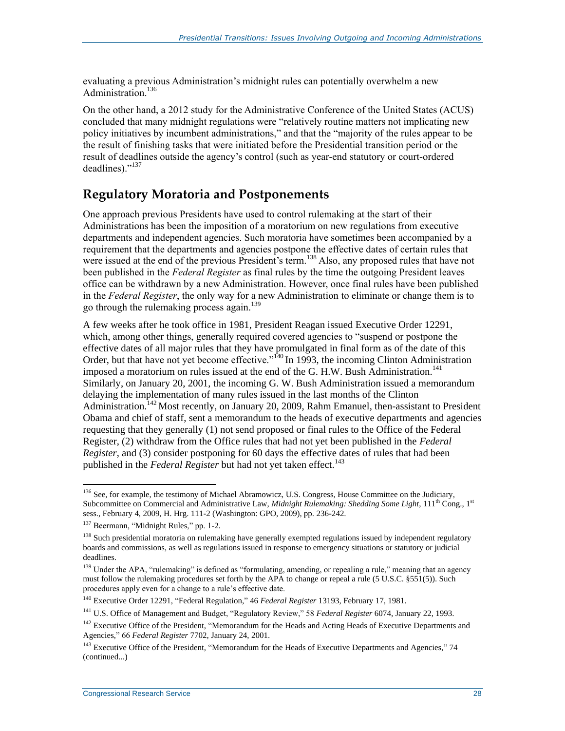evaluating a previous Administration's midnight rules can potentially overwhelm a new Administration. 136

On the other hand, a 2012 study for the Administrative Conference of the United States (ACUS) concluded that many midnight regulations were "relatively routine matters not implicating new policy initiatives by incumbent administrations," and that the "majority of the rules appear to be the result of finishing tasks that were initiated before the Presidential transition period or the result of deadlines outside the agency's control (such as year-end statutory or court-ordered deadlines)."<sup>137</sup>

#### **Regulatory Moratoria and Postponements**

One approach previous Presidents have used to control rulemaking at the start of their Administrations has been the imposition of a moratorium on new regulations from executive departments and independent agencies. Such moratoria have sometimes been accompanied by a requirement that the departments and agencies postpone the effective dates of certain rules that were issued at the end of the previous President's term.<sup>138</sup> Also, any proposed rules that have not been published in the *Federal Register* as final rules by the time the outgoing President leaves office can be withdrawn by a new Administration. However, once final rules have been published in the *Federal Register*, the only way for a new Administration to eliminate or change them is to go through the rulemaking process again. 139

A few weeks after he took office in 1981, President Reagan issued Executive Order 12291, which, among other things, generally required covered agencies to "suspend or postpone the effective dates of all major rules that they have promulgated in final form as of the date of this Order, but that have not yet become effective."<sup> $140$ </sup> In 1993, the incoming Clinton Administration imposed a moratorium on rules issued at the end of the G. H.W. Bush Administration.<sup>141</sup> Similarly, on January 20, 2001, the incoming G. W. Bush Administration issued a memorandum delaying the implementation of many rules issued in the last months of the Clinton Administration.<sup>142</sup> Most recently, on January 20, 2009, Rahm Emanuel, then-assistant to President Obama and chief of staff, sent a memorandum to the heads of executive departments and agencies requesting that they generally (1) not send proposed or final rules to the Office of the Federal Register, (2) withdraw from the Office rules that had not yet been published in the *Federal Register*, and (3) consider postponing for 60 days the effective dates of rules that had been published in the *Federal Register* but had not yet taken effect.<sup>143</sup>

<sup>&</sup>lt;sup>136</sup> See, for example, the testimony of Michael Abramowicz, U.S. Congress, House Committee on the Judiciary, Subcommittee on Commercial and Administrative Law, *Midnight Rulemaking: Shedding Some Light*, 111<sup>th</sup> Cong., 1<sup>st</sup> sess., February 4, 2009, H. Hrg. 111-2 (Washington: GPO, 2009), pp. 236-242.

<sup>&</sup>lt;sup>137</sup> Beermann, "Midnight Rules," pp. 1-2.

<sup>&</sup>lt;sup>138</sup> Such presidential moratoria on rulemaking have generally exempted regulations issued by independent regulatory boards and commissions, as well as regulations issued in response to emergency situations or statutory or judicial deadlines.

<sup>&</sup>lt;sup>139</sup> Under the APA, "rulemaking" is defined as "formulating, amending, or repealing a rule," meaning that an agency must follow the rulemaking procedures set forth by the APA to change or repeal a rule (5 U.S.C. §551(5)). Such procedures apply even for a change to a rule's effective date.

<sup>140</sup> Executive Order 12291, "Federal Regulation," 46 *Federal Register* 13193, February 17, 1981.

<sup>141</sup> U.S. Office of Management and Budget, "Regulatory Review," 58 *Federal Register* 6074, January 22, 1993.

<sup>&</sup>lt;sup>142</sup> Executive Office of the President, "Memorandum for the Heads and Acting Heads of Executive Departments and Agencies," 66 *Federal Register* 7702, January 24, 2001.

<sup>&</sup>lt;sup>143</sup> Executive Office of the President, "Memorandum for the Heads of Executive Departments and Agencies," 74 (continued...)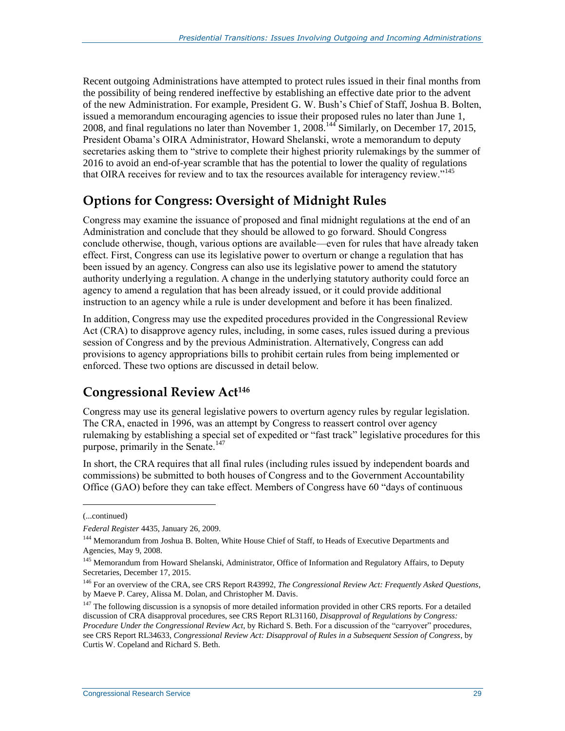Recent outgoing Administrations have attempted to protect rules issued in their final months from the possibility of being rendered ineffective by establishing an effective date prior to the advent of the new Administration. For example, President G. W. Bush's Chief of Staff, Joshua B. Bolten, issued a memorandum encouraging agencies to issue their proposed rules no later than June 1, 2008, and final regulations no later than November 1, 2008.<sup>144</sup> Similarly, on December 17, 2015, President Obama's OIRA Administrator, Howard Shelanski, wrote a memorandum to deputy secretaries asking them to "strive to complete their highest priority rulemakings by the summer of 2016 to avoid an end-of-year scramble that has the potential to lower the quality of regulations that OIRA receives for review and to tax the resources available for interagency review."<sup>145</sup>

#### **Options for Congress: Oversight of Midnight Rules**

Congress may examine the issuance of proposed and final midnight regulations at the end of an Administration and conclude that they should be allowed to go forward. Should Congress conclude otherwise, though, various options are available—even for rules that have already taken effect. First, Congress can use its legislative power to overturn or change a regulation that has been issued by an agency. Congress can also use its legislative power to amend the statutory authority underlying a regulation. A change in the underlying statutory authority could force an agency to amend a regulation that has been already issued, or it could provide additional instruction to an agency while a rule is under development and before it has been finalized.

In addition, Congress may use the expedited procedures provided in the Congressional Review Act (CRA) to disapprove agency rules, including, in some cases, rules issued during a previous session of Congress and by the previous Administration. Alternatively, Congress can add provisions to agency appropriations bills to prohibit certain rules from being implemented or enforced. These two options are discussed in detail below.

#### **Congressional Review Act<sup>146</sup>**

Congress may use its general legislative powers to overturn agency rules by regular legislation. The CRA, enacted in 1996, was an attempt by Congress to reassert control over agency rulemaking by establishing a special set of expedited or "fast track" legislative procedures for this purpose, primarily in the Senate.<sup>147</sup>

In short, the CRA requires that all final rules (including rules issued by independent boards and commissions) be submitted to both houses of Congress and to the Government Accountability Office (GAO) before they can take effect. Members of Congress have 60 "days of continuous

<sup>(...</sup>continued)

*Federal Register* 4435, January 26, 2009.

<sup>&</sup>lt;sup>144</sup> Memorandum from Joshua B. Bolten, White House Chief of Staff, to Heads of Executive Departments and Agencies, May 9, 2008.

<sup>&</sup>lt;sup>145</sup> Memorandum from Howard Shelanski, Administrator, Office of Information and Regulatory Affairs, to Deputy Secretaries, December 17, 2015.

<sup>146</sup> For an overview of the CRA, see CRS Report R43992, *The Congressional Review Act: Frequently Asked Questions*, by Maeve P. Carey, Alissa M. Dolan, and Christopher M. Davis.

<sup>&</sup>lt;sup>147</sup> The following discussion is a synopsis of more detailed information provided in other CRS reports. For a detailed discussion of CRA disapproval procedures, see CRS Report RL31160, *Disapproval of Regulations by Congress: Procedure Under the Congressional Review Act*, by Richard S. Beth. For a discussion of the "carryover" procedures, see CRS Report RL34633, *Congressional Review Act: Disapproval of Rules in a Subsequent Session of Congress*, by Curtis W. Copeland and Richard S. Beth.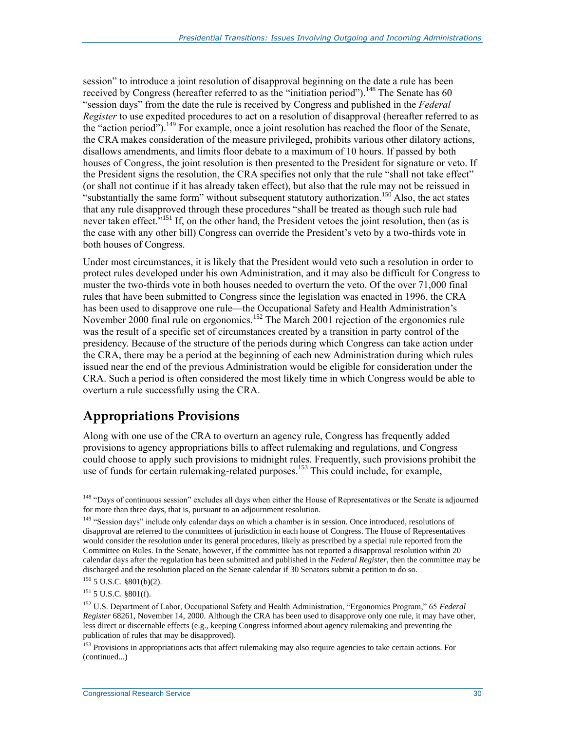session" to introduce a joint resolution of disapproval beginning on the date a rule has been received by Congress (hereafter referred to as the "initiation period").<sup>148</sup> The Senate has 60 "session days" from the date the rule is received by Congress and published in the *Federal Register* to use expedited procedures to act on a resolution of disapproval (hereafter referred to as the "action period").<sup>149</sup> For example, once a joint resolution has reached the floor of the Senate, the CRA makes consideration of the measure privileged, prohibits various other dilatory actions, disallows amendments, and limits floor debate to a maximum of 10 hours. If passed by both houses of Congress, the joint resolution is then presented to the President for signature or veto. If the President signs the resolution, the CRA specifies not only that the rule "shall not take effect" (or shall not continue if it has already taken effect), but also that the rule may not be reissued in "substantially the same form" without subsequent statutory authorization.<sup>150</sup> Also, the act states that any rule disapproved through these procedures "shall be treated as though such rule had never taken effect.<sup>5151</sup> If, on the other hand, the President vetoes the joint resolution, then (as is the case with any other bill) Congress can override the President's veto by a two-thirds vote in both houses of Congress.

Under most circumstances, it is likely that the President would veto such a resolution in order to protect rules developed under his own Administration, and it may also be difficult for Congress to muster the two-thirds vote in both houses needed to overturn the veto. Of the over 71,000 final rules that have been submitted to Congress since the legislation was enacted in 1996, the CRA has been used to disapprove one rule—the Occupational Safety and Health Administration's November 2000 final rule on ergonomics.<sup>152</sup> The March 2001 rejection of the ergonomics rule was the result of a specific set of circumstances created by a transition in party control of the presidency. Because of the structure of the periods during which Congress can take action under the CRA, there may be a period at the beginning of each new Administration during which rules issued near the end of the previous Administration would be eligible for consideration under the CRA. Such a period is often considered the most likely time in which Congress would be able to overturn a rule successfully using the CRA.

#### **Appropriations Provisions**

Along with one use of the CRA to overturn an agency rule, Congress has frequently added provisions to agency appropriations bills to affect rulemaking and regulations, and Congress could choose to apply such provisions to midnight rules. Frequently, such provisions prohibit the use of funds for certain rulemaking-related purposes.<sup>153</sup> This could include, for example,

 $\overline{a}$ <sup>148</sup> "Days of continuous session" excludes all days when either the House of Representatives or the Senate is adjourned for more than three days, that is, pursuant to an adjournment resolution.

<sup>&</sup>lt;sup>149</sup> "Session days" include only calendar days on which a chamber is in session. Once introduced, resolutions of disapproval are referred to the committees of jurisdiction in each house of Congress. The House of Representatives would consider the resolution under its general procedures, likely as prescribed by a special rule reported from the Committee on Rules. In the Senate, however, if the committee has not reported a disapproval resolution within 20 calendar days after the regulation has been submitted and published in the *Federal Register*, then the committee may be discharged and the resolution placed on the Senate calendar if 30 Senators submit a petition to do so.

 $150$ 5 U.S.C. §801(b)(2).

 $151$  5 U.S.C. §801(f).

<sup>152</sup> U.S. Department of Labor, Occupational Safety and Health Administration, "Ergonomics Program," 65 *Federal Register* 68261, November 14, 2000. Although the CRA has been used to disapprove only one rule, it may have other, less direct or discernable effects (e.g., keeping Congress informed about agency rulemaking and preventing the publication of rules that may be disapproved).

<sup>&</sup>lt;sup>153</sup> Provisions in appropriations acts that affect rulemaking may also require agencies to take certain actions. For (continued...)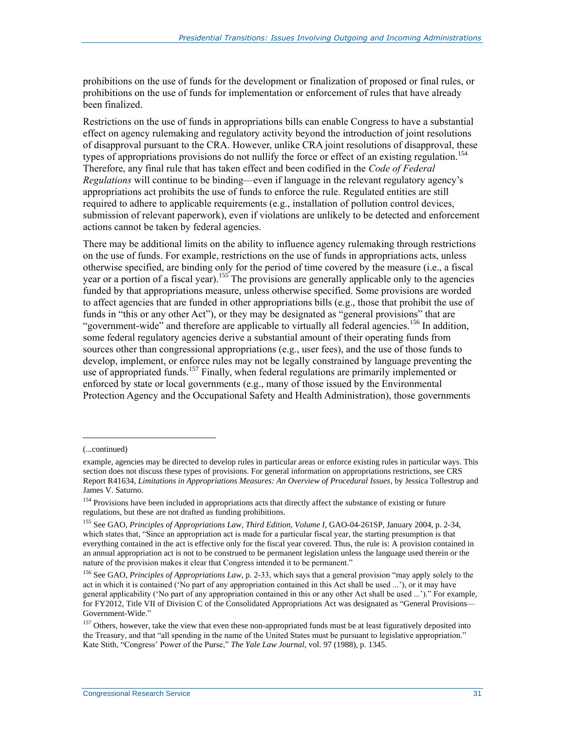prohibitions on the use of funds for the development or finalization of proposed or final rules, or prohibitions on the use of funds for implementation or enforcement of rules that have already been finalized.

Restrictions on the use of funds in appropriations bills can enable Congress to have a substantial effect on agency rulemaking and regulatory activity beyond the introduction of joint resolutions of disapproval pursuant to the CRA. However, unlike CRA joint resolutions of disapproval, these types of appropriations provisions do not nullify the force or effect of an existing regulation.<sup>154</sup> Therefore, any final rule that has taken effect and been codified in the *Code of Federal Regulations* will continue to be binding—even if language in the relevant regulatory agency's appropriations act prohibits the use of funds to enforce the rule. Regulated entities are still required to adhere to applicable requirements (e.g., installation of pollution control devices, submission of relevant paperwork), even if violations are unlikely to be detected and enforcement actions cannot be taken by federal agencies.

There may be additional limits on the ability to influence agency rulemaking through restrictions on the use of funds. For example, restrictions on the use of funds in appropriations acts, unless otherwise specified, are binding only for the period of time covered by the measure (i.e., a fiscal year or a portion of a fiscal year).<sup>155</sup> The provisions are generally applicable only to the agencies funded by that appropriations measure, unless otherwise specified. Some provisions are worded to affect agencies that are funded in other appropriations bills (e.g., those that prohibit the use of funds in "this or any other Act"), or they may be designated as "general provisions" that are "government-wide" and therefore are applicable to virtually all federal agencies.<sup>156</sup> In addition, some federal regulatory agencies derive a substantial amount of their operating funds from sources other than congressional appropriations (e.g., user fees), and the use of those funds to develop, implement, or enforce rules may not be legally constrained by language preventing the use of appropriated funds.<sup>157</sup> Finally, when federal regulations are primarily implemented or enforced by state or local governments (e.g., many of those issued by the Environmental Protection Agency and the Occupational Safety and Health Administration), those governments

<sup>(...</sup>continued)

example, agencies may be directed to develop rules in particular areas or enforce existing rules in particular ways. This section does not discuss these types of provisions. For general information on appropriations restrictions, see CRS Report R41634, *Limitations in Appropriations Measures: An Overview of Procedural Issues*, by Jessica Tollestrup and James V. Saturno.

<sup>&</sup>lt;sup>154</sup> Provisions have been included in appropriations acts that directly affect the substance of existing or future regulations, but these are not drafted as funding prohibitions.

<sup>155</sup> See GAO, *Principles of Appropriations Law, Third Edition, Volume I*, GAO-04-261SP, January 2004, p. 2-34, which states that, "Since an appropriation act is made for a particular fiscal year, the starting presumption is that everything contained in the act is effective only for the fiscal year covered. Thus, the rule is: A provision contained in an annual appropriation act is not to be construed to be permanent legislation unless the language used therein or the nature of the provision makes it clear that Congress intended it to be permanent."

<sup>&</sup>lt;sup>156</sup> See GAO, *Principles of Appropriations Law*, p. 2-33, which says that a general provision "may apply solely to the act in which it is contained ('No part of any appropriation contained in this Act shall be used ...'), or it may have general applicability ('No part of any appropriation contained in this or any other Act shall be used ...')." For example, for FY2012, Title VII of Division C of the Consolidated Appropriations Act was designated as "General Provisions— Government-Wide."

<sup>&</sup>lt;sup>157</sup> Others, however, take the view that even these non-appropriated funds must be at least figuratively deposited into the Treasury, and that "all spending in the name of the United States must be pursuant to legislative appropriation." Kate Stith, "Congress' Power of the Purse," *The Yale Law Journal*, vol. 97 (1988), p. 1345.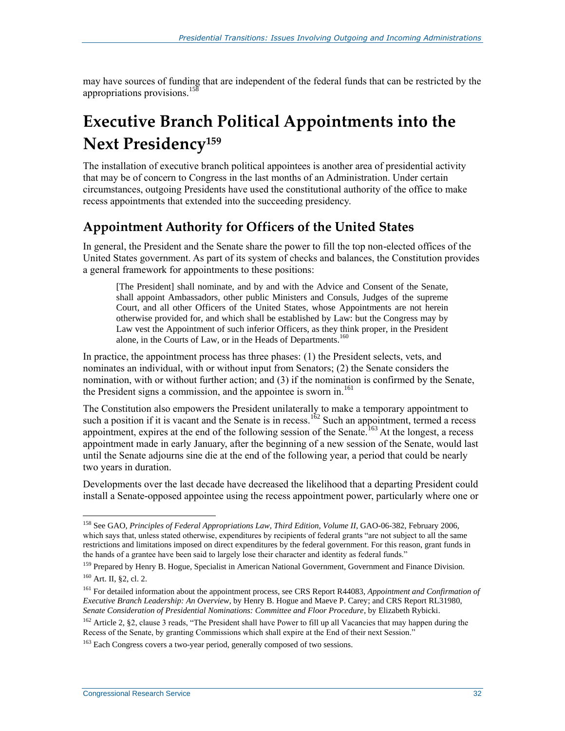may have sources of funding that are independent of the federal funds that can be restricted by the appropriations provisions.<sup>158</sup>

## **Executive Branch Political Appointments into the Next Presidency<sup>159</sup>**

The installation of executive branch political appointees is another area of presidential activity that may be of concern to Congress in the last months of an Administration. Under certain circumstances, outgoing Presidents have used the constitutional authority of the office to make recess appointments that extended into the succeeding presidency.

#### **Appointment Authority for Officers of the United States**

In general, the President and the Senate share the power to fill the top non-elected offices of the United States government. As part of its system of checks and balances, the Constitution provides a general framework for appointments to these positions:

[The President] shall nominate, and by and with the Advice and Consent of the Senate, shall appoint Ambassadors, other public Ministers and Consuls, Judges of the supreme Court, and all other Officers of the United States, whose Appointments are not herein otherwise provided for, and which shall be established by Law: but the Congress may by Law vest the Appointment of such inferior Officers, as they think proper, in the President alone, in the Courts of Law, or in the Heads of Departments.<sup>160</sup>

In practice, the appointment process has three phases: (1) the President selects, vets, and nominates an individual, with or without input from Senators; (2) the Senate considers the nomination, with or without further action; and (3) if the nomination is confirmed by the Senate, the President signs a commission, and the appointee is sworn in. $^{161}$ 

The Constitution also empowers the President unilaterally to make a temporary appointment to such a position if it is vacant and the Senate is in recess.<sup>162</sup> Such an appointment, termed a recess appointment, expires at the end of the following session of the Senate.<sup>163</sup> At the longest, a recess appointment made in early January, after the beginning of a new session of the Senate, would last until the Senate adjourns sine die at the end of the following year, a period that could be nearly two years in duration.

Developments over the last decade have decreased the likelihood that a departing President could install a Senate-opposed appointee using the recess appointment power, particularly where one or

<sup>&</sup>lt;sup>158</sup> See GAO, *Principles of Federal Appropriations Law, Third Edition, Volume II*, GAO-06-382, February 2006, which says that, unless stated otherwise, expenditures by recipients of federal grants "are not subject to all the same restrictions and limitations imposed on direct expenditures by the federal government. For this reason, grant funds in the hands of a grantee have been said to largely lose their character and identity as federal funds."

<sup>&</sup>lt;sup>159</sup> Prepared by Henry B. Hogue, Specialist in American National Government, Government and Finance Division. <sup>160</sup> Art. II, §2, cl. 2.

<sup>161</sup> For detailed information about the appointment process, see CRS Report R44083, *Appointment and Confirmation of Executive Branch Leadership: An Overview*, by Henry B. Hogue and Maeve P. Carey; and CRS Report RL31980, *Senate Consideration of Presidential Nominations: Committee and Floor Procedure*, by Elizabeth Rybicki.

<sup>&</sup>lt;sup>162</sup> Article 2, §2, clause 3 reads, "The President shall have Power to fill up all Vacancies that may happen during the Recess of the Senate, by granting Commissions which shall expire at the End of their next Session."

<sup>&</sup>lt;sup>163</sup> Each Congress covers a two-year period, generally composed of two sessions.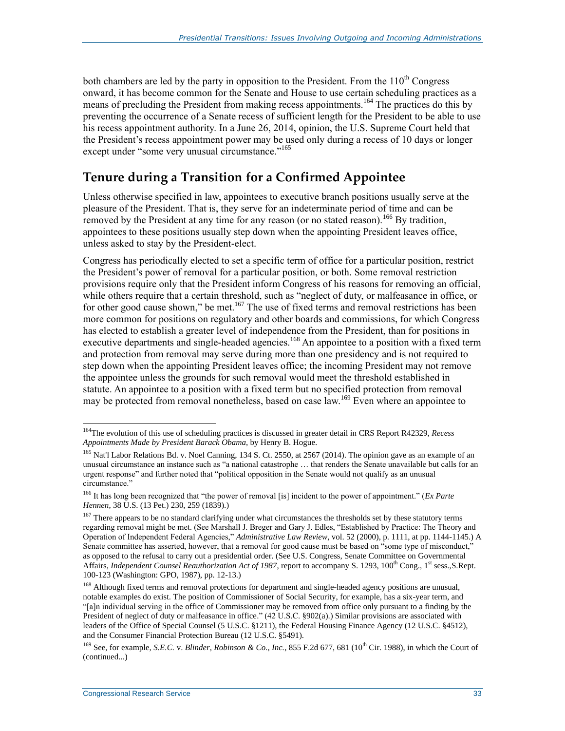both chambers are led by the party in opposition to the President. From the  $110<sup>th</sup>$  Congress onward, it has become common for the Senate and House to use certain scheduling practices as a means of precluding the President from making recess appointments.<sup>164</sup> The practices do this by preventing the occurrence of a Senate recess of sufficient length for the President to be able to use his recess appointment authority. In a June 26, 2014, opinion, the U.S. Supreme Court held that the President's recess appointment power may be used only during a recess of 10 days or longer except under "some very unusual circumstance."<sup>165</sup>

#### **Tenure during a Transition for a Confirmed Appointee**

Unless otherwise specified in law, appointees to executive branch positions usually serve at the pleasure of the President. That is, they serve for an indeterminate period of time and can be removed by the President at any time for any reason (or no stated reason).<sup>166</sup> By tradition, appointees to these positions usually step down when the appointing President leaves office, unless asked to stay by the President-elect.

Congress has periodically elected to set a specific term of office for a particular position, restrict the President's power of removal for a particular position, or both. Some removal restriction provisions require only that the President inform Congress of his reasons for removing an official, while others require that a certain threshold, such as "neglect of duty, or malfeasance in office, or for other good cause shown," be met. $^{167}$  The use of fixed terms and removal restrictions has been more common for positions on regulatory and other boards and commissions, for which Congress has elected to establish a greater level of independence from the President, than for positions in executive departments and single-headed agencies.<sup>168</sup> An appointee to a position with a fixed term and protection from removal may serve during more than one presidency and is not required to step down when the appointing President leaves office; the incoming President may not remove the appointee unless the grounds for such removal would meet the threshold established in statute. An appointee to a position with a fixed term but no specified protection from removal may be protected from removal nonetheless, based on case law.<sup>169</sup> Even where an appointee to

<sup>164</sup>The evolution of this use of scheduling practices is discussed in greater detail in CRS Report R42329, *Recess Appointments Made by President Barack Obama*, by Henry B. Hogue.

<sup>&</sup>lt;sup>165</sup> Nat'l Labor Relations Bd. v. Noel Canning, 134 S. Ct. 2550, at 2567 (2014). The opinion gave as an example of an unusual circumstance an instance such as "a national catastrophe … that renders the Senate unavailable but calls for an urgent response" and further noted that "political opposition in the Senate would not qualify as an unusual circumstance."

<sup>166</sup> It has long been recognized that "the power of removal [is] incident to the power of appointment." (*Ex Parte Hennen*, 38 U.S. (13 Pet.) 230, 259 (1839).)

<sup>&</sup>lt;sup>167</sup> There appears to be no standard clarifying under what circumstances the thresholds set by these statutory terms regarding removal might be met. (See Marshall J. Breger and Gary J. Edles, "Established by Practice: The Theory and Operation of Independent Federal Agencies," *Administrative Law Review*, vol. 52 (2000), p. 1111, at pp. 1144-1145.) A Senate committee has asserted, however, that a removal for good cause must be based on "some type of misconduct," as opposed to the refusal to carry out a presidential order. (See U.S. Congress, Senate Committee on Governmental Affairs, *Independent Counsel Reauthorization Act of 1987*, report to accompany S. 1293, 100<sup>th</sup> Cong., 1<sup>st</sup> sess.,S.Rept. 100-123 (Washington: GPO, 1987), pp. 12-13.)

<sup>&</sup>lt;sup>168</sup> Although fixed terms and removal protections for department and single-headed agency positions are unusual, notable examples do exist. The position of Commissioner of Social Security, for example, has a six-year term, and "[a]n individual serving in the office of Commissioner may be removed from office only pursuant to a finding by the President of neglect of duty or malfeasance in office." (42 U.S.C. §902(a).) Similar provisions are associated with leaders of the Office of Special Counsel (5 U.S.C. §1211), the Federal Housing Finance Agency (12 U.S.C. §4512), and the Consumer Financial Protection Bureau (12 U.S.C. §5491).

<sup>&</sup>lt;sup>169</sup> See, for example, *S.E.C.* v. *Blinder, Robinson & Co., Inc.*, 855 F.2d 677, 681 (10<sup>th</sup> Cir. 1988), in which the Court of (continued...)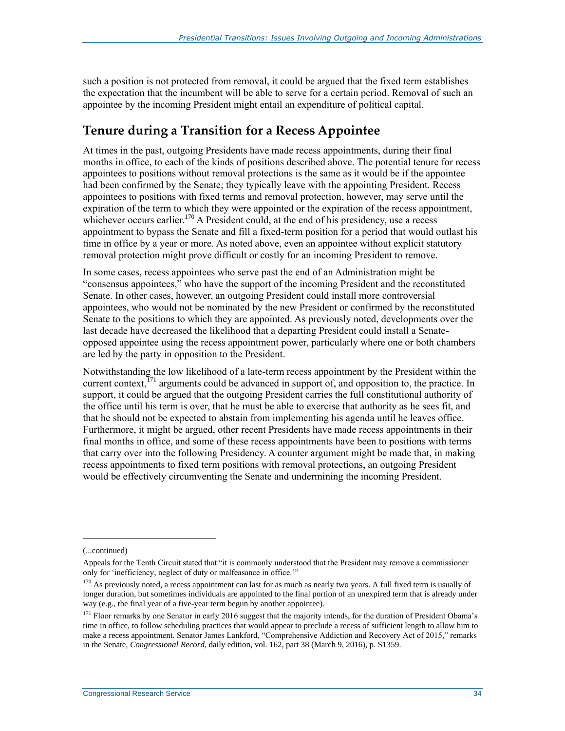such a position is not protected from removal, it could be argued that the fixed term establishes the expectation that the incumbent will be able to serve for a certain period. Removal of such an appointee by the incoming President might entail an expenditure of political capital.

#### **Tenure during a Transition for a Recess Appointee**

At times in the past, outgoing Presidents have made recess appointments, during their final months in office, to each of the kinds of positions described above. The potential tenure for recess appointees to positions without removal protections is the same as it would be if the appointee had been confirmed by the Senate; they typically leave with the appointing President. Recess appointees to positions with fixed terms and removal protection, however, may serve until the expiration of the term to which they were appointed or the expiration of the recess appointment, whichever occurs earlier.<sup>170</sup> A President could, at the end of his presidency, use a recess appointment to bypass the Senate and fill a fixed-term position for a period that would outlast his time in office by a year or more. As noted above, even an appointee without explicit statutory removal protection might prove difficult or costly for an incoming President to remove.

In some cases, recess appointees who serve past the end of an Administration might be "consensus appointees," who have the support of the incoming President and the reconstituted Senate. In other cases, however, an outgoing President could install more controversial appointees, who would not be nominated by the new President or confirmed by the reconstituted Senate to the positions to which they are appointed. As previously noted, developments over the last decade have decreased the likelihood that a departing President could install a Senateopposed appointee using the recess appointment power, particularly where one or both chambers are led by the party in opposition to the President.

Notwithstanding the low likelihood of a late-term recess appointment by the President within the current context,  $^{171}$  arguments could be advanced in support of, and opposition to, the practice. In support, it could be argued that the outgoing President carries the full constitutional authority of the office until his term is over, that he must be able to exercise that authority as he sees fit, and that he should not be expected to abstain from implementing his agenda until he leaves office. Furthermore, it might be argued, other recent Presidents have made recess appointments in their final months in office, and some of these recess appointments have been to positions with terms that carry over into the following Presidency. A counter argument might be made that, in making recess appointments to fixed term positions with removal protections, an outgoing President would be effectively circumventing the Senate and undermining the incoming President.

<sup>(...</sup>continued)

Appeals for the Tenth Circuit stated that "it is commonly understood that the President may remove a commissioner only for 'inefficiency, neglect of duty or malfeasance in office.'"

 $170$  As previously noted, a recess appointment can last for as much as nearly two years. A full fixed term is usually of longer duration, but sometimes individuals are appointed to the final portion of an unexpired term that is already under way (e.g., the final year of a five-year term begun by another appointee).

 $171$  Floor remarks by one Senator in early 2016 suggest that the majority intends, for the duration of President Obama's time in office, to follow scheduling practices that would appear to preclude a recess of sufficient length to allow him to make a recess appointment. Senator James Lankford, "Comprehensive Addiction and Recovery Act of 2015," remarks in the Senate, *Congressional Record*, daily edition, vol. 162, part 38 (March 9, 2016), p. S1359.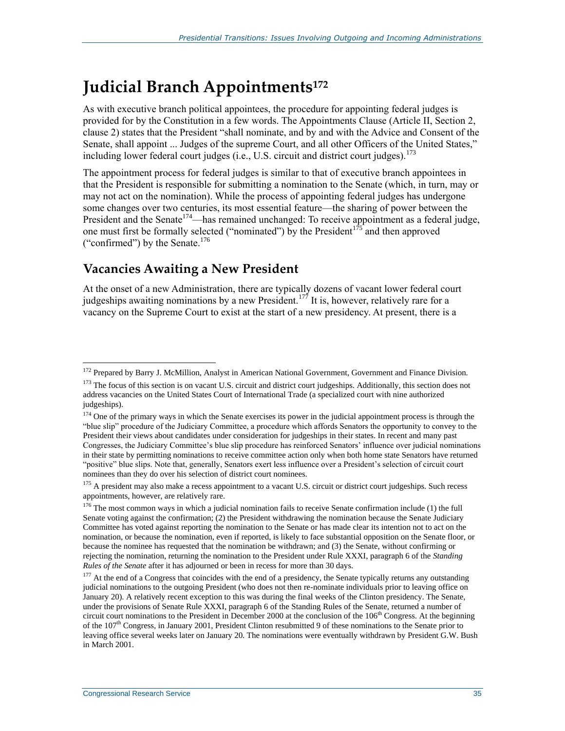## **Judicial Branch Appointments<sup>172</sup>**

As with executive branch political appointees, the procedure for appointing federal judges is provided for by the Constitution in a few words. The Appointments Clause (Article II, Section 2, clause 2) states that the President "shall nominate, and by and with the Advice and Consent of the Senate, shall appoint ... Judges of the supreme Court, and all other Officers of the United States," including lower federal court judges (i.e., U.S. circuit and district court judges). $^{173}$ 

The appointment process for federal judges is similar to that of executive branch appointees in that the President is responsible for submitting a nomination to the Senate (which, in turn, may or may not act on the nomination). While the process of appointing federal judges has undergone some changes over two centuries, its most essential feature—the sharing of power between the President and the Senate<sup>174</sup>—has remained unchanged: To receive appointment as a federal judge, one must first be formally selected ("nominated") by the President<sup> $175$ </sup> and then approved ("confirmed") by the Senate. $176$ 

#### **Vacancies Awaiting a New President**

At the onset of a new Administration, there are typically dozens of vacant lower federal court judgeships awaiting nominations by a new President.<sup>177</sup> It is, however, relatively rare for a vacancy on the Supreme Court to exist at the start of a new presidency. At present, there is a

<sup>&</sup>lt;sup>172</sup> Prepared by Barry J. McMillion, Analyst in American National Government, Government and Finance Division.

<sup>&</sup>lt;sup>173</sup> The focus of this section is on vacant U.S. circuit and district court judgeships. Additionally, this section does not address vacancies on the United States Court of International Trade (a specialized court with nine authorized judgeships).

<sup>&</sup>lt;sup>174</sup> One of the primary ways in which the Senate exercises its power in the judicial appointment process is through the "blue slip" procedure of the Judiciary Committee, a procedure which affords Senators the opportunity to convey to the President their views about candidates under consideration for judgeships in their states. In recent and many past Congresses, the Judiciary Committee's blue slip procedure has reinforced Senators' influence over judicial nominations in their state by permitting nominations to receive committee action only when both home state Senators have returned "positive" blue slips. Note that, generally, Senators exert less influence over a President's selection of circuit court nominees than they do over his selection of district court nominees.

<sup>&</sup>lt;sup>175</sup> A president may also make a recess appointment to a vacant U.S. circuit or district court judgeships. Such recess appointments, however, are relatively rare.

<sup>&</sup>lt;sup>176</sup> The most common ways in which a judicial nomination fails to receive Senate confirmation include (1) the full Senate voting against the confirmation; (2) the President withdrawing the nomination because the Senate Judiciary Committee has voted against reporting the nomination to the Senate or has made clear its intention not to act on the nomination, or because the nomination, even if reported, is likely to face substantial opposition on the Senate floor, or because the nominee has requested that the nomination be withdrawn; and (3) the Senate, without confirming or rejecting the nomination, returning the nomination to the President under Rule XXXI, paragraph 6 of the *Standing Rules of the Senate* after it has adjourned or been in recess for more than 30 days.

<sup>&</sup>lt;sup>177</sup> At the end of a Congress that coincides with the end of a presidency, the Senate typically returns any outstanding judicial nominations to the outgoing President (who does not then re-nominate individuals prior to leaving office on January 20). A relatively recent exception to this was during the final weeks of the Clinton presidency. The Senate, under the provisions of Senate Rule XXXI, paragraph 6 of the Standing Rules of the Senate, returned a number of circuit court nominations to the President in December 2000 at the conclusion of the  $106<sup>th</sup>$  Congress. At the beginning of the  $107<sup>th</sup>$  Congress, in January 2001, President Clinton resubmitted 9 of these nominations to the Senate prior to leaving office several weeks later on January 20. The nominations were eventually withdrawn by President G.W. Bush in March 2001.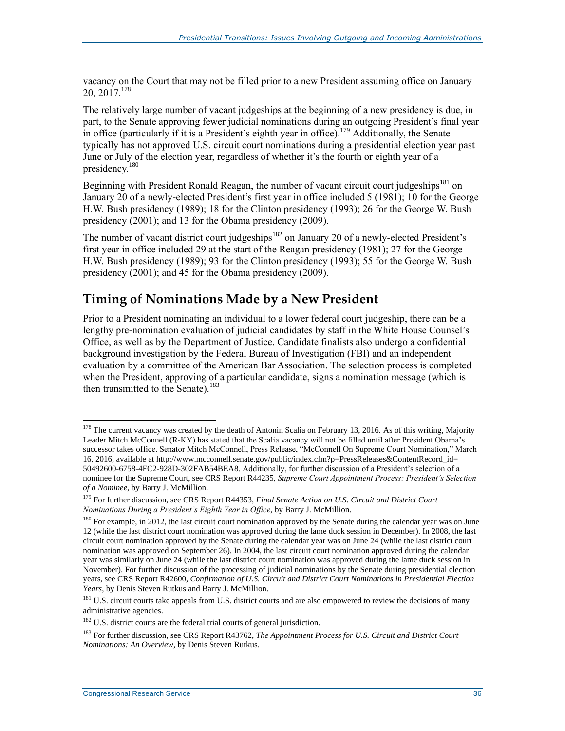vacancy on the Court that may not be filled prior to a new President assuming office on January 20, 2017.<sup>178</sup>

The relatively large number of vacant judgeships at the beginning of a new presidency is due, in part, to the Senate approving fewer judicial nominations during an outgoing President's final year in office (particularly if it is a President's eighth year in office).<sup>179</sup> Additionally, the Senate typically has not approved U.S. circuit court nominations during a presidential election year past June or July of the election year, regardless of whether it's the fourth or eighth year of a presidency.<sup>180</sup>

Beginning with President Ronald Reagan, the number of vacant circuit court judgeships<sup>181</sup> on January 20 of a newly-elected President's first year in office included 5 (1981); 10 for the George H.W. Bush presidency (1989); 18 for the Clinton presidency (1993); 26 for the George W. Bush presidency (2001); and 13 for the Obama presidency (2009).

The number of vacant district court judgeships<sup>182</sup> on January 20 of a newly-elected President's first year in office included 29 at the start of the Reagan presidency (1981); 27 for the George H.W. Bush presidency (1989); 93 for the Clinton presidency (1993); 55 for the George W. Bush presidency (2001); and 45 for the Obama presidency (2009).

#### **Timing of Nominations Made by a New President**

Prior to a President nominating an individual to a lower federal court judgeship, there can be a lengthy pre-nomination evaluation of judicial candidates by staff in the White House Counsel's Office, as well as by the Department of Justice. Candidate finalists also undergo a confidential background investigation by the Federal Bureau of Investigation (FBI) and an independent evaluation by a committee of the American Bar Association. The selection process is completed when the President, approving of a particular candidate, signs a nomination message (which is then transmitted to the Senate).<sup>183</sup>

 $178$  The current vacancy was created by the death of Antonin Scalia on February 13, 2016. As of this writing, Majority Leader Mitch McConnell (R-KY) has stated that the Scalia vacancy will not be filled until after President Obama's successor takes office. Senator Mitch McConnell, Press Release, "McConnell On Supreme Court Nomination," March 16, 2016, available at http://www.mcconnell.senate.gov/public/index.cfm?p=PressReleases&ContentRecord\_id= 50492600-6758-4FC2-928D-302FAB54BEA8. Additionally, for further discussion of a President's selection of a nominee for the Supreme Court, see CRS Report R44235, *Supreme Court Appointment Process: President's Selection of a Nominee*, by Barry J. McMillion.

<sup>179</sup> For further discussion, see CRS Report R44353, *Final Senate Action on U.S. Circuit and District Court Nominations During a President's Eighth Year in Office*, by Barry J. McMillion.

<sup>&</sup>lt;sup>180</sup> For example, in 2012, the last circuit court nomination approved by the Senate during the calendar year was on June 12 (while the last district court nomination was approved during the lame duck session in December). In 2008, the last circuit court nomination approved by the Senate during the calendar year was on June 24 (while the last district court nomination was approved on September 26). In 2004, the last circuit court nomination approved during the calendar year was similarly on June 24 (while the last district court nomination was approved during the lame duck session in November). For further discussion of the processing of judicial nominations by the Senate during presidential election years, see CRS Report R42600, *Confirmation of U.S. Circuit and District Court Nominations in Presidential Election Years*, by Denis Steven Rutkus and Barry J. McMillion.

<sup>&</sup>lt;sup>181</sup> U.S. circuit courts take appeals from U.S. district courts and are also empowered to review the decisions of many administrative agencies.

<sup>&</sup>lt;sup>182</sup> U.S. district courts are the federal trial courts of general jurisdiction.

<sup>183</sup> For further discussion, see CRS Report R43762, *The Appointment Process for U.S. Circuit and District Court Nominations: An Overview*, by Denis Steven Rutkus.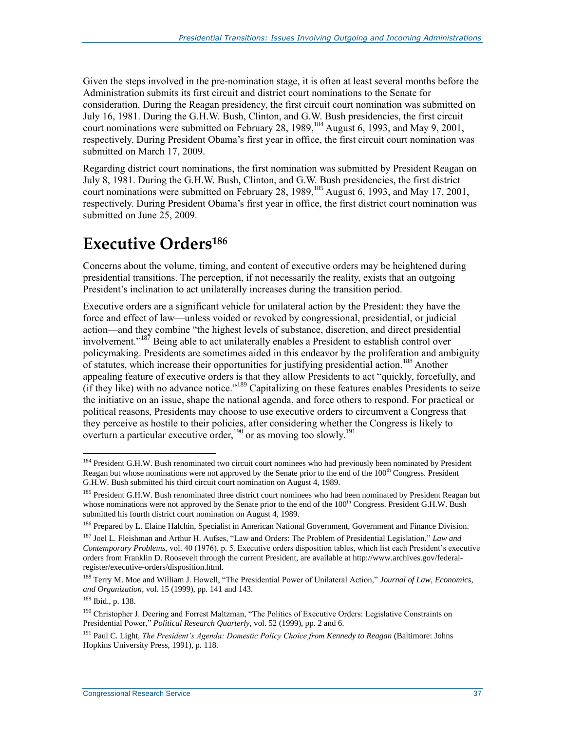Given the steps involved in the pre-nomination stage, it is often at least several months before the Administration submits its first circuit and district court nominations to the Senate for consideration. During the Reagan presidency, the first circuit court nomination was submitted on July 16, 1981. During the G.H.W. Bush, Clinton, and G.W. Bush presidencies, the first circuit court nominations were submitted on February 28, 1989,  $^{184}$  August 6, 1993, and May 9, 2001, respectively. During President Obama's first year in office, the first circuit court nomination was submitted on March 17, 2009.

Regarding district court nominations, the first nomination was submitted by President Reagan on July 8, 1981. During the G.H.W. Bush, Clinton, and G.W. Bush presidencies, the first district court nominations were submitted on February 28, 1989,  $^{185}$  August 6, 1993, and May 17, 2001, respectively. During President Obama's first year in office, the first district court nomination was submitted on June 25, 2009.

### **Executive Orders<sup>186</sup>**

Concerns about the volume, timing, and content of executive orders may be heightened during presidential transitions. The perception, if not necessarily the reality, exists that an outgoing President's inclination to act unilaterally increases during the transition period.

Executive orders are a significant vehicle for unilateral action by the President: they have the force and effect of law—unless voided or revoked by congressional, presidential, or judicial action—and they combine "the highest levels of substance, discretion, and direct presidential involvement."<sup>187</sup> Being able to act unilaterally enables a President to establish control over policymaking. Presidents are sometimes aided in this endeavor by the proliferation and ambiguity of statutes, which increase their opportunities for justifying presidential action.<sup>188</sup> Another appealing feature of executive orders is that they allow Presidents to act "quickly, forcefully, and (if they like) with no advance notice."<sup>189</sup> Capitalizing on these features enables Presidents to seize the initiative on an issue, shape the national agenda, and force others to respond. For practical or political reasons, Presidents may choose to use executive orders to circumvent a Congress that they perceive as hostile to their policies, after considering whether the Congress is likely to overturn a particular executive order,<sup>190</sup> or as moving too slowly.<sup>191</sup>

<sup>&</sup>lt;sup>184</sup> President G.H.W. Bush renominated two circuit court nominees who had previously been nominated by President Reagan but whose nominations were not approved by the Senate prior to the end of the 100<sup>th</sup> Congress. President G.H.W. Bush submitted his third circuit court nomination on August 4, 1989.

<sup>&</sup>lt;sup>185</sup> President G.H.W. Bush renominated three district court nominees who had been nominated by President Reagan but whose nominations were not approved by the Senate prior to the end of the  $100<sup>th</sup>$  Congress. President G.H.W. Bush submitted his fourth district court nomination on August 4, 1989.

<sup>&</sup>lt;sup>186</sup> Prepared by L. Elaine Halchin, Specialist in American National Government, Government and Finance Division.

<sup>187</sup> Joel L. Fleishman and Arthur H. Aufses, "Law and Orders: The Problem of Presidential Legislation," *Law and Contemporary Problems*, vol. 40 (1976), p. 5. Executive orders disposition tables, which list each President's executive orders from Franklin D. Roosevelt through the current President, are available at http://www.archives.gov/federalregister/executive-orders/disposition.html.

<sup>188</sup> Terry M. Moe and William J. Howell, "The Presidential Power of Unilateral Action," *Journal of Law, Economics, and Organization*, vol. 15 (1999), pp. 141 and 143.

<sup>189</sup> Ibid., p. 138.

<sup>&</sup>lt;sup>190</sup> Christopher J. Deering and Forrest Maltzman, "The Politics of Executive Orders: Legislative Constraints on Presidential Power," *Political Research Quarterly*, vol. 52 (1999), pp. 2 and 6.

<sup>191</sup> Paul C. Light, *The President's Agenda: Domestic Policy Choice from Kennedy to Reagan* (Baltimore: Johns Hopkins University Press, 1991), p. 118.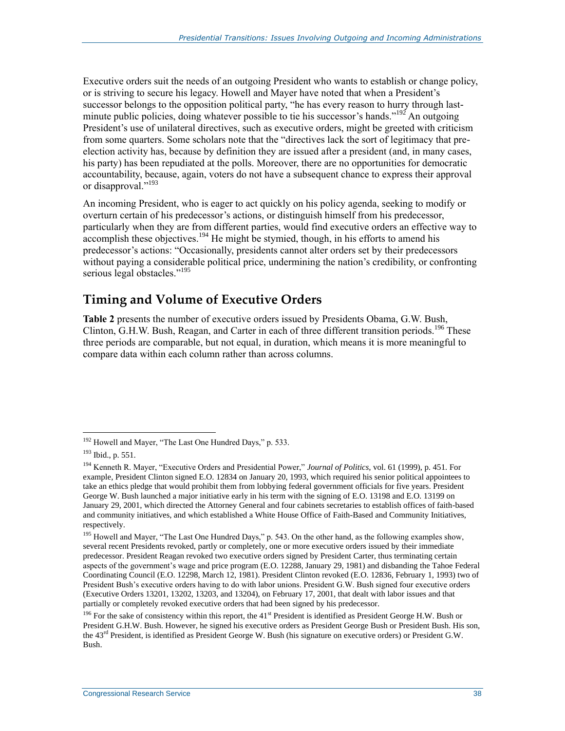Executive orders suit the needs of an outgoing President who wants to establish or change policy, or is striving to secure his legacy. Howell and Mayer have noted that when a President's successor belongs to the opposition political party, "he has every reason to hurry through lastminute public policies, doing whatever possible to tie his successor's hands."<sup>192</sup> An outgoing President's use of unilateral directives, such as executive orders, might be greeted with criticism from some quarters. Some scholars note that the "directives lack the sort of legitimacy that preelection activity has, because by definition they are issued after a president (and, in many cases, his party) has been repudiated at the polls. Moreover, there are no opportunities for democratic accountability, because, again, voters do not have a subsequent chance to express their approval or disapproval."<sup>193</sup>

An incoming President, who is eager to act quickly on his policy agenda, seeking to modify or overturn certain of his predecessor's actions, or distinguish himself from his predecessor, particularly when they are from different parties, would find executive orders an effective way to  $\alpha$  accomplish these objectives.<sup>194</sup> He might be stymied, though, in his efforts to amend his predecessor's actions: "Occasionally, presidents cannot alter orders set by their predecessors without paying a considerable political price, undermining the nation's credibility, or confronting serious legal obstacles."<sup>195</sup>

#### **Timing and Volume of Executive Orders**

**[Table 2](#page-42-0)** presents the number of executive orders issued by Presidents Obama, G.W. Bush, Clinton, G.H.W. Bush, Reagan, and Carter in each of three different transition periods.<sup>196</sup> These three periods are comparable, but not equal, in duration, which means it is more meaningful to compare data within each column rather than across columns.

<sup>&</sup>lt;sup>192</sup> Howell and Mayer, "The Last One Hundred Days," p. 533.

<sup>193</sup> Ibid., p. 551.

<sup>194</sup> Kenneth R. Mayer, "Executive Orders and Presidential Power," *Journal of Politics*, vol. 61 (1999), p. 451. For example, President Clinton signed E.O. 12834 on January 20, 1993, which required his senior political appointees to take an ethics pledge that would prohibit them from lobbying federal government officials for five years. President George W. Bush launched a major initiative early in his term with the signing of E.O. 13198 and E.O. 13199 on January 29, 2001, which directed the Attorney General and four cabinets secretaries to establish offices of faith-based and community initiatives, and which established a White House Office of Faith-Based and Community Initiatives, respectively.

<sup>&</sup>lt;sup>195</sup> Howell and Mayer, "The Last One Hundred Days," p. 543. On the other hand, as the following examples show, several recent Presidents revoked, partly or completely, one or more executive orders issued by their immediate predecessor. President Reagan revoked two executive orders signed by President Carter, thus terminating certain aspects of the government's wage and price program (E.O. 12288, January 29, 1981) and disbanding the Tahoe Federal Coordinating Council (E.O. 12298, March 12, 1981). President Clinton revoked (E.O. 12836, February 1, 1993) two of President Bush's executive orders having to do with labor unions. President G.W. Bush signed four executive orders (Executive Orders 13201, 13202, 13203, and 13204), on February 17, 2001, that dealt with labor issues and that partially or completely revoked executive orders that had been signed by his predecessor.

<sup>&</sup>lt;sup>196</sup> For the sake of consistency within this report, the  $41<sup>st</sup>$  President is identified as President George H.W. Bush or President G.H.W. Bush. However, he signed his executive orders as President George Bush or President Bush. His son, the 43rd President, is identified as President George W. Bush (his signature on executive orders) or President G.W. Bush.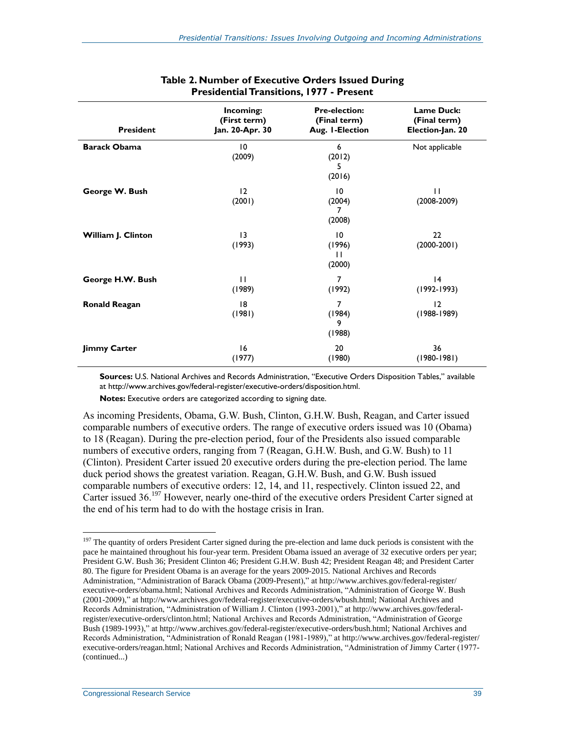<span id="page-42-0"></span>

| <b>President</b>     | Incoming:<br>(First term)<br>Jan. 20-Apr. 30 | <b>Pre-election:</b><br>(Final term)<br>Aug. I-Election | <b>Lame Duck:</b><br>(Final term)<br>Election-Jan. 20 |
|----------------------|----------------------------------------------|---------------------------------------------------------|-------------------------------------------------------|
| <b>Barack Obama</b>  | 10<br>(2009)                                 | 6<br>(2012)<br>5<br>(2016)                              | Not applicable                                        |
| George W. Bush       | 12<br>(2001)                                 | 10<br>(2004)<br>7<br>(2008)                             | $\mathbf{H}$<br>$(2008 - 2009)$                       |
| William J. Clinton   | $\overline{13}$<br>(1993)                    | 10<br>(1996)<br>$\mathbf{H}$<br>(2000)                  | 22<br>$(2000-2001)$                                   |
| George H.W. Bush     | $\mathbf{H}$<br>(1989)                       | $\overline{7}$<br>(1992)                                | 4<br>$(1992 - 1993)$                                  |
| <b>Ronald Reagan</b> | 18<br>(1981)                                 | 7<br>(1984)<br>9<br>(1988)                              | 12<br>$(1988 - 1989)$                                 |
| <b>Jimmy Carter</b>  | 16<br>(1977)                                 | 20<br>(1980)                                            | 36<br>$(1980 - 1981)$                                 |

#### **Table 2. Number of Executive Orders Issued During Presidential Transitions, 1977 - Present**

**Sources:** U.S. National Archives and Records Administration, "Executive Orders Disposition Tables," available at http://www.archives.gov/federal-register/executive-orders/disposition.html.

**Notes:** Executive orders are categorized according to signing date.

As incoming Presidents, Obama, G.W. Bush, Clinton, G.H.W. Bush, Reagan, and Carter issued comparable numbers of executive orders. The range of executive orders issued was 10 (Obama) to 18 (Reagan). During the pre-election period, four of the Presidents also issued comparable numbers of executive orders, ranging from 7 (Reagan, G.H.W. Bush, and G.W. Bush) to 11 (Clinton). President Carter issued 20 executive orders during the pre-election period. The lame duck period shows the greatest variation. Reagan, G.H.W. Bush, and G.W. Bush issued comparable numbers of executive orders: 12, 14, and 11, respectively. Clinton issued 22, and Carter issued 36.<sup>197</sup> However, nearly one-third of the executive orders President Carter signed at the end of his term had to do with the hostage crisis in Iran.

<sup>&</sup>lt;sup>197</sup> The quantity of orders President Carter signed during the pre-election and lame duck periods is consistent with the pace he maintained throughout his four-year term. President Obama issued an average of 32 executive orders per year; President G.W. Bush 36; President Clinton 46; President G.H.W. Bush 42; President Reagan 48; and President Carter 80. The figure for President Obama is an average for the years 2009-2015. National Archives and Records Administration, "Administration of Barack Obama (2009-Present)," at http://www.archives.gov/federal-register/ executive-orders/obama.html; National Archives and Records Administration, "Administration of George W. Bush (2001-2009)," at http://www.archives.gov/federal-register/executive-orders/wbush.html; National Archives and Records Administration, "Administration of William J. Clinton (1993-2001)," at http://www.archives.gov/federalregister/executive-orders/clinton.html; National Archives and Records Administration, "Administration of George Bush (1989-1993)," at http://www.archives.gov/federal-register/executive-orders/bush.html; National Archives and Records Administration, "Administration of Ronald Reagan (1981-1989)," at http://www.archives.gov/federal-register/ executive-orders/reagan.html; National Archives and Records Administration, "Administration of Jimmy Carter (1977- (continued...)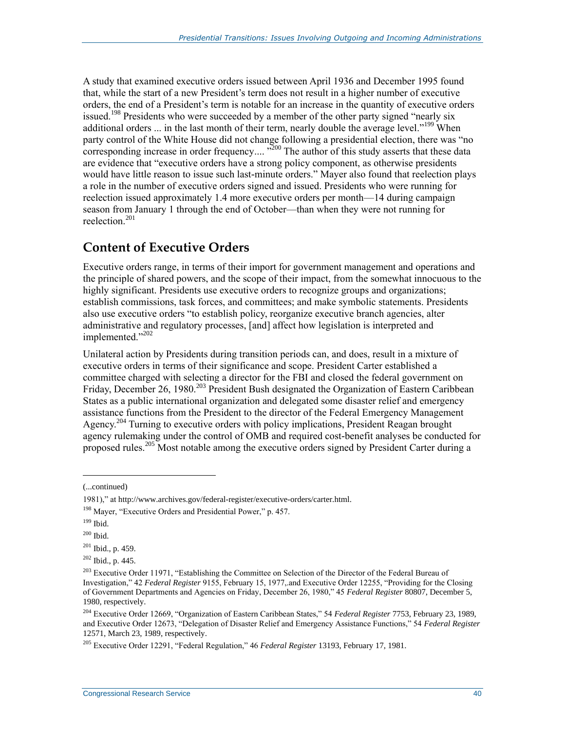A study that examined executive orders issued between April 1936 and December 1995 found that, while the start of a new President's term does not result in a higher number of executive orders, the end of a President's term is notable for an increase in the quantity of executive orders issued.<sup>198</sup> Presidents who were succeeded by a member of the other party signed "nearly six additional orders ... in the last month of their term, nearly double the average level."<sup>199</sup> When party control of the White House did not change following a presidential election, there was "no corresponding increase in order frequency.... "<sup>200</sup> The author of this study asserts that these data are evidence that "executive orders have a strong policy component, as otherwise presidents would have little reason to issue such last-minute orders." Mayer also found that reelection plays a role in the number of executive orders signed and issued. Presidents who were running for reelection issued approximately 1.4 more executive orders per month—14 during campaign season from January 1 through the end of October—than when they were not running for reelection $^{201}$ 

#### **Content of Executive Orders**

Executive orders range, in terms of their import for government management and operations and the principle of shared powers, and the scope of their impact, from the somewhat innocuous to the highly significant. Presidents use executive orders to recognize groups and organizations; establish commissions, task forces, and committees; and make symbolic statements. Presidents also use executive orders "to establish policy, reorganize executive branch agencies, alter administrative and regulatory processes, [and] affect how legislation is interpreted and implemented."202

Unilateral action by Presidents during transition periods can, and does, result in a mixture of executive orders in terms of their significance and scope. President Carter established a committee charged with selecting a director for the FBI and closed the federal government on Friday, December 26, 1980.<sup>203</sup> President Bush designated the Organization of Eastern Caribbean States as a public international organization and delegated some disaster relief and emergency assistance functions from the President to the director of the Federal Emergency Management Agency.<sup>204</sup> Turning to executive orders with policy implications, President Reagan brought agency rulemaking under the control of OMB and required cost-benefit analyses be conducted for proposed rules.<sup>205</sup> Most notable among the executive orders signed by President Carter during a

<sup>(...</sup>continued)

<sup>1981),&</sup>quot; at http://www.archives.gov/federal-register/executive-orders/carter.html.

<sup>198</sup> Mayer, "Executive Orders and Presidential Power," p. 457.

 $199$  Ibid.

<sup>200</sup> Ibid.

 $201$  Ibid., p. 459.

 $202$  Ibid., p. 445.

<sup>&</sup>lt;sup>203</sup> Executive Order 11971, "Establishing the Committee on Selection of the Director of the Federal Bureau of Investigation," 42 *Federal Register* 9155, February 15, 1977,.and Executive Order 12255, "Providing for the Closing of Government Departments and Agencies on Friday, December 26, 1980," 45 *Federal Register* 80807, December 5, 1980, respectively.

<sup>204</sup> Executive Order 12669, "Organization of Eastern Caribbean States," 54 *Federal Register* 7753, February 23, 1989, and Executive Order 12673, "Delegation of Disaster Relief and Emergency Assistance Functions," 54 *Federal Register* 12571, March 23, 1989, respectively.

<sup>205</sup> Executive Order 12291, "Federal Regulation," 46 *Federal Register* 13193, February 17, 1981.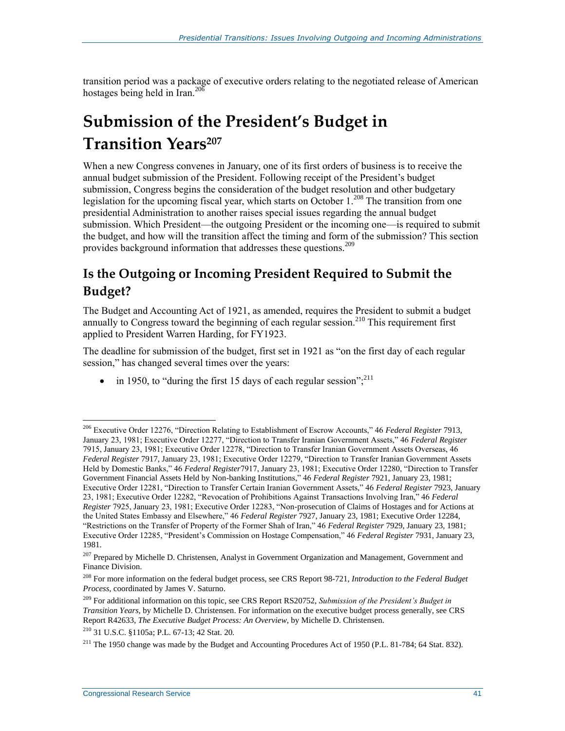transition period was a package of executive orders relating to the negotiated release of American hostages being held in Iran. $^{206}$ 

## **Submission of the President's Budget in Transition Years<sup>207</sup>**

When a new Congress convenes in January, one of its first orders of business is to receive the annual budget submission of the President. Following receipt of the President's budget submission, Congress begins the consideration of the budget resolution and other budgetary legislation for the upcoming fiscal year, which starts on October  $1.^{208}$  The transition from one presidential Administration to another raises special issues regarding the annual budget submission. Which President—the outgoing President or the incoming one—is required to submit the budget, and how will the transition affect the timing and form of the submission? This section provides background information that addresses these questions.<sup>209</sup>

### **Is the Outgoing or Incoming President Required to Submit the Budget?**

The Budget and Accounting Act of 1921, as amended, requires the President to submit a budget annually to Congress toward the beginning of each regular session.<sup>210</sup> This requirement first applied to President Warren Harding, for FY1923.

The deadline for submission of the budget, first set in 1921 as "on the first day of each regular session," has changed several times over the years:

• in 1950, to "during the first 15 days of each regular session"; $^{211}$ 

<sup>210</sup> 31 U.S.C. §1105a; P.L. 67-13; 42 Stat. 20.

<sup>206</sup> Executive Order 12276, "Direction Relating to Establishment of Escrow Accounts," 46 *Federal Register* 7913, January 23, 1981; Executive Order 12277, "Direction to Transfer Iranian Government Assets," 46 *Federal Register* 7915, January 23, 1981; Executive Order 12278, "Direction to Transfer Iranian Government Assets Overseas, 46 *Federal Register* 7917, January 23, 1981; Executive Order 12279, "Direction to Transfer Iranian Government Assets Held by Domestic Banks," 46 *Federal Register*7917, January 23, 1981; Executive Order 12280, "Direction to Transfer Government Financial Assets Held by Non-banking Institutions," 46 *Federal Register* 7921, January 23, 1981; Executive Order 12281, "Direction to Transfer Certain Iranian Government Assets," 46 *Federal Register* 7923, January 23, 1981; Executive Order 12282, "Revocation of Prohibitions Against Transactions Involving Iran," 46 *Federal Register* 7925, January 23, 1981; Executive Order 12283, "Non-prosecution of Claims of Hostages and for Actions at the United States Embassy and Elsewhere," 46 *Federal Register* 7927, January 23, 1981; Executive Order 12284, "Restrictions on the Transfer of Property of the Former Shah of Iran," 46 *Federal Register* 7929, January 23, 1981; Executive Order 12285, "President's Commission on Hostage Compensation," 46 *Federal Register* 7931, January 23, 1981.

<sup>&</sup>lt;sup>207</sup> Prepared by Michelle D. Christensen, Analyst in Government Organization and Management, Government and Finance Division.

<sup>208</sup> For more information on the federal budget process, see CRS Report 98-721, *Introduction to the Federal Budget Process*, coordinated by James V. Saturno.

<sup>209</sup> For additional information on this topic, see CRS Report RS20752, *Submission of the President's Budget in Transition Years*, by Michelle D. Christensen. For information on the executive budget process generally, see CRS Report R42633, *The Executive Budget Process: An Overview*, by Michelle D. Christensen.

<sup>&</sup>lt;sup>211</sup> The 1950 change was made by the Budget and Accounting Procedures Act of 1950 (P.L. 81-784; 64 Stat. 832).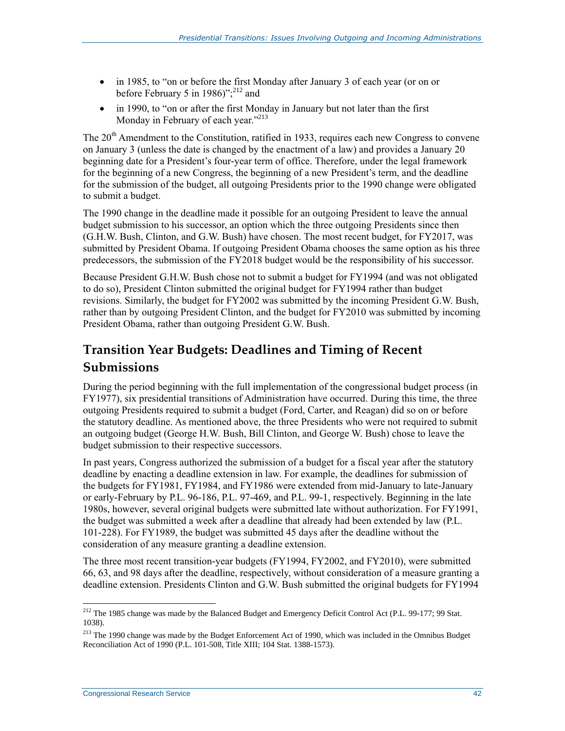- in 1985, to "on or before the first Monday after January 3 of each year (or on or before February 5 in 1986)"; $^{212}$  and
- in 1990, to "on or after the first Monday in January but not later than the first Monday in February of each year."<sup>213</sup>

The 20<sup>th</sup> Amendment to the Constitution, ratified in 1933, requires each new Congress to convene on January 3 (unless the date is changed by the enactment of a law) and provides a January 20 beginning date for a President's four-year term of office. Therefore, under the legal framework for the beginning of a new Congress, the beginning of a new President's term, and the deadline for the submission of the budget, all outgoing Presidents prior to the 1990 change were obligated to submit a budget.

The 1990 change in the deadline made it possible for an outgoing President to leave the annual budget submission to his successor, an option which the three outgoing Presidents since then (G.H.W. Bush, Clinton, and G.W. Bush) have chosen. The most recent budget, for FY2017, was submitted by President Obama. If outgoing President Obama chooses the same option as his three predecessors, the submission of the FY2018 budget would be the responsibility of his successor.

Because President G.H.W. Bush chose not to submit a budget for FY1994 (and was not obligated to do so), President Clinton submitted the original budget for FY1994 rather than budget revisions. Similarly, the budget for FY2002 was submitted by the incoming President G.W. Bush, rather than by outgoing President Clinton, and the budget for FY2010 was submitted by incoming President Obama, rather than outgoing President G.W. Bush.

### **Transition Year Budgets: Deadlines and Timing of Recent Submissions**

During the period beginning with the full implementation of the congressional budget process (in FY1977), six presidential transitions of Administration have occurred. During this time, the three outgoing Presidents required to submit a budget (Ford, Carter, and Reagan) did so on or before the statutory deadline. As mentioned above, the three Presidents who were not required to submit an outgoing budget (George H.W. Bush, Bill Clinton, and George W. Bush) chose to leave the budget submission to their respective successors.

In past years, Congress authorized the submission of a budget for a fiscal year after the statutory deadline by enacting a deadline extension in law. For example, the deadlines for submission of the budgets for FY1981, FY1984, and FY1986 were extended from mid-January to late-January or early-February by P.L. 96-186, P.L. 97-469, and P.L. 99-1, respectively. Beginning in the late 1980s, however, several original budgets were submitted late without authorization. For FY1991, the budget was submitted a week after a deadline that already had been extended by law (P.L. 101-228). For FY1989, the budget was submitted 45 days after the deadline without the consideration of any measure granting a deadline extension.

The three most recent transition-year budgets (FY1994, FY2002, and FY2010), were submitted 66, 63, and 98 days after the deadline, respectively, without consideration of a measure granting a deadline extension. Presidents Clinton and G.W. Bush submitted the original budgets for FY1994

 $\overline{a}$ <sup>212</sup> The 1985 change was made by the Balanced Budget and Emergency Deficit Control Act (P.L. 99-177; 99 Stat. 1038).

<sup>&</sup>lt;sup>213</sup> The 1990 change was made by the Budget Enforcement Act of 1990, which was included in the Omnibus Budget Reconciliation Act of 1990 (P.L. 101-508, Title XIII; 104 Stat. 1388-1573).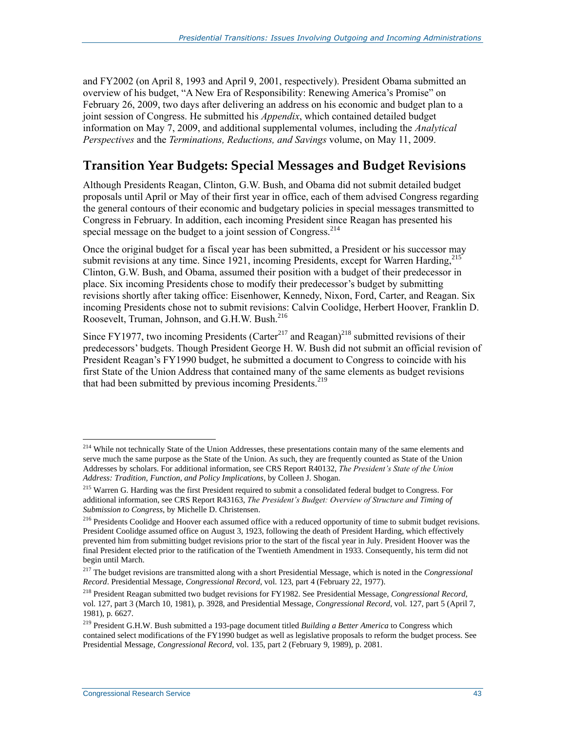and FY2002 (on April 8, 1993 and April 9, 2001, respectively). President Obama submitted an overview of his budget, "A New Era of Responsibility: Renewing America's Promise" on February 26, 2009, two days after delivering an address on his economic and budget plan to a joint session of Congress. He submitted his *Appendix*, which contained detailed budget information on May 7, 2009, and additional supplemental volumes, including the *Analytical Perspectives* and the *Terminations, Reductions, and Savings* volume, on May 11, 2009.

#### **Transition Year Budgets: Special Messages and Budget Revisions**

Although Presidents Reagan, Clinton, G.W. Bush, and Obama did not submit detailed budget proposals until April or May of their first year in office, each of them advised Congress regarding the general contours of their economic and budgetary policies in special messages transmitted to Congress in February. In addition, each incoming President since Reagan has presented his special message on the budget to a joint session of Congress.<sup>214</sup>

Once the original budget for a fiscal year has been submitted, a President or his successor may submit revisions at any time. Since 1921, incoming Presidents, except for Warren Harding,  $^{215}$ Clinton, G.W. Bush, and Obama, assumed their position with a budget of their predecessor in place. Six incoming Presidents chose to modify their predecessor's budget by submitting revisions shortly after taking office: Eisenhower, Kennedy, Nixon, Ford, Carter, and Reagan. Six incoming Presidents chose not to submit revisions: Calvin Coolidge, Herbert Hoover, Franklin D. Roosevelt, Truman, Johnson, and G.H.W. Bush.<sup>216</sup>

Since FY1977, two incoming Presidents (Carter<sup>217</sup> and Reagan)<sup>218</sup> submitted revisions of their predecessors' budgets. Though President George H. W. Bush did not submit an official revision of President Reagan's FY1990 budget, he submitted a document to Congress to coincide with his first State of the Union Address that contained many of the same elements as budget revisions that had been submitted by previous incoming Presidents.<sup>219</sup>

<sup>&</sup>lt;sup>214</sup> While not technically State of the Union Addresses, these presentations contain many of the same elements and serve much the same purpose as the State of the Union. As such, they are frequently counted as State of the Union Addresses by scholars. For additional information, see CRS Report R40132, *The President's State of the Union Address: Tradition, Function, and Policy Implications*, by Colleen J. Shogan.

<sup>&</sup>lt;sup>215</sup> Warren G. Harding was the first President required to submit a consolidated federal budget to Congress. For additional information, see CRS Report R43163, *The President's Budget: Overview of Structure and Timing of Submission to Congress*, by Michelle D. Christensen.

<sup>&</sup>lt;sup>216</sup> Presidents Coolidge and Hoover each assumed office with a reduced opportunity of time to submit budget revisions. President Coolidge assumed office on August 3, 1923, following the death of President Harding, which effectively prevented him from submitting budget revisions prior to the start of the fiscal year in July. President Hoover was the final President elected prior to the ratification of the Twentieth Amendment in 1933. Consequently, his term did not begin until March.

<sup>217</sup> The budget revisions are transmitted along with a short Presidential Message, which is noted in the *Congressional Record*. Presidential Message, *Congressional Record*, vol. 123, part 4 (February 22, 1977).

<sup>218</sup> President Reagan submitted two budget revisions for FY1982. See Presidential Message, *Congressional Record*, vol. 127, part 3 (March 10, 1981), p. 3928, and Presidential Message, *Congressional Record*, vol. 127, part 5 (April 7, 1981), p. 6627.

<sup>219</sup> President G.H.W. Bush submitted a 193-page document titled *Building a Better America* to Congress which contained select modifications of the FY1990 budget as well as legislative proposals to reform the budget process. See Presidential Message, *Congressional Record*, vol. 135, part 2 (February 9, 1989), p. 2081.